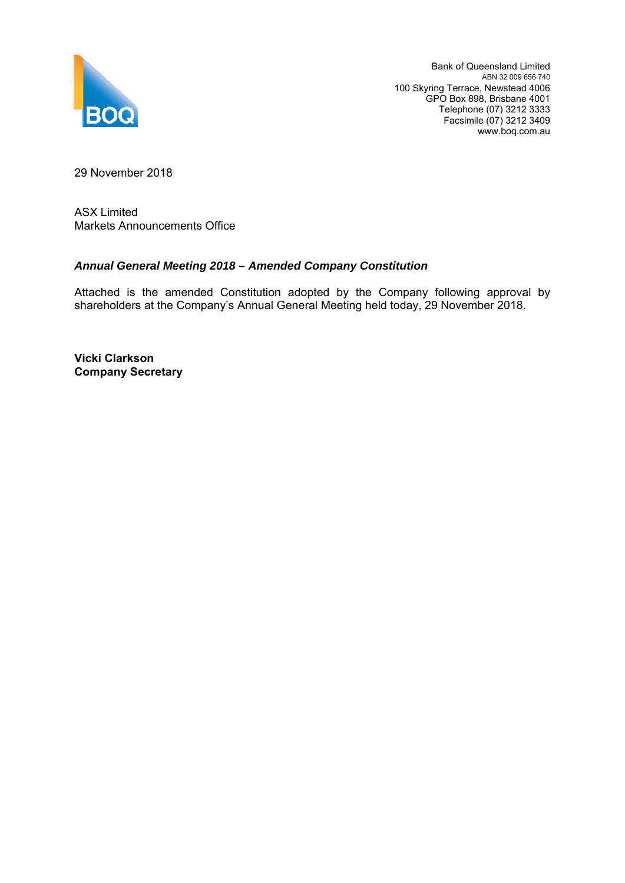

Bank of Queensland Limited ABN 32 009 656 740 100 Skyring Terrace, Newstead 4006 GPO Box 898, Brisbane 4001 Telephone (07) 3212 3333 Facsimile (07) 3212 3409 www.boq.com.au

29 November 2018

ASX Limited Markets Announcements Office

#### *Annual General Meeting 2018 – Amended Company Constitution*

Attached is the amended Constitution adopted by the Company following approval by shareholders at the Company's Annual General Meeting held today, 29 November 2018.

**Vicki Clarkson Company Secretary**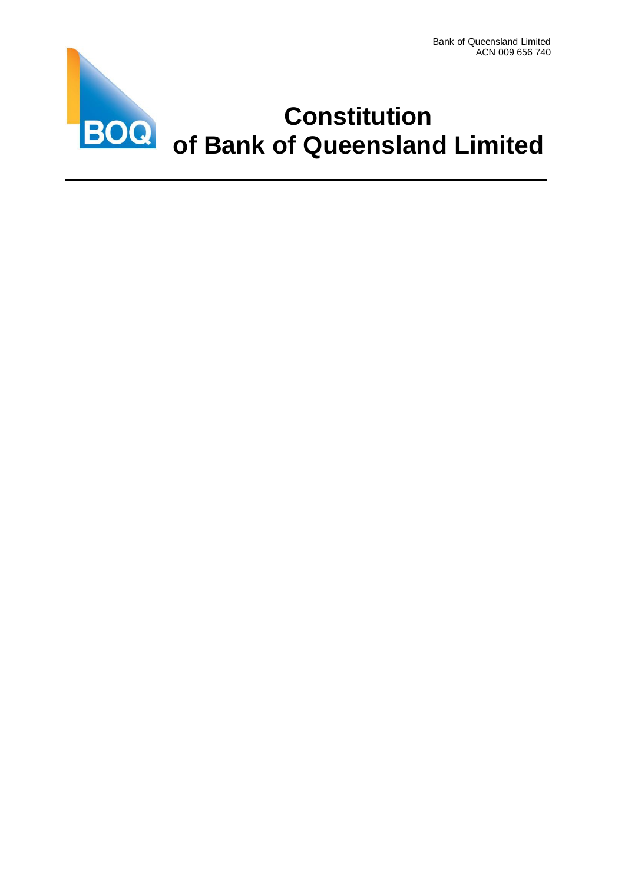

# **Constitution of Bank of Queensland Limited**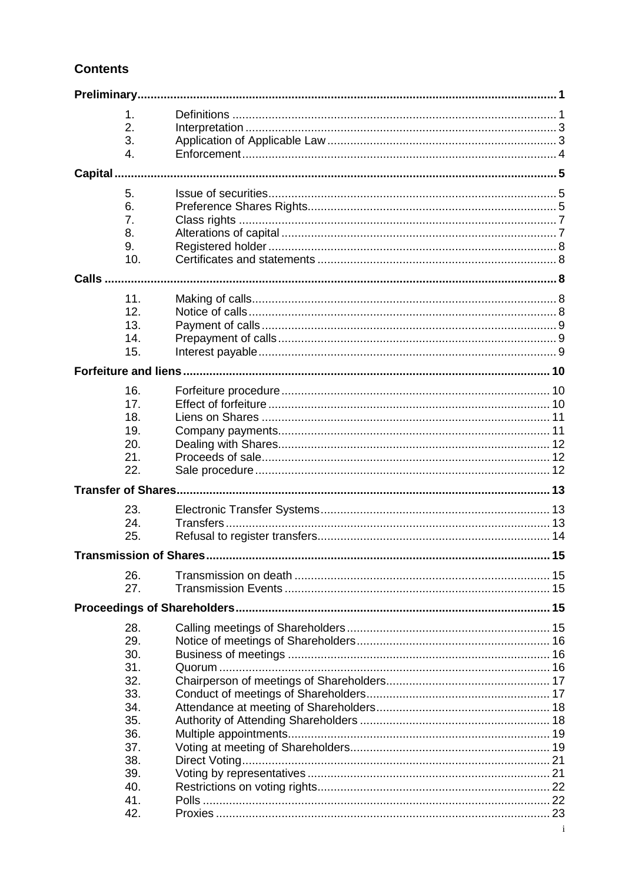## **Contents**

|               | 1.         |  |  |  |  |  |
|---------------|------------|--|--|--|--|--|
|               | 2.         |  |  |  |  |  |
|               | 3.         |  |  |  |  |  |
|               | 4.         |  |  |  |  |  |
|               |            |  |  |  |  |  |
| Capital       |            |  |  |  |  |  |
|               | 5.         |  |  |  |  |  |
|               | 6.         |  |  |  |  |  |
|               | 7.         |  |  |  |  |  |
|               | 8.         |  |  |  |  |  |
|               | 9.         |  |  |  |  |  |
|               | 10.        |  |  |  |  |  |
| <b>Calls </b> |            |  |  |  |  |  |
|               |            |  |  |  |  |  |
|               | 11.        |  |  |  |  |  |
|               | 12.        |  |  |  |  |  |
|               | 13.        |  |  |  |  |  |
|               | 14.        |  |  |  |  |  |
|               | 15.        |  |  |  |  |  |
|               |            |  |  |  |  |  |
|               |            |  |  |  |  |  |
|               | 16.        |  |  |  |  |  |
|               | 17.        |  |  |  |  |  |
|               | 18.        |  |  |  |  |  |
|               | 19.        |  |  |  |  |  |
|               | 20.        |  |  |  |  |  |
|               | 21.        |  |  |  |  |  |
|               | 22.        |  |  |  |  |  |
|               |            |  |  |  |  |  |
|               | 23.        |  |  |  |  |  |
|               | 24.        |  |  |  |  |  |
|               | 25.        |  |  |  |  |  |
|               |            |  |  |  |  |  |
|               |            |  |  |  |  |  |
|               | 26.        |  |  |  |  |  |
|               | 27.        |  |  |  |  |  |
|               |            |  |  |  |  |  |
|               |            |  |  |  |  |  |
|               | 28.        |  |  |  |  |  |
|               | 29.        |  |  |  |  |  |
|               | 30.        |  |  |  |  |  |
|               | 31.        |  |  |  |  |  |
|               | 32.<br>33. |  |  |  |  |  |
|               | 34.        |  |  |  |  |  |
|               | 35.        |  |  |  |  |  |
|               | 36.        |  |  |  |  |  |
|               | 37.        |  |  |  |  |  |
|               | 38.        |  |  |  |  |  |
|               | 39.        |  |  |  |  |  |
|               | 40.        |  |  |  |  |  |
|               | 41.        |  |  |  |  |  |
|               | 42.        |  |  |  |  |  |
|               |            |  |  |  |  |  |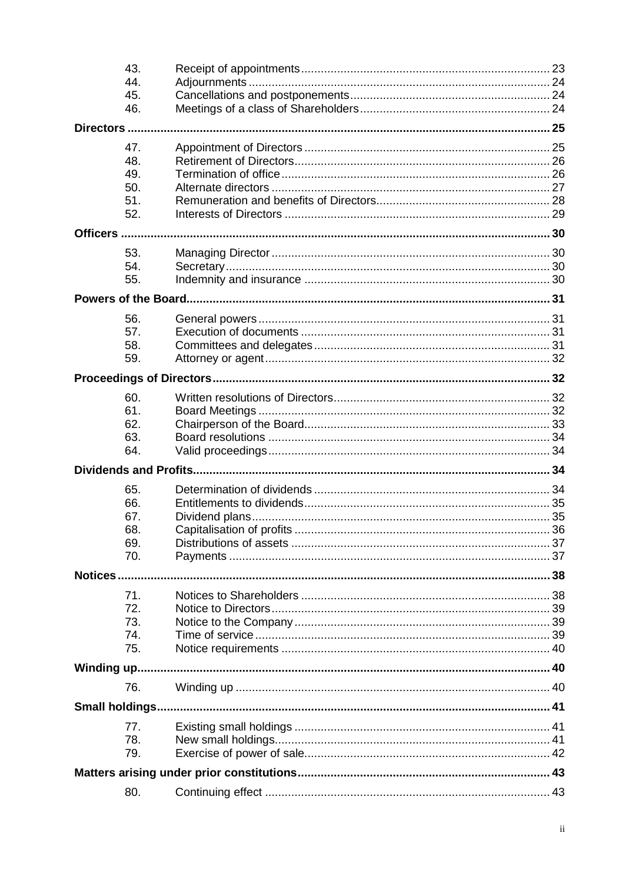|             | 80.                           |  |  |  |  |  |
|-------------|-------------------------------|--|--|--|--|--|
|             |                               |  |  |  |  |  |
|             | 79.                           |  |  |  |  |  |
|             | 78.                           |  |  |  |  |  |
|             | 77.                           |  |  |  |  |  |
|             |                               |  |  |  |  |  |
|             | 76.                           |  |  |  |  |  |
| Winding up. |                               |  |  |  |  |  |
|             | 75.                           |  |  |  |  |  |
|             | 74.                           |  |  |  |  |  |
|             | 73.                           |  |  |  |  |  |
|             | 72.                           |  |  |  |  |  |
|             | 71.                           |  |  |  |  |  |
| Notices     |                               |  |  |  |  |  |
|             |                               |  |  |  |  |  |
|             | 69.<br>70.                    |  |  |  |  |  |
|             | 68.                           |  |  |  |  |  |
|             | 67.                           |  |  |  |  |  |
|             | 66.                           |  |  |  |  |  |
|             | 65.                           |  |  |  |  |  |
|             | <b>Dividends and Profits.</b> |  |  |  |  |  |
|             |                               |  |  |  |  |  |
|             | 63.<br>64.                    |  |  |  |  |  |
|             | 62.                           |  |  |  |  |  |
|             | 61.                           |  |  |  |  |  |
|             | 60.                           |  |  |  |  |  |
|             |                               |  |  |  |  |  |
|             |                               |  |  |  |  |  |
|             | 59.                           |  |  |  |  |  |
|             | 57.<br>58.                    |  |  |  |  |  |
|             | 56.                           |  |  |  |  |  |
|             |                               |  |  |  |  |  |
|             |                               |  |  |  |  |  |
|             | 55.                           |  |  |  |  |  |
|             | 54.                           |  |  |  |  |  |
|             | 53.                           |  |  |  |  |  |
| Officers    |                               |  |  |  |  |  |
|             | 52.                           |  |  |  |  |  |
|             | 51.                           |  |  |  |  |  |
|             | 50.                           |  |  |  |  |  |
|             | 49.                           |  |  |  |  |  |
|             | 48.                           |  |  |  |  |  |
|             | 47.                           |  |  |  |  |  |
|             | Directors                     |  |  |  |  |  |
|             | 46.                           |  |  |  |  |  |
|             | 45.                           |  |  |  |  |  |
|             | 44.                           |  |  |  |  |  |
|             | 43.                           |  |  |  |  |  |
|             |                               |  |  |  |  |  |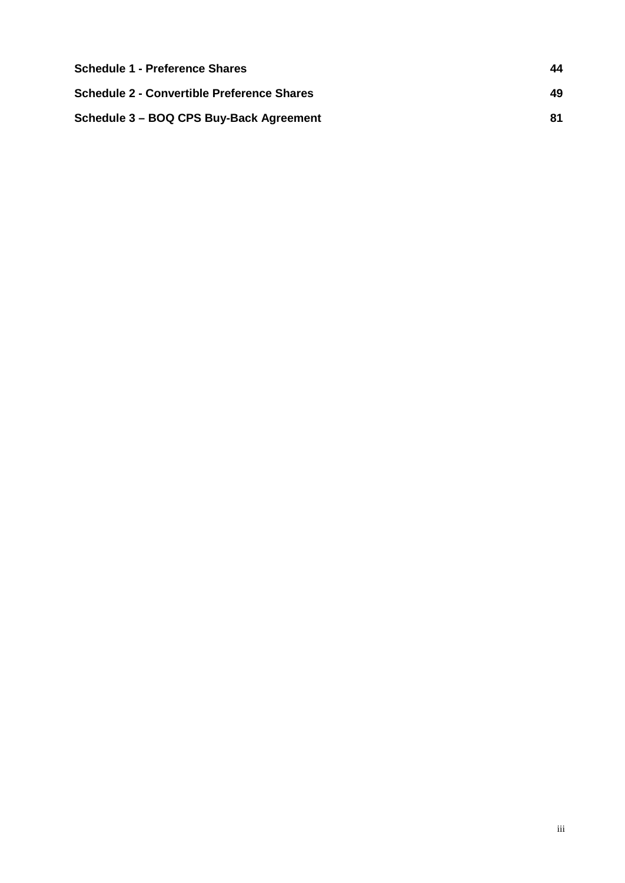| <b>Schedule 1 - Preference Shares</b>      | 44 |
|--------------------------------------------|----|
| Schedule 2 - Convertible Preference Shares | 49 |
| Schedule 3 - BOQ CPS Buy-Back Agreement    | 81 |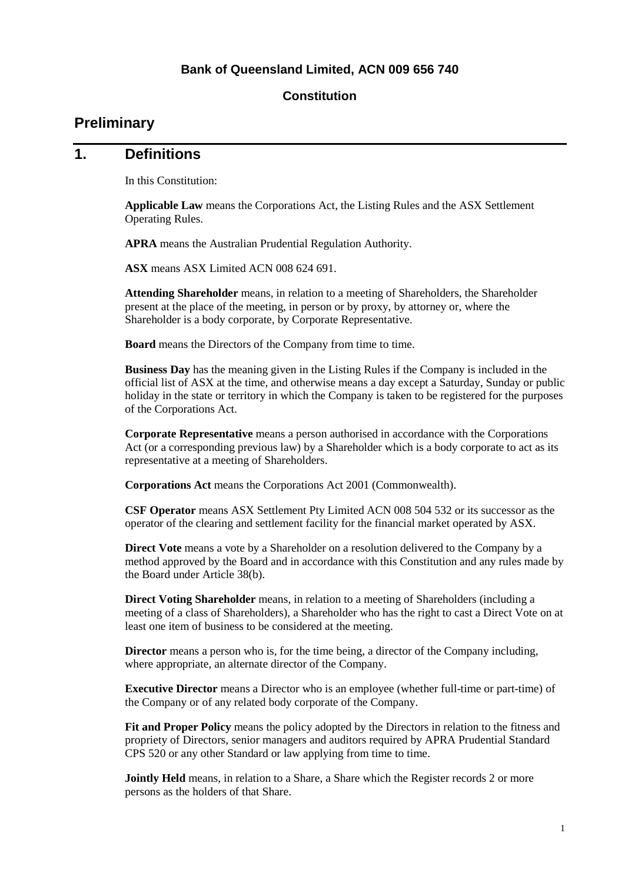#### **Bank of Queensland Limited, ACN 009 656 740**

#### **Constitution**

## <span id="page-5-0"></span>**Preliminary**

#### <span id="page-5-1"></span>**1. Definitions**

In this Constitution:

**Applicable Law** means the Corporations Act, the Listing Rules and the ASX Settlement Operating Rules.

**APRA** means the Australian Prudential Regulation Authority.

**ASX** means ASX Limited ACN 008 624 691.

**Attending Shareholder** means, in relation to a meeting of Shareholders, the Shareholder present at the place of the meeting, in person or by proxy, by attorney or, where the Shareholder is a body corporate, by Corporate Representative.

**Board** means the Directors of the Company from time to time.

**Business Day** has the meaning given in the Listing Rules if the Company is included in the official list of ASX at the time, and otherwise means a day except a Saturday, Sunday or public holiday in the state or territory in which the Company is taken to be registered for the purposes of the Corporations Act.

**Corporate Representative** means a person authorised in accordance with the Corporations Act (or a corresponding previous law) by a Shareholder which is a body corporate to act as its representative at a meeting of Shareholders.

**Corporations Act** means the Corporations Act 2001 (Commonwealth).

**CSF Operator** means ASX Settlement Pty Limited ACN 008 504 532 or its successor as the operator of the clearing and settlement facility for the financial market operated by ASX.

**Direct Vote** means a vote by a Shareholder on a resolution delivered to the Company by a method approved by the Board and in accordance with this Constitution and any rules made by the Board under Article [38\(b\).](#page-25-2)

**Direct Voting Shareholder** means, in relation to a meeting of Shareholders (including a meeting of a class of Shareholders), a Shareholder who has the right to cast a Direct Vote on at least one item of business to be considered at the meeting.

**Director** means a person who is, for the time being, a director of the Company including, where appropriate, an alternate director of the Company.

**Executive Director** means a Director who is an employee (whether full-time or part-time) of the Company or of any related body corporate of the Company.

**Fit and Proper Policy** means the policy adopted by the Directors in relation to the fitness and propriety of Directors, senior managers and auditors required by APRA Prudential Standard CPS 520 or any other Standard or law applying from time to time.

**Jointly Held** means, in relation to a Share, a Share which the Register records 2 or more persons as the holders of that Share.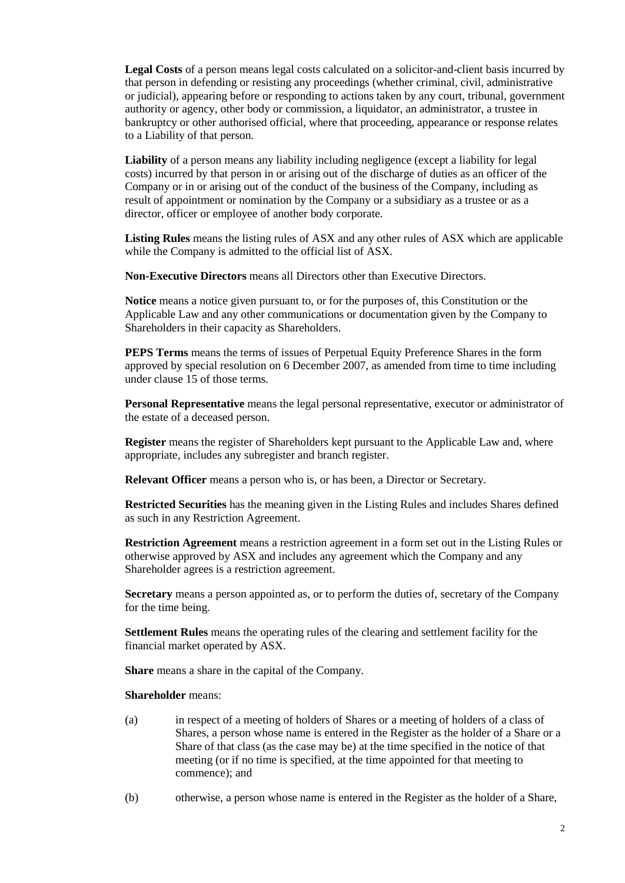**Legal Costs** of a person means legal costs calculated on a solicitor-and-client basis incurred by that person in defending or resisting any proceedings (whether criminal, civil, administrative or judicial), appearing before or responding to actions taken by any court, tribunal, government authority or agency, other body or commission, a liquidator, an administrator, a trustee in bankruptcy or other authorised official, where that proceeding, appearance or response relates to a Liability of that person.

**Liability** of a person means any liability including negligence (except a liability for legal costs) incurred by that person in or arising out of the discharge of duties as an officer of the Company or in or arising out of the conduct of the business of the Company, including as result of appointment or nomination by the Company or a subsidiary as a trustee or as a director, officer or employee of another body corporate.

**Listing Rules** means the listing rules of ASX and any other rules of ASX which are applicable while the Company is admitted to the official list of ASX.

**Non-Executive Directors** means all Directors other than Executive Directors.

**Notice** means a notice given pursuant to, or for the purposes of, this Constitution or the Applicable Law and any other communications or documentation given by the Company to Shareholders in their capacity as Shareholders.

**PEPS Terms** means the terms of issues of Perpetual Equity Preference Shares in the form approved by special resolution on 6 December 2007, as amended from time to time including under clause 15 of those terms.

**Personal Representative** means the legal personal representative, executor or administrator of the estate of a deceased person.

**Register** means the register of Shareholders kept pursuant to the Applicable Law and, where appropriate, includes any subregister and branch register.

**Relevant Officer** means a person who is, or has been, a Director or Secretary.

**Restricted Securities** has the meaning given in the Listing Rules and includes Shares defined as such in any Restriction Agreement.

**Restriction Agreement** means a restriction agreement in a form set out in the Listing Rules or otherwise approved by ASX and includes any agreement which the Company and any Shareholder agrees is a restriction agreement.

**Secretary** means a person appointed as, or to perform the duties of, secretary of the Company for the time being.

**Settlement Rules** means the operating rules of the clearing and settlement facility for the financial market operated by ASX.

**Share** means a share in the capital of the Company.

#### **Shareholder** means:

- (a) in respect of a meeting of holders of Shares or a meeting of holders of a class of Shares, a person whose name is entered in the Register as the holder of a Share or a Share of that class (as the case may be) at the time specified in the notice of that meeting (or if no time is specified, at the time appointed for that meeting to commence); and
- (b) otherwise, a person whose name is entered in the Register as the holder of a Share,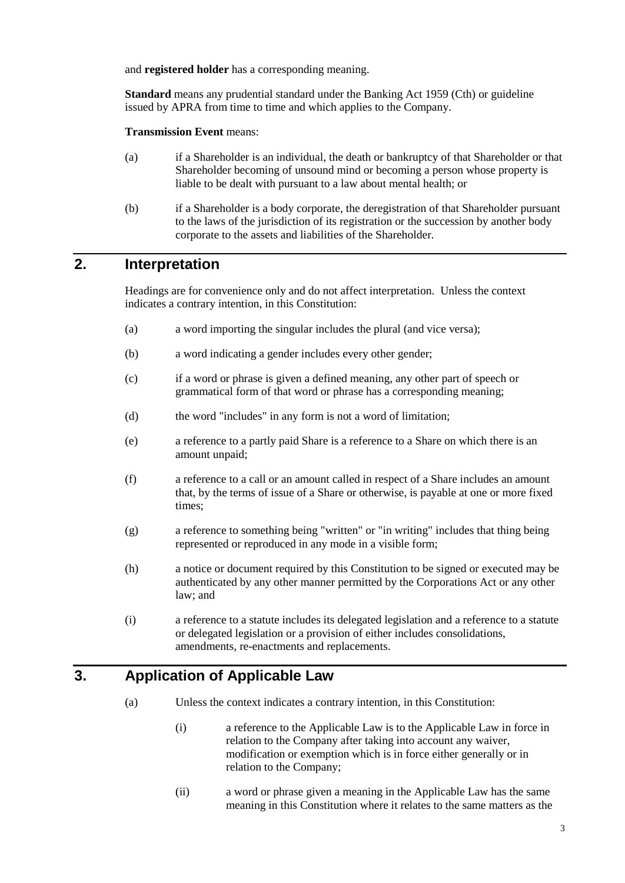and **registered holder** has a corresponding meaning.

**Standard** means any prudential standard under the Banking Act 1959 (Cth) or guideline issued by APRA from time to time and which applies to the Company.

**Transmission Event** means:

- (a) if a Shareholder is an individual, the death or bankruptcy of that Shareholder or that Shareholder becoming of unsound mind or becoming a person whose property is liable to be dealt with pursuant to a law about mental health; or
- (b) if a Shareholder is a body corporate, the deregistration of that Shareholder pursuant to the laws of the jurisdiction of its registration or the succession by another body corporate to the assets and liabilities of the Shareholder.

## <span id="page-7-0"></span>**2. Interpretation**

Headings are for convenience only and do not affect interpretation. Unless the context indicates a contrary intention, in this Constitution:

- (a) a word importing the singular includes the plural (and vice versa);
- (b) a word indicating a gender includes every other gender;
- (c) if a word or phrase is given a defined meaning, any other part of speech or grammatical form of that word or phrase has a corresponding meaning;
- (d) the word "includes" in any form is not a word of limitation;
- (e) a reference to a partly paid Share is a reference to a Share on which there is an amount unpaid;
- (f) a reference to a call or an amount called in respect of a Share includes an amount that, by the terms of issue of a Share or otherwise, is payable at one or more fixed times;
- (g) a reference to something being "written" or "in writing" includes that thing being represented or reproduced in any mode in a visible form;
- (h) a notice or document required by this Constitution to be signed or executed may be authenticated by any other manner permitted by the Corporations Act or any other law; and
- (i) a reference to a statute includes its delegated legislation and a reference to a statute or delegated legislation or a provision of either includes consolidations, amendments, re-enactments and replacements.

## <span id="page-7-1"></span>**3. Application of Applicable Law**

- (a) Unless the context indicates a contrary intention, in this Constitution:
	- (i) a reference to the Applicable Law is to the Applicable Law in force in relation to the Company after taking into account any waiver, modification or exemption which is in force either generally or in relation to the Company;
	- (ii) a word or phrase given a meaning in the Applicable Law has the same meaning in this Constitution where it relates to the same matters as the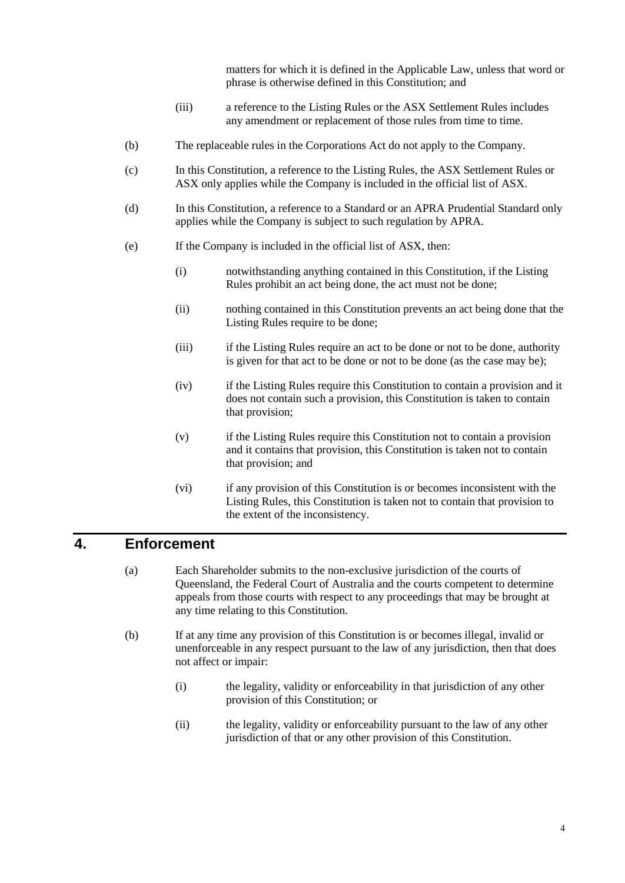matters for which it is defined in the Applicable Law, unless that word or phrase is otherwise defined in this Constitution; and

- (iii) a reference to the Listing Rules or the ASX Settlement Rules includes any amendment or replacement of those rules from time to time.
- (b) The replaceable rules in the Corporations Act do not apply to the Company.
- (c) In this Constitution, a reference to the Listing Rules, the ASX Settlement Rules or ASX only applies while the Company is included in the official list of ASX.
- (d) In this Constitution, a reference to a Standard or an APRA Prudential Standard only applies while the Company is subject to such regulation by APRA.
- (e) If the Company is included in the official list of ASX, then:
	- (i) notwithstanding anything contained in this Constitution, if the Listing Rules prohibit an act being done, the act must not be done;
	- (ii) nothing contained in this Constitution prevents an act being done that the Listing Rules require to be done;
	- (iii) if the Listing Rules require an act to be done or not to be done, authority is given for that act to be done or not to be done (as the case may be);
	- (iv) if the Listing Rules require this Constitution to contain a provision and it does not contain such a provision, this Constitution is taken to contain that provision;
	- (v) if the Listing Rules require this Constitution not to contain a provision and it contains that provision, this Constitution is taken not to contain that provision; and
	- (vi) if any provision of this Constitution is or becomes inconsistent with the Listing Rules, this Constitution is taken not to contain that provision to the extent of the inconsistency.

#### <span id="page-8-0"></span>**4. Enforcement**

- (a) Each Shareholder submits to the non-exclusive jurisdiction of the courts of Queensland, the Federal Court of Australia and the courts competent to determine appeals from those courts with respect to any proceedings that may be brought at any time relating to this Constitution.
- (b) If at any time any provision of this Constitution is or becomes illegal, invalid or unenforceable in any respect pursuant to the law of any jurisdiction, then that does not affect or impair:
	- (i) the legality, validity or enforceability in that jurisdiction of any other provision of this Constitution; or
	- (ii) the legality, validity or enforceability pursuant to the law of any other jurisdiction of that or any other provision of this Constitution.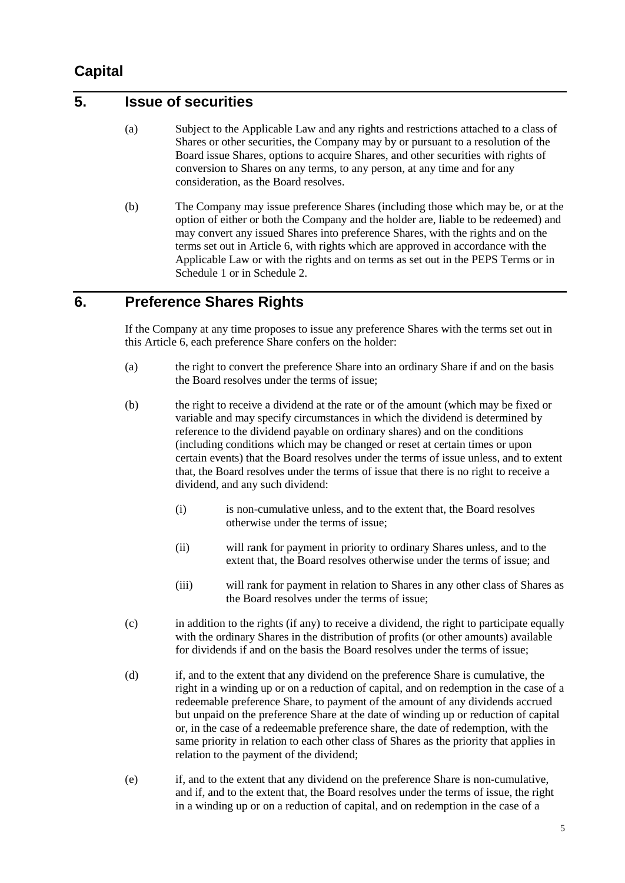# <span id="page-9-0"></span>**Capital**

## <span id="page-9-1"></span>**5. Issue of securities**

- (a) Subject to the Applicable Law and any rights and restrictions attached to a class of Shares or other securities, the Company may by or pursuant to a resolution of the Board issue Shares, options to acquire Shares, and other securities with rights of conversion to Shares on any terms, to any person, at any time and for any consideration, as the Board resolves.
- (b) The Company may issue preference Shares (including those which may be, or at the option of either or both the Company and the holder are, liable to be redeemed) and may convert any issued Shares into preference Shares, with the rights and on the terms set out in Article [6,](#page-9-2) with rights which are approved in accordance with the Applicable Law or with the rights and on terms as set out in the PEPS Terms or in [Schedule 1](#page-48-0) or in [Schedule 2.](#page-53-0)

#### <span id="page-9-2"></span>**6. Preference Shares Rights**

If the Company at any time proposes to issue any preference Shares with the terms set out in this Article [6,](#page-9-2) each preference Share confers on the holder:

- (a) the right to convert the preference Share into an ordinary Share if and on the basis the Board resolves under the terms of issue;
- <span id="page-9-3"></span>(b) the right to receive a dividend at the rate or of the amount (which may be fixed or variable and may specify circumstances in which the dividend is determined by reference to the dividend payable on ordinary shares) and on the conditions (including conditions which may be changed or reset at certain times or upon certain events) that the Board resolves under the terms of issue unless, and to extent that, the Board resolves under the terms of issue that there is no right to receive a dividend, and any such dividend:
	- (i) is non-cumulative unless, and to the extent that, the Board resolves otherwise under the terms of issue;
	- (ii) will rank for payment in priority to ordinary Shares unless, and to the extent that, the Board resolves otherwise under the terms of issue; and
	- (iii) will rank for payment in relation to Shares in any other class of Shares as the Board resolves under the terms of issue;
- <span id="page-9-4"></span>(c) in addition to the rights (if any) to receive a dividend, the right to participate equally with the ordinary Shares in the distribution of profits (or other amounts) available for dividends if and on the basis the Board resolves under the terms of issue;
- <span id="page-9-5"></span>(d) if, and to the extent that any dividend on the preference Share is cumulative, the right in a winding up or on a reduction of capital, and on redemption in the case of a redeemable preference Share, to payment of the amount of any dividends accrued but unpaid on the preference Share at the date of winding up or reduction of capital or, in the case of a redeemable preference share, the date of redemption, with the same priority in relation to each other class of Shares as the priority that applies in relation to the payment of the dividend;
- <span id="page-9-6"></span>(e) if, and to the extent that any dividend on the preference Share is non-cumulative, and if, and to the extent that, the Board resolves under the terms of issue, the right in a winding up or on a reduction of capital, and on redemption in the case of a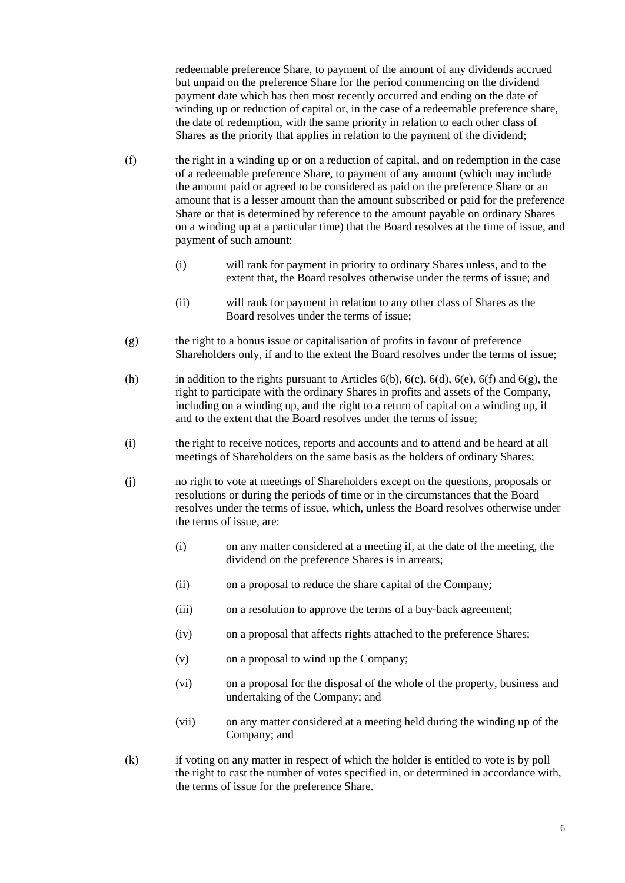redeemable preference Share, to payment of the amount of any dividends accrued but unpaid on the preference Share for the period commencing on the dividend payment date which has then most recently occurred and ending on the date of winding up or reduction of capital or, in the case of a redeemable preference share. the date of redemption, with the same priority in relation to each other class of Shares as the priority that applies in relation to the payment of the dividend;

- <span id="page-10-0"></span>(f) the right in a winding up or on a reduction of capital, and on redemption in the case of a redeemable preference Share, to payment of any amount (which may include the amount paid or agreed to be considered as paid on the preference Share or an amount that is a lesser amount than the amount subscribed or paid for the preference Share or that is determined by reference to the amount payable on ordinary Shares on a winding up at a particular time) that the Board resolves at the time of issue, and payment of such amount:
	- (i) will rank for payment in priority to ordinary Shares unless, and to the extent that, the Board resolves otherwise under the terms of issue; and
	- (ii) will rank for payment in relation to any other class of Shares as the Board resolves under the terms of issue;
- <span id="page-10-1"></span>(g) the right to a bonus issue or capitalisation of profits in favour of preference Shareholders only, if and to the extent the Board resolves under the terms of issue;
- (h) in addition to the rights pursuant to Articles  $6(b)$ ,  $6(c)$ ,  $6(d)$ ,  $6(e)$ ,  $6(f)$  and  $6(g)$ , the right to participate with the ordinary Shares in profits and assets of the Company, including on a winding up, and the right to a return of capital on a winding up, if and to the extent that the Board resolves under the terms of issue;
- (i) the right to receive notices, reports and accounts and to attend and be heard at all meetings of Shareholders on the same basis as the holders of ordinary Shares;
- (j) no right to vote at meetings of Shareholders except on the questions, proposals or resolutions or during the periods of time or in the circumstances that the Board resolves under the terms of issue, which, unless the Board resolves otherwise under the terms of issue, are:
	- (i) on any matter considered at a meeting if, at the date of the meeting, the dividend on the preference Shares is in arrears;
	- (ii) on a proposal to reduce the share capital of the Company;
	- (iii) on a resolution to approve the terms of a buy-back agreement;
	- (iv) on a proposal that affects rights attached to the preference Shares;
	- (v) on a proposal to wind up the Company;
	- (vi) on a proposal for the disposal of the whole of the property, business and undertaking of the Company; and
	- (vii) on any matter considered at a meeting held during the winding up of the Company; and
- (k) if voting on any matter in respect of which the holder is entitled to vote is by poll the right to cast the number of votes specified in, or determined in accordance with, the terms of issue for the preference Share.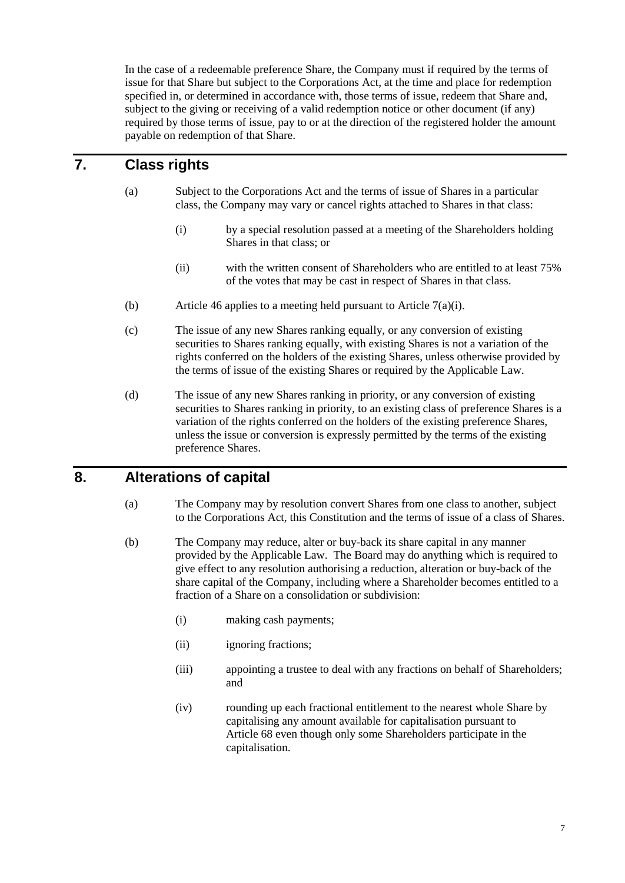In the case of a redeemable preference Share, the Company must if required by the terms of issue for that Share but subject to the Corporations Act, at the time and place for redemption specified in, or determined in accordance with, those terms of issue, redeem that Share and, subject to the giving or receiving of a valid redemption notice or other document (if any) required by those terms of issue, pay to or at the direction of the registered holder the amount payable on redemption of that Share.

# <span id="page-11-0"></span>**7. Class rights**

- <span id="page-11-2"></span>(a) Subject to the Corporations Act and the terms of issue of Shares in a particular class, the Company may vary or cancel rights attached to Shares in that class:
	- (i) by a special resolution passed at a meeting of the Shareholders holding Shares in that class; or
	- (ii) with the written consent of Shareholders who are entitled to at least 75% of the votes that may be cast in respect of Shares in that class.
- (b) Article [46](#page-28-2) applies to a meeting held pursuant to Article  $7(a)(i)$ .
- (c) The issue of any new Shares ranking equally, or any conversion of existing securities to Shares ranking equally, with existing Shares is not a variation of the rights conferred on the holders of the existing Shares, unless otherwise provided by the terms of issue of the existing Shares or required by the Applicable Law.
- (d) The issue of any new Shares ranking in priority, or any conversion of existing securities to Shares ranking in priority, to an existing class of preference Shares is a variation of the rights conferred on the holders of the existing preference Shares, unless the issue or conversion is expressly permitted by the terms of the existing preference Shares.

## <span id="page-11-1"></span>**8. Alterations of capital**

- (a) The Company may by resolution convert Shares from one class to another, subject to the Corporations Act, this Constitution and the terms of issue of a class of Shares.
- (b) The Company may reduce, alter or buy-back its share capital in any manner provided by the Applicable Law. The Board may do anything which is required to give effect to any resolution authorising a reduction, alteration or buy-back of the share capital of the Company, including where a Shareholder becomes entitled to a fraction of a Share on a consolidation or subdivision:
	- (i) making cash payments;
	- (ii) ignoring fractions;
	- (iii) appointing a trustee to deal with any fractions on behalf of Shareholders; and
	- (iv) rounding up each fractional entitlement to the nearest whole Share by capitalising any amount available for capitalisation pursuant to Article [68](#page-40-0) even though only some Shareholders participate in the capitalisation.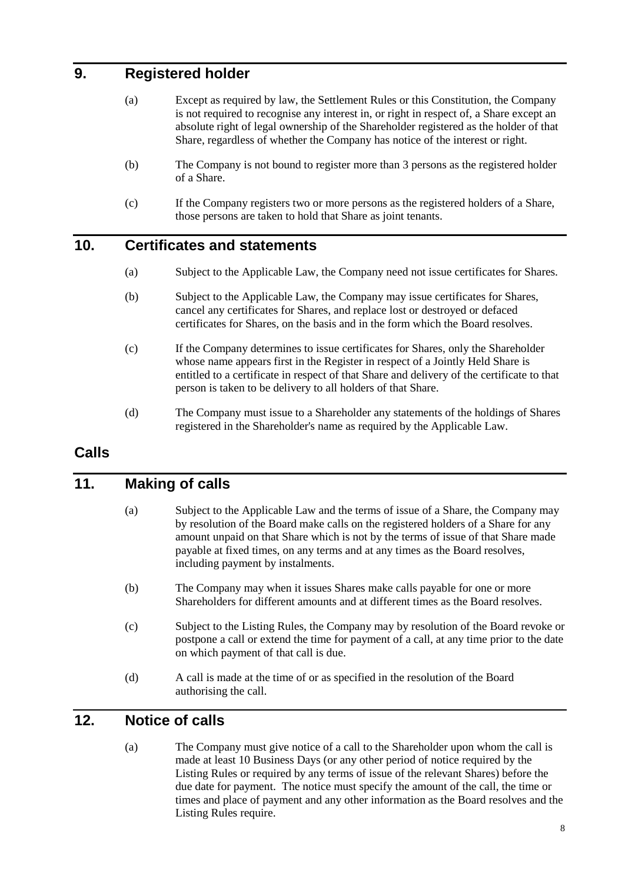## <span id="page-12-0"></span>**9. Registered holder**

- (a) Except as required by law, the Settlement Rules or this Constitution, the Company is not required to recognise any interest in, or right in respect of, a Share except an absolute right of legal ownership of the Shareholder registered as the holder of that Share, regardless of whether the Company has notice of the interest or right.
- (b) The Company is not bound to register more than 3 persons as the registered holder of a Share.
- (c) If the Company registers two or more persons as the registered holders of a Share, those persons are taken to hold that Share as joint tenants.

#### <span id="page-12-1"></span>**10. Certificates and statements**

- (a) Subject to the Applicable Law, the Company need not issue certificates for Shares.
- (b) Subject to the Applicable Law, the Company may issue certificates for Shares, cancel any certificates for Shares, and replace lost or destroyed or defaced certificates for Shares, on the basis and in the form which the Board resolves.
- (c) If the Company determines to issue certificates for Shares, only the Shareholder whose name appears first in the Register in respect of a Jointly Held Share is entitled to a certificate in respect of that Share and delivery of the certificate to that person is taken to be delivery to all holders of that Share.
- (d) The Company must issue to a Shareholder any statements of the holdings of Shares registered in the Shareholder's name as required by the Applicable Law.

## <span id="page-12-2"></span>**Calls**

## <span id="page-12-3"></span>**11. Making of calls**

- (a) Subject to the Applicable Law and the terms of issue of a Share, the Company may by resolution of the Board make calls on the registered holders of a Share for any amount unpaid on that Share which is not by the terms of issue of that Share made payable at fixed times, on any terms and at any times as the Board resolves, including payment by instalments.
- (b) The Company may when it issues Shares make calls payable for one or more Shareholders for different amounts and at different times as the Board resolves.
- (c) Subject to the Listing Rules, the Company may by resolution of the Board revoke or postpone a call or extend the time for payment of a call, at any time prior to the date on which payment of that call is due.
- (d) A call is made at the time of or as specified in the resolution of the Board authorising the call.

## <span id="page-12-4"></span>**12. Notice of calls**

(a) The Company must give notice of a call to the Shareholder upon whom the call is made at least 10 Business Days (or any other period of notice required by the Listing Rules or required by any terms of issue of the relevant Shares) before the due date for payment. The notice must specify the amount of the call, the time or times and place of payment and any other information as the Board resolves and the Listing Rules require.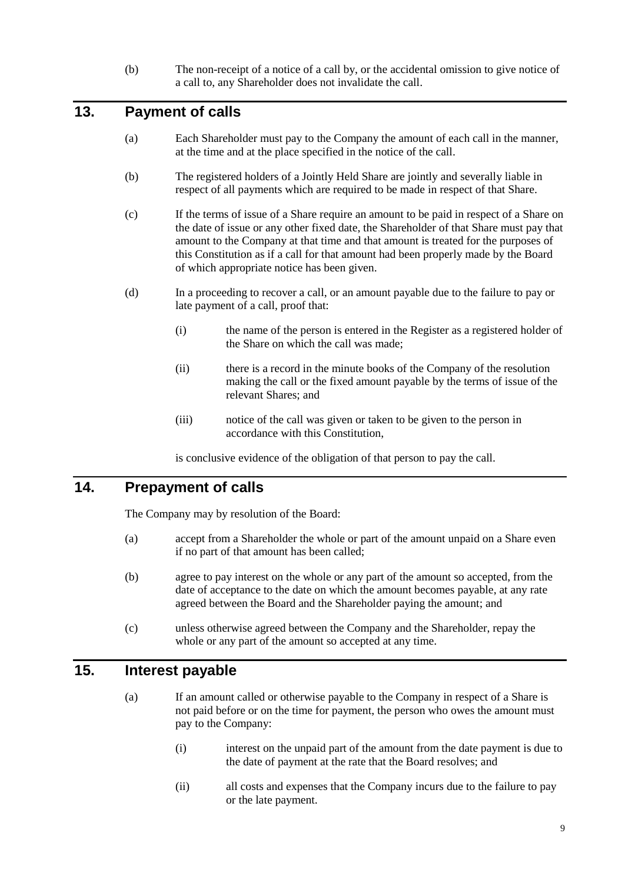(b) The non-receipt of a notice of a call by, or the accidental omission to give notice of a call to, any Shareholder does not invalidate the call.

## <span id="page-13-0"></span>**13. Payment of calls**

- (a) Each Shareholder must pay to the Company the amount of each call in the manner, at the time and at the place specified in the notice of the call.
- (b) The registered holders of a Jointly Held Share are jointly and severally liable in respect of all payments which are required to be made in respect of that Share.
- (c) If the terms of issue of a Share require an amount to be paid in respect of a Share on the date of issue or any other fixed date, the Shareholder of that Share must pay that amount to the Company at that time and that amount is treated for the purposes of this Constitution as if a call for that amount had been properly made by the Board of which appropriate notice has been given.
- (d) In a proceeding to recover a call, or an amount payable due to the failure to pay or late payment of a call, proof that:
	- (i) the name of the person is entered in the Register as a registered holder of the Share on which the call was made;
	- (ii) there is a record in the minute books of the Company of the resolution making the call or the fixed amount payable by the terms of issue of the relevant Shares; and
	- (iii) notice of the call was given or taken to be given to the person in accordance with this Constitution,

is conclusive evidence of the obligation of that person to pay the call.

#### <span id="page-13-1"></span>**14. Prepayment of calls**

The Company may by resolution of the Board:

- (a) accept from a Shareholder the whole or part of the amount unpaid on a Share even if no part of that amount has been called;
- (b) agree to pay interest on the whole or any part of the amount so accepted, from the date of acceptance to the date on which the amount becomes payable, at any rate agreed between the Board and the Shareholder paying the amount; and
- (c) unless otherwise agreed between the Company and the Shareholder, repay the whole or any part of the amount so accepted at any time.

#### <span id="page-13-3"></span><span id="page-13-2"></span>**15. Interest payable**

- (a) If an amount called or otherwise payable to the Company in respect of a Share is not paid before or on the time for payment, the person who owes the amount must pay to the Company:
	- (i) interest on the unpaid part of the amount from the date payment is due to the date of payment at the rate that the Board resolves; and
	- (ii) all costs and expenses that the Company incurs due to the failure to pay or the late payment.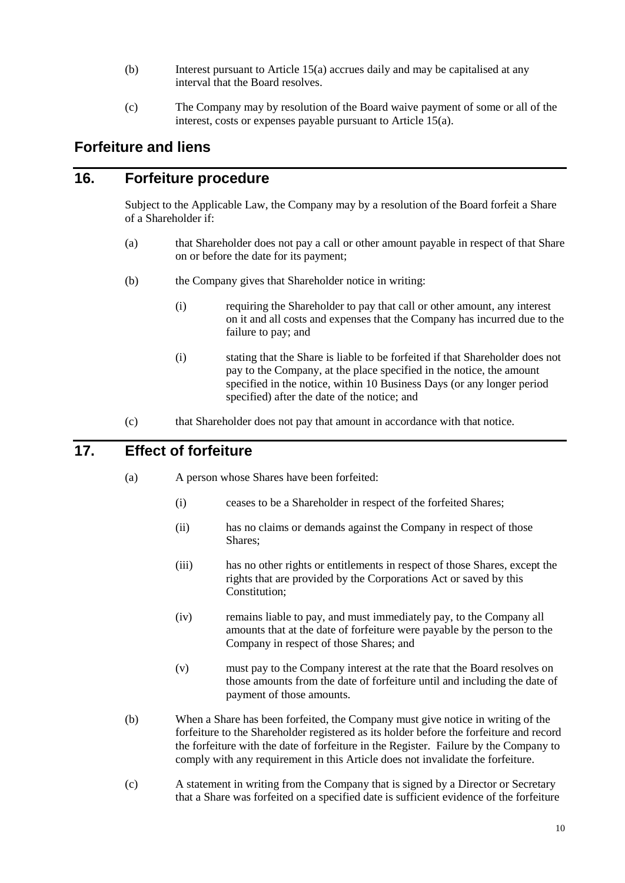- (b) Interest pursuant to Article [15\(a\)](#page-13-3) accrues daily and may be capitalised at any interval that the Board resolves.
- (c) The Company may by resolution of the Board waive payment of some or all of the interest, costs or expenses payable pursuant to Article [15\(a\).](#page-13-3)

## <span id="page-14-0"></span>**Forfeiture and liens**

#### <span id="page-14-1"></span>**16. Forfeiture procedure**

Subject to the Applicable Law, the Company may by a resolution of the Board forfeit a Share of a Shareholder if:

- (a) that Shareholder does not pay a call or other amount payable in respect of that Share on or before the date for its payment;
- (b) the Company gives that Shareholder notice in writing:
	- (i) requiring the Shareholder to pay that call or other amount, any interest on it and all costs and expenses that the Company has incurred due to the failure to pay; and
	- (i) stating that the Share is liable to be forfeited if that Shareholder does not pay to the Company, at the place specified in the notice, the amount specified in the notice, within 10 Business Days (or any longer period specified) after the date of the notice; and
- (c) that Shareholder does not pay that amount in accordance with that notice.

## <span id="page-14-2"></span>**17. Effect of forfeiture**

- (a) A person whose Shares have been forfeited:
	- (i) ceases to be a Shareholder in respect of the forfeited Shares;
	- (ii) has no claims or demands against the Company in respect of those Shares;
	- (iii) has no other rights or entitlements in respect of those Shares, except the rights that are provided by the Corporations Act or saved by this Constitution;
	- (iv) remains liable to pay, and must immediately pay, to the Company all amounts that at the date of forfeiture were payable by the person to the Company in respect of those Shares; and
	- (v) must pay to the Company interest at the rate that the Board resolves on those amounts from the date of forfeiture until and including the date of payment of those amounts.
- (b) When a Share has been forfeited, the Company must give notice in writing of the forfeiture to the Shareholder registered as its holder before the forfeiture and record the forfeiture with the date of forfeiture in the Register. Failure by the Company to comply with any requirement in this Article does not invalidate the forfeiture.
- (c) A statement in writing from the Company that is signed by a Director or Secretary that a Share was forfeited on a specified date is sufficient evidence of the forfeiture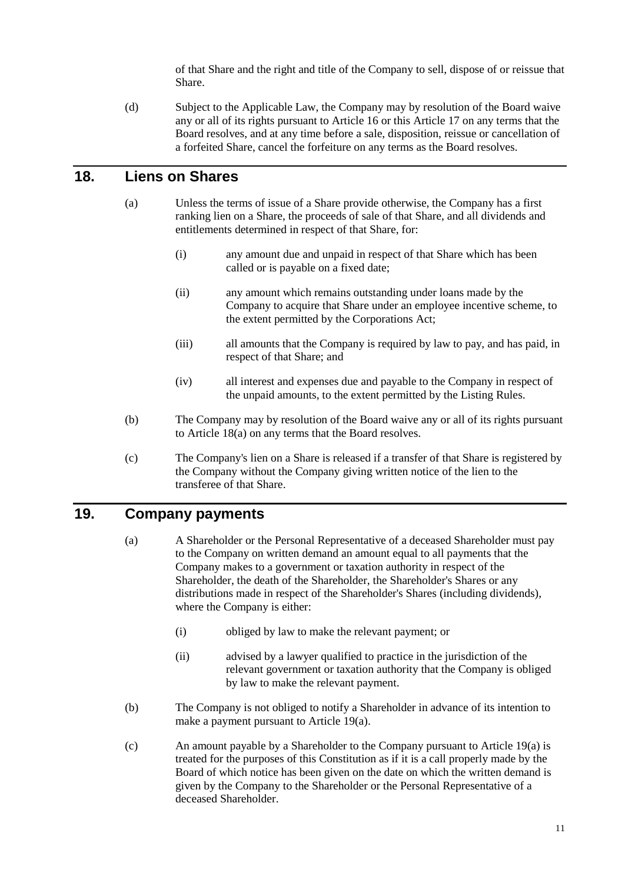of that Share and the right and title of the Company to sell, dispose of or reissue that Share.

(d) Subject to the Applicable Law, the Company may by resolution of the Board waive any or all of its rights pursuant to Article [16](#page-14-1) or this Article [17](#page-14-2) on any terms that the Board resolves, and at any time before a sale, disposition, reissue or cancellation of a forfeited Share, cancel the forfeiture on any terms as the Board resolves.

#### <span id="page-15-2"></span><span id="page-15-0"></span>**18. Liens on Shares**

- (a) Unless the terms of issue of a Share provide otherwise, the Company has a first ranking lien on a Share, the proceeds of sale of that Share, and all dividends and entitlements determined in respect of that Share, for:
	- (i) any amount due and unpaid in respect of that Share which has been called or is payable on a fixed date;
	- (ii) any amount which remains outstanding under loans made by the Company to acquire that Share under an employee incentive scheme, to the extent permitted by the Corporations Act;
	- (iii) all amounts that the Company is required by law to pay, and has paid, in respect of that Share; and
	- (iv) all interest and expenses due and payable to the Company in respect of the unpaid amounts, to the extent permitted by the Listing Rules.
- (b) The Company may by resolution of the Board waive any or all of its rights pursuant to Article [18](#page-15-0)[\(a\)](#page-15-2) on any terms that the Board resolves.
- (c) The Company's lien on a Share is released if a transfer of that Share is registered by the Company without the Company giving written notice of the lien to the transferee of that Share.

### <span id="page-15-3"></span><span id="page-15-1"></span>**19. Company payments**

- (a) A Shareholder or the Personal Representative of a deceased Shareholder must pay to the Company on written demand an amount equal to all payments that the Company makes to a government or taxation authority in respect of the Shareholder, the death of the Shareholder, the Shareholder's Shares or any distributions made in respect of the Shareholder's Shares (including dividends), where the Company is either:
	- (i) obliged by law to make the relevant payment; or
	- (ii) advised by a lawyer qualified to practice in the jurisdiction of the relevant government or taxation authority that the Company is obliged by law to make the relevant payment.
- (b) The Company is not obliged to notify a Shareholder in advance of its intention to make a payment pursuant to Article [19\(a\).](#page-15-3)
- (c) An amount payable by a Shareholder to the Company pursuant to Article [19\(a\)](#page-15-3) is treated for the purposes of this Constitution as if it is a call properly made by the Board of which notice has been given on the date on which the written demand is given by the Company to the Shareholder or the Personal Representative of a deceased Shareholder.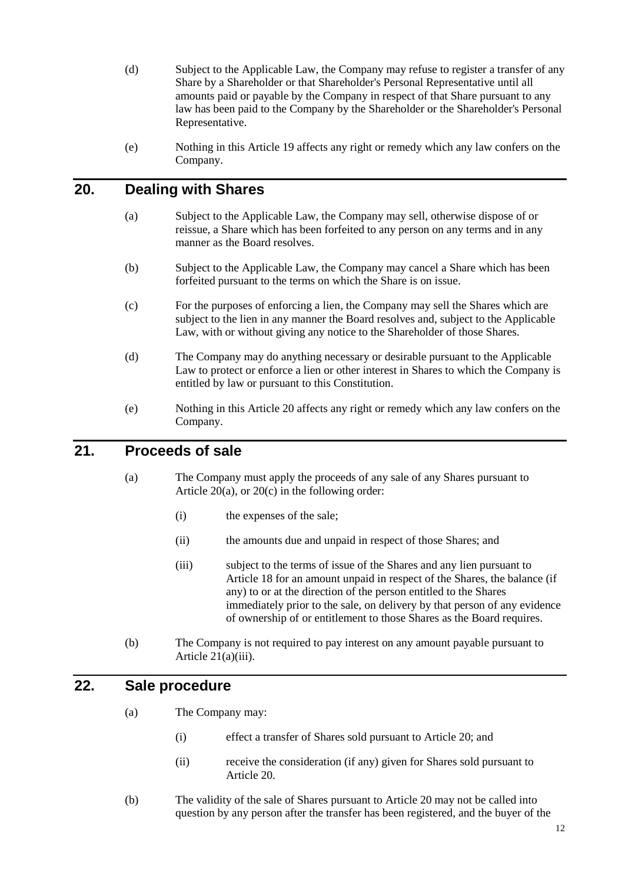- <span id="page-16-6"></span>(d) Subject to the Applicable Law, the Company may refuse to register a transfer of any Share by a Shareholder or that Shareholder's Personal Representative until all amounts paid or payable by the Company in respect of that Share pursuant to any law has been paid to the Company by the Shareholder or the Shareholder's Personal Representative.
- (e) Nothing in this Article [19](#page-15-1) affects any right or remedy which any law confers on the Company.

## <span id="page-16-3"></span><span id="page-16-0"></span>**20. Dealing with Shares**

- (a) Subject to the Applicable Law, the Company may sell, otherwise dispose of or reissue, a Share which has been forfeited to any person on any terms and in any manner as the Board resolves.
- (b) Subject to the Applicable Law, the Company may cancel a Share which has been forfeited pursuant to the terms on which the Share is on issue.
- <span id="page-16-4"></span>(c) For the purposes of enforcing a lien, the Company may sell the Shares which are subject to the lien in any manner the Board resolves and, subject to the Applicable Law, with or without giving any notice to the Shareholder of those Shares.
- (d) The Company may do anything necessary or desirable pursuant to the Applicable Law to protect or enforce a lien or other interest in Shares to which the Company is entitled by law or pursuant to this Constitution.
- (e) Nothing in this Article [20](#page-16-0) affects any right or remedy which any law confers on the Company.

#### <span id="page-16-1"></span>**21. Proceeds of sale**

- (a) The Company must apply the proceeds of any sale of any Shares pursuant to Article  $20(a)$ , or  $20(c)$  in the following order:
	- (i) the expenses of the sale;
	- (ii) the amounts due and unpaid in respect of those Shares; and
	- (iii) subject to the terms of issue of the Shares and any lien pursuant to Article [18](#page-15-0) for an amount unpaid in respect of the Shares, the balance (if any) to or at the direction of the person entitled to the Shares immediately prior to the sale, on delivery by that person of any evidence of ownership of or entitlement to those Shares as the Board requires.
- <span id="page-16-5"></span>(b) The Company is not required to pay interest on any amount payable pursuant to Article [21\(a\)\(iii\).](#page-16-5)

## <span id="page-16-2"></span>**22. Sale procedure**

- (a) The Company may:
	- (i) effect a transfer of Shares sold pursuant to Article [20;](#page-16-0) and
	- (ii) receive the consideration (if any) given for Shares sold pursuant to Article [20.](#page-16-0)
- (b) The validity of the sale of Shares pursuant to Article [20](#page-16-0) may not be called into question by any person after the transfer has been registered, and the buyer of the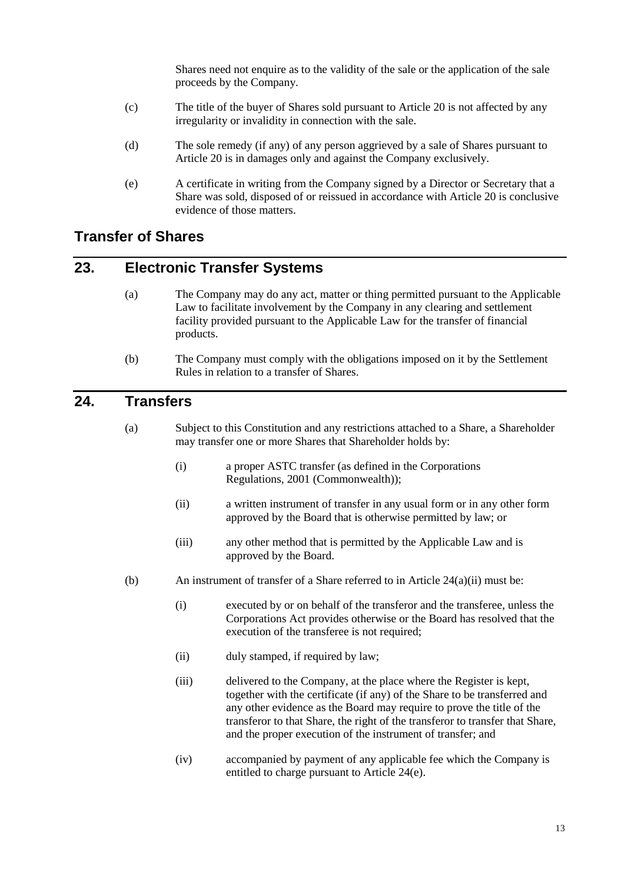Shares need not enquire as to the validity of the sale or the application of the sale proceeds by the Company.

- (c) The title of the buyer of Shares sold pursuant to Article [20](#page-16-0) is not affected by any irregularity or invalidity in connection with the sale.
- (d) The sole remedy (if any) of any person aggrieved by a sale of Shares pursuant to Article [20](#page-16-0) is in damages only and against the Company exclusively.
- (e) A certificate in writing from the Company signed by a Director or Secretary that a Share was sold, disposed of or reissued in accordance with Article [20](#page-16-0) is conclusive evidence of those matters.

## <span id="page-17-0"></span>**Transfer of Shares**

## <span id="page-17-1"></span>**23. Electronic Transfer Systems**

- (a) The Company may do any act, matter or thing permitted pursuant to the Applicable Law to facilitate involvement by the Company in any clearing and settlement facility provided pursuant to the Applicable Law for the transfer of financial products.
- (b) The Company must comply with the obligations imposed on it by the Settlement Rules in relation to a transfer of Shares.

## <span id="page-17-2"></span>**24. Transfers**

- <span id="page-17-3"></span>(a) Subject to this Constitution and any restrictions attached to a Share, a Shareholder may transfer one or more Shares that Shareholder holds by:
	- (i) a proper ASTC transfer (as defined in the Corporations Regulations, 2001 (Commonwealth));
	- (ii) a written instrument of transfer in any usual form or in any other form approved by the Board that is otherwise permitted by law; or
	- (iii) any other method that is permitted by the Applicable Law and is approved by the Board.
- <span id="page-17-4"></span>(b) An instrument of transfer of a Share referred to in Article  $24(a)(ii)$  must be:
	- (i) executed by or on behalf of the transferor and the transferee, unless the Corporations Act provides otherwise or the Board has resolved that the execution of the transferee is not required;
	- (ii) duly stamped, if required by law;
	- (iii) delivered to the Company, at the place where the Register is kept, together with the certificate (if any) of the Share to be transferred and any other evidence as the Board may require to prove the title of the transferor to that Share, the right of the transferor to transfer that Share, and the proper execution of the instrument of transfer; and
	- (iv) accompanied by payment of any applicable fee which the Company is entitled to charge pursuant to Article [24\(e\).](#page-18-1)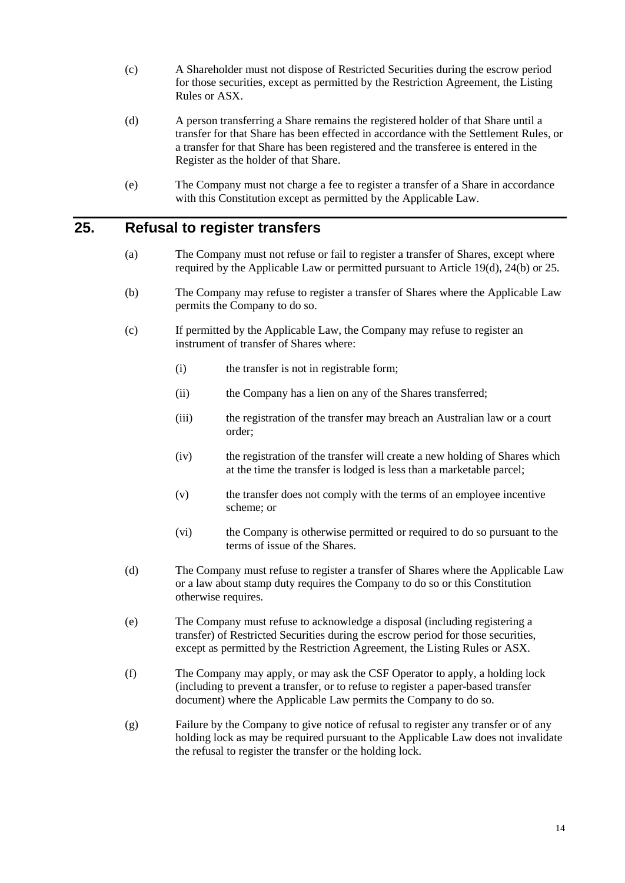- (c) A Shareholder must not dispose of Restricted Securities during the escrow period for those securities, except as permitted by the Restriction Agreement, the Listing Rules or ASX.
- (d) A person transferring a Share remains the registered holder of that Share until a transfer for that Share has been effected in accordance with the Settlement Rules, or a transfer for that Share has been registered and the transferee is entered in the Register as the holder of that Share.
- (e) The Company must not charge a fee to register a transfer of a Share in accordance with this Constitution except as permitted by the Applicable Law.

#### <span id="page-18-1"></span><span id="page-18-0"></span>**25. Refusal to register transfers**

- (a) The Company must not refuse or fail to register a transfer of Shares, except where required by the Applicable Law or permitted pursuant to Article [19\(d\),](#page-16-6) [24\(b\)](#page-17-4) or [25.](#page-18-0)
- (b) The Company may refuse to register a transfer of Shares where the Applicable Law permits the Company to do so.
- (c) If permitted by the Applicable Law, the Company may refuse to register an instrument of transfer of Shares where:
	- (i) the transfer is not in registrable form;
	- (ii) the Company has a lien on any of the Shares transferred;
	- (iii) the registration of the transfer may breach an Australian law or a court order;
	- (iv) the registration of the transfer will create a new holding of Shares which at the time the transfer is lodged is less than a marketable parcel;
	- (v) the transfer does not comply with the terms of an employee incentive scheme; or
	- (vi) the Company is otherwise permitted or required to do so pursuant to the terms of issue of the Shares.
- (d) The Company must refuse to register a transfer of Shares where the Applicable Law or a law about stamp duty requires the Company to do so or this Constitution otherwise requires.
- (e) The Company must refuse to acknowledge a disposal (including registering a transfer) of Restricted Securities during the escrow period for those securities, except as permitted by the Restriction Agreement, the Listing Rules or ASX.
- (f) The Company may apply, or may ask the CSF Operator to apply, a holding lock (including to prevent a transfer, or to refuse to register a paper-based transfer document) where the Applicable Law permits the Company to do so.
- (g) Failure by the Company to give notice of refusal to register any transfer or of any holding lock as may be required pursuant to the Applicable Law does not invalidate the refusal to register the transfer or the holding lock.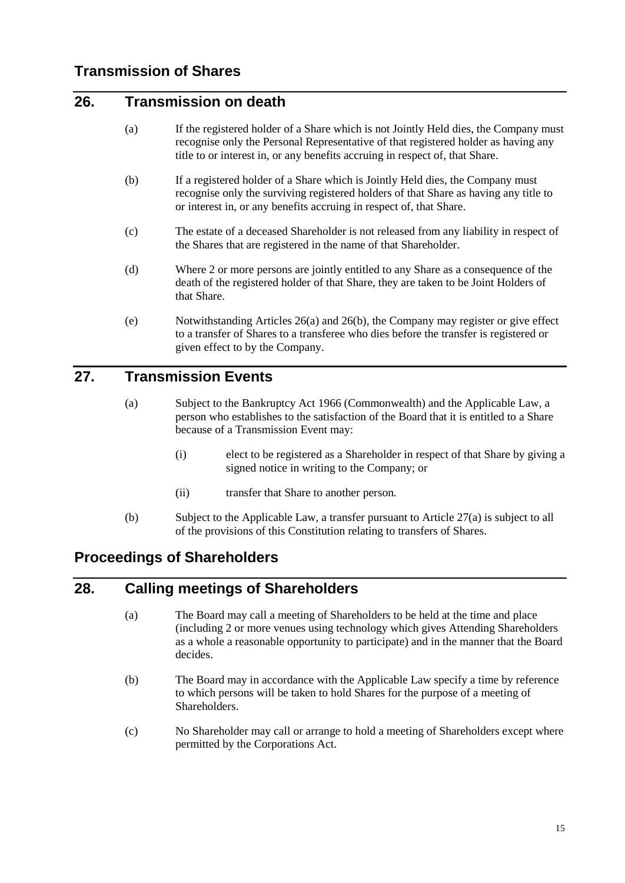### <span id="page-19-5"></span><span id="page-19-1"></span><span id="page-19-0"></span>**26. Transmission on death**

- (a) If the registered holder of a Share which is not Jointly Held dies, the Company must recognise only the Personal Representative of that registered holder as having any title to or interest in, or any benefits accruing in respect of, that Share.
- <span id="page-19-6"></span>(b) If a registered holder of a Share which is Jointly Held dies, the Company must recognise only the surviving registered holders of that Share as having any title to or interest in, or any benefits accruing in respect of, that Share.
- (c) The estate of a deceased Shareholder is not released from any liability in respect of the Shares that are registered in the name of that Shareholder.
- (d) Where 2 or more persons are jointly entitled to any Share as a consequence of the death of the registered holder of that Share, they are taken to be Joint Holders of that Share.
- (e) Notwithstanding Articles [26\(a\)](#page-19-5) and [26\(b\),](#page-19-6) the Company may register or give effect to a transfer of Shares to a transferee who dies before the transfer is registered or given effect to by the Company.

## <span id="page-19-7"></span><span id="page-19-2"></span>**27. Transmission Events**

- (a) Subject to the Bankruptcy Act 1966 (Commonwealth) and the Applicable Law, a person who establishes to the satisfaction of the Board that it is entitled to a Share because of a Transmission Event may:
	- (i) elect to be registered as a Shareholder in respect of that Share by giving a signed notice in writing to the Company; or
	- (ii) transfer that Share to another person.
- (b) Subject to the Applicable Law, a transfer pursuant to Article [27\(a\)](#page-19-7) is subject to all of the provisions of this Constitution relating to transfers of Shares.

## <span id="page-19-3"></span>**Proceedings of Shareholders**

## <span id="page-19-4"></span>**28. Calling meetings of Shareholders**

- (a) The Board may call a meeting of Shareholders to be held at the time and place (including 2 or more venues using technology which gives Attending Shareholders as a whole a reasonable opportunity to participate) and in the manner that the Board decides.
- <span id="page-19-8"></span>(b) The Board may in accordance with the Applicable Law specify a time by reference to which persons will be taken to hold Shares for the purpose of a meeting of Shareholders.
- (c) No Shareholder may call or arrange to hold a meeting of Shareholders except where permitted by the Corporations Act.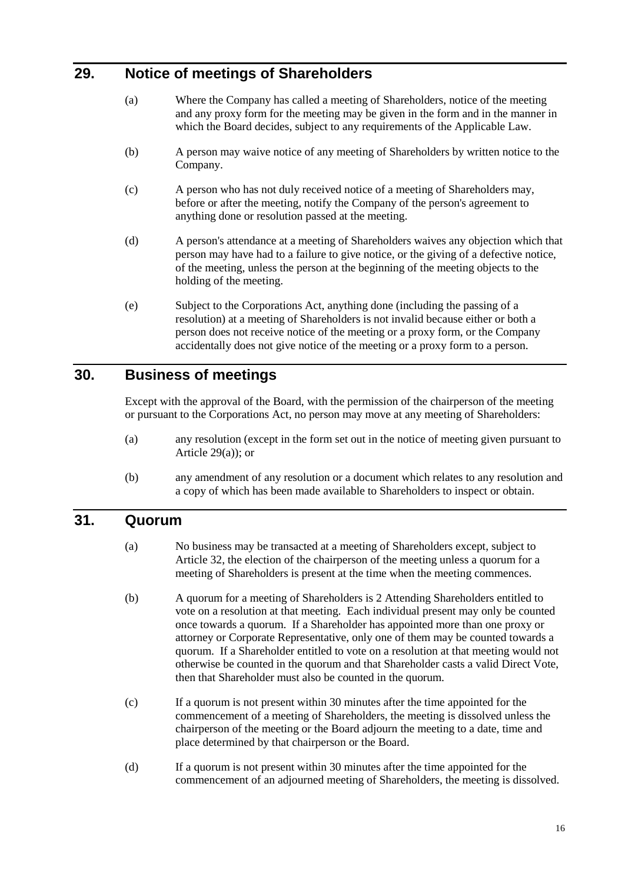## <span id="page-20-3"></span><span id="page-20-0"></span>**29. Notice of meetings of Shareholders**

- (a) Where the Company has called a meeting of Shareholders, notice of the meeting and any proxy form for the meeting may be given in the form and in the manner in which the Board decides, subject to any requirements of the Applicable Law.
- (b) A person may waive notice of any meeting of Shareholders by written notice to the Company.
- (c) A person who has not duly received notice of a meeting of Shareholders may, before or after the meeting, notify the Company of the person's agreement to anything done or resolution passed at the meeting.
- (d) A person's attendance at a meeting of Shareholders waives any objection which that person may have had to a failure to give notice, or the giving of a defective notice, of the meeting, unless the person at the beginning of the meeting objects to the holding of the meeting.
- (e) Subject to the Corporations Act, anything done (including the passing of a resolution) at a meeting of Shareholders is not invalid because either or both a person does not receive notice of the meeting or a proxy form, or the Company accidentally does not give notice of the meeting or a proxy form to a person.

#### <span id="page-20-1"></span>**30. Business of meetings**

Except with the approval of the Board, with the permission of the chairperson of the meeting or pursuant to the Corporations Act, no person may move at any meeting of Shareholders:

- (a) any resolution (except in the form set out in the notice of meeting given pursuant to Article  $29(a)$ ; or
- (b) any amendment of any resolution or a document which relates to any resolution and a copy of which has been made available to Shareholders to inspect or obtain.

#### <span id="page-20-2"></span>**31. Quorum**

- (a) No business may be transacted at a meeting of Shareholders except, subject to Article [32,](#page-21-0) the election of the chairperson of the meeting unless a quorum for a meeting of Shareholders is present at the time when the meeting commences.
- (b) A quorum for a meeting of Shareholders is 2 Attending Shareholders entitled to vote on a resolution at that meeting. Each individual present may only be counted once towards a quorum. If a Shareholder has appointed more than one proxy or attorney or Corporate Representative, only one of them may be counted towards a quorum. If a Shareholder entitled to vote on a resolution at that meeting would not otherwise be counted in the quorum and that Shareholder casts a valid Direct Vote, then that Shareholder must also be counted in the quorum.
- (c) If a quorum is not present within 30 minutes after the time appointed for the commencement of a meeting of Shareholders, the meeting is dissolved unless the chairperson of the meeting or the Board adjourn the meeting to a date, time and place determined by that chairperson or the Board.
- (d) If a quorum is not present within 30 minutes after the time appointed for the commencement of an adjourned meeting of Shareholders, the meeting is dissolved.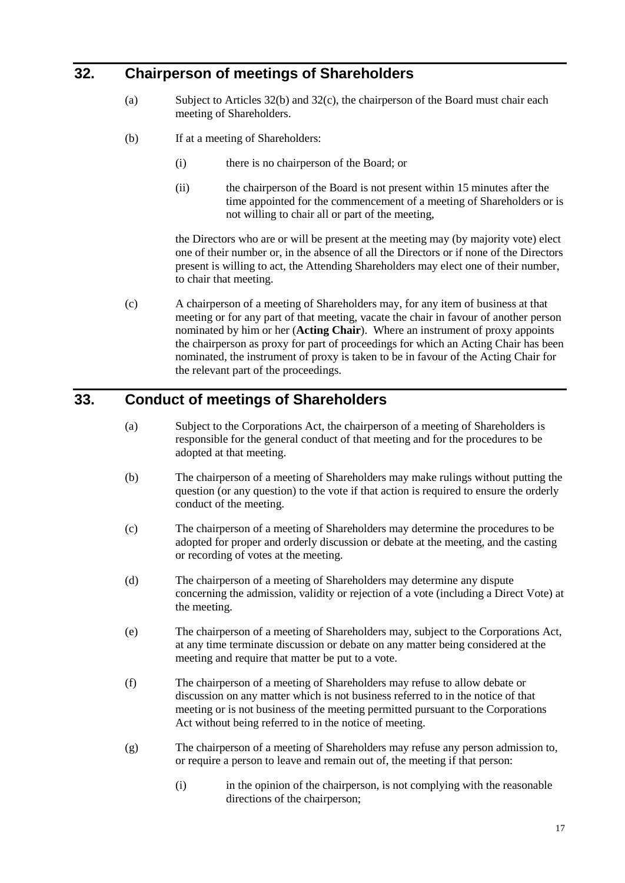## <span id="page-21-0"></span>**32. Chairperson of meetings of Shareholders**

- (a) Subject to Articles [32\(b\)](#page-21-2) and [32\(c\),](#page-21-3) the chairperson of the Board must chair each meeting of Shareholders.
- <span id="page-21-2"></span>(b) If at a meeting of Shareholders:
	- (i) there is no chairperson of the Board; or
	- (ii) the chairperson of the Board is not present within 15 minutes after the time appointed for the commencement of a meeting of Shareholders or is not willing to chair all or part of the meeting,

the Directors who are or will be present at the meeting may (by majority vote) elect one of their number or, in the absence of all the Directors or if none of the Directors present is willing to act, the Attending Shareholders may elect one of their number, to chair that meeting.

<span id="page-21-3"></span>(c) A chairperson of a meeting of Shareholders may, for any item of business at that meeting or for any part of that meeting, vacate the chair in favour of another person nominated by him or her (**Acting Chair**). Where an instrument of proxy appoints the chairperson as proxy for part of proceedings for which an Acting Chair has been nominated, the instrument of proxy is taken to be in favour of the Acting Chair for the relevant part of the proceedings.

## <span id="page-21-1"></span>**33. Conduct of meetings of Shareholders**

- (a) Subject to the Corporations Act, the chairperson of a meeting of Shareholders is responsible for the general conduct of that meeting and for the procedures to be adopted at that meeting.
- (b) The chairperson of a meeting of Shareholders may make rulings without putting the question (or any question) to the vote if that action is required to ensure the orderly conduct of the meeting.
- (c) The chairperson of a meeting of Shareholders may determine the procedures to be adopted for proper and orderly discussion or debate at the meeting, and the casting or recording of votes at the meeting.
- (d) The chairperson of a meeting of Shareholders may determine any dispute concerning the admission, validity or rejection of a vote (including a Direct Vote) at the meeting.
- (e) The chairperson of a meeting of Shareholders may, subject to the Corporations Act, at any time terminate discussion or debate on any matter being considered at the meeting and require that matter be put to a vote.
- (f) The chairperson of a meeting of Shareholders may refuse to allow debate or discussion on any matter which is not business referred to in the notice of that meeting or is not business of the meeting permitted pursuant to the Corporations Act without being referred to in the notice of meeting.
- (g) The chairperson of a meeting of Shareholders may refuse any person admission to, or require a person to leave and remain out of, the meeting if that person:
	- (i) in the opinion of the chairperson, is not complying with the reasonable directions of the chairperson;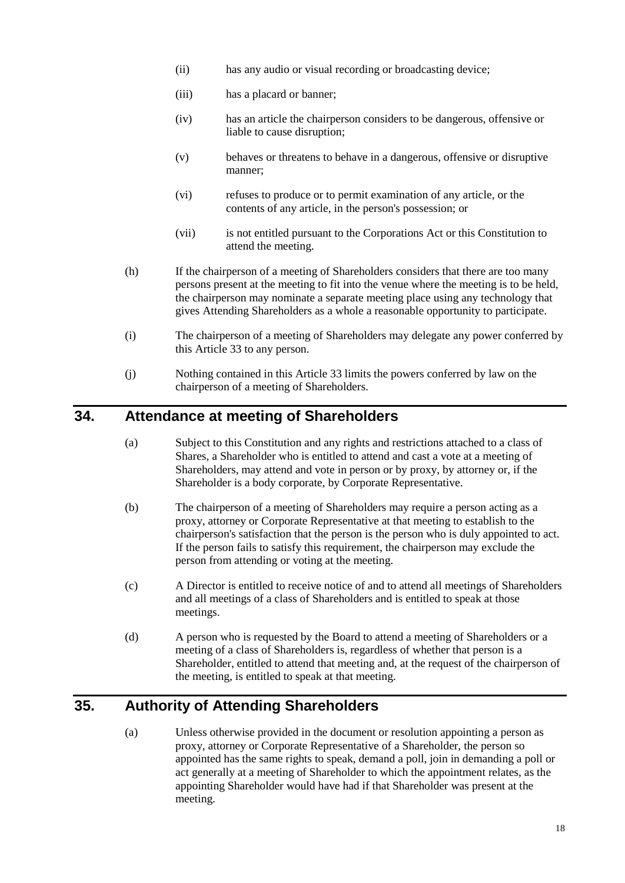- (ii) has any audio or visual recording or broadcasting device;
- (iii) has a placard or banner;
- (iv) has an article the chairperson considers to be dangerous, offensive or liable to cause disruption;
- (v) behaves or threatens to behave in a dangerous, offensive or disruptive manner;
- (vi) refuses to produce or to permit examination of any article, or the contents of any article, in the person's possession; or
- (vii) is not entitled pursuant to the Corporations Act or this Constitution to attend the meeting.
- (h) If the chairperson of a meeting of Shareholders considers that there are too many persons present at the meeting to fit into the venue where the meeting is to be held, the chairperson may nominate a separate meeting place using any technology that gives Attending Shareholders as a whole a reasonable opportunity to participate.
- (i) The chairperson of a meeting of Shareholders may delegate any power conferred by this Article [33](#page-21-1) to any person.
- (j) Nothing contained in this Article [33](#page-21-1) limits the powers conferred by law on the chairperson of a meeting of Shareholders.

#### <span id="page-22-0"></span>**34. Attendance at meeting of Shareholders**

- (a) Subject to this Constitution and any rights and restrictions attached to a class of Shares, a Shareholder who is entitled to attend and cast a vote at a meeting of Shareholders, may attend and vote in person or by proxy, by attorney or, if the Shareholder is a body corporate, by Corporate Representative.
- (b) The chairperson of a meeting of Shareholders may require a person acting as a proxy, attorney or Corporate Representative at that meeting to establish to the chairperson's satisfaction that the person is the person who is duly appointed to act. If the person fails to satisfy this requirement, the chairperson may exclude the person from attending or voting at the meeting.
- (c) A Director is entitled to receive notice of and to attend all meetings of Shareholders and all meetings of a class of Shareholders and is entitled to speak at those meetings.
- (d) A person who is requested by the Board to attend a meeting of Shareholders or a meeting of a class of Shareholders is, regardless of whether that person is a Shareholder, entitled to attend that meeting and, at the request of the chairperson of the meeting, is entitled to speak at that meeting.

## <span id="page-22-1"></span>**35. Authority of Attending Shareholders**

(a) Unless otherwise provided in the document or resolution appointing a person as proxy, attorney or Corporate Representative of a Shareholder, the person so appointed has the same rights to speak, demand a poll, join in demanding a poll or act generally at a meeting of Shareholder to which the appointment relates, as the appointing Shareholder would have had if that Shareholder was present at the meeting.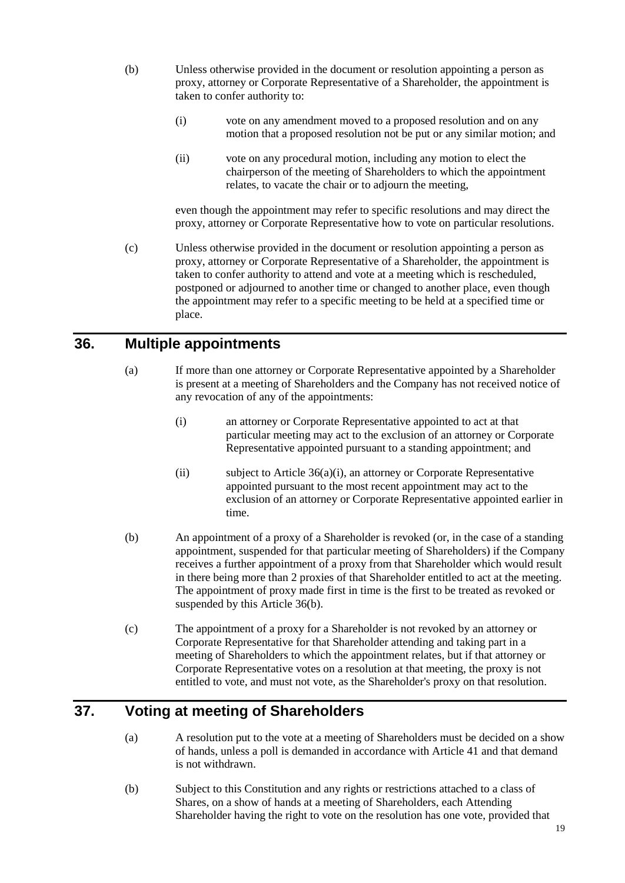- (b) Unless otherwise provided in the document or resolution appointing a person as proxy, attorney or Corporate Representative of a Shareholder, the appointment is taken to confer authority to:
	- (i) vote on any amendment moved to a proposed resolution and on any motion that a proposed resolution not be put or any similar motion; and
	- (ii) vote on any procedural motion, including any motion to elect the chairperson of the meeting of Shareholders to which the appointment relates, to vacate the chair or to adjourn the meeting,

even though the appointment may refer to specific resolutions and may direct the proxy, attorney or Corporate Representative how to vote on particular resolutions.

(c) Unless otherwise provided in the document or resolution appointing a person as proxy, attorney or Corporate Representative of a Shareholder, the appointment is taken to confer authority to attend and vote at a meeting which is rescheduled, postponed or adjourned to another time or changed to another place, even though the appointment may refer to a specific meeting to be held at a specified time or place.

#### <span id="page-23-0"></span>**36. Multiple appointments**

- <span id="page-23-2"></span>(a) If more than one attorney or Corporate Representative appointed by a Shareholder is present at a meeting of Shareholders and the Company has not received notice of any revocation of any of the appointments:
	- (i) an attorney or Corporate Representative appointed to act at that particular meeting may act to the exclusion of an attorney or Corporate Representative appointed pursuant to a standing appointment; and
	- (ii) subject to Article [36\(a\)\(i\),](#page-23-2) an attorney or Corporate Representative appointed pursuant to the most recent appointment may act to the exclusion of an attorney or Corporate Representative appointed earlier in time.
- <span id="page-23-3"></span>(b) An appointment of a proxy of a Shareholder is revoked (or, in the case of a standing appointment, suspended for that particular meeting of Shareholders) if the Company receives a further appointment of a proxy from that Shareholder which would result in there being more than 2 proxies of that Shareholder entitled to act at the meeting. The appointment of proxy made first in time is the first to be treated as revoked or suspended by this Article [36\(b\).](#page-23-3)
- (c) The appointment of a proxy for a Shareholder is not revoked by an attorney or Corporate Representative for that Shareholder attending and taking part in a meeting of Shareholders to which the appointment relates, but if that attorney or Corporate Representative votes on a resolution at that meeting, the proxy is not entitled to vote, and must not vote, as the Shareholder's proxy on that resolution.

## <span id="page-23-1"></span>**37. Voting at meeting of Shareholders**

- (a) A resolution put to the vote at a meeting of Shareholders must be decided on a show of hands, unless a poll is demanded in accordance with Article [41](#page-26-1) and that demand is not withdrawn.
- (b) Subject to this Constitution and any rights or restrictions attached to a class of Shares, on a show of hands at a meeting of Shareholders, each Attending Shareholder having the right to vote on the resolution has one vote, provided that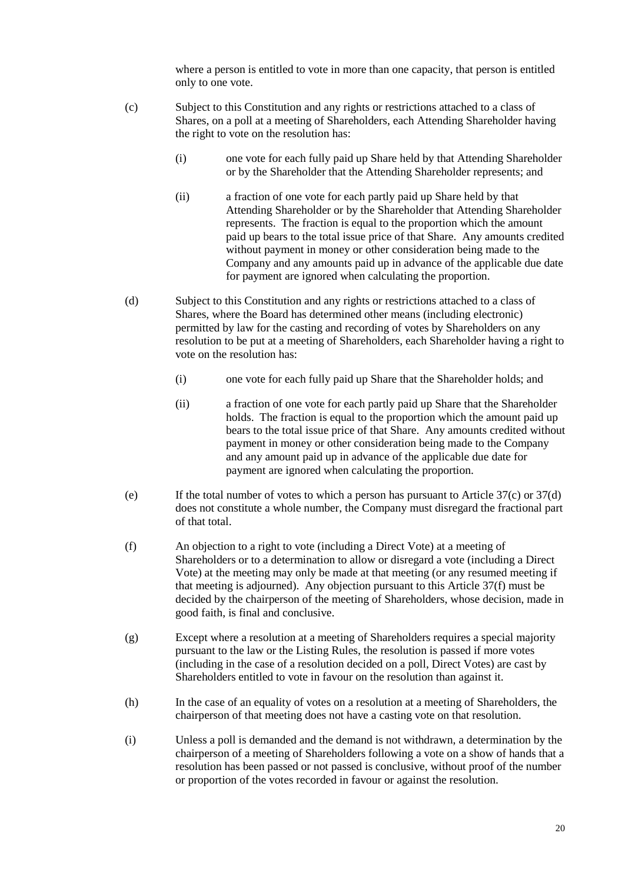where a person is entitled to vote in more than one capacity, that person is entitled only to one vote.

- <span id="page-24-0"></span>(c) Subject to this Constitution and any rights or restrictions attached to a class of Shares, on a poll at a meeting of Shareholders, each Attending Shareholder having the right to vote on the resolution has:
	- (i) one vote for each fully paid up Share held by that Attending Shareholder or by the Shareholder that the Attending Shareholder represents; and
	- (ii) a fraction of one vote for each partly paid up Share held by that Attending Shareholder or by the Shareholder that Attending Shareholder represents. The fraction is equal to the proportion which the amount paid up bears to the total issue price of that Share. Any amounts credited without payment in money or other consideration being made to the Company and any amounts paid up in advance of the applicable due date for payment are ignored when calculating the proportion.
- <span id="page-24-1"></span>(d) Subject to this Constitution and any rights or restrictions attached to a class of Shares, where the Board has determined other means (including electronic) permitted by law for the casting and recording of votes by Shareholders on any resolution to be put at a meeting of Shareholders, each Shareholder having a right to vote on the resolution has:
	- (i) one vote for each fully paid up Share that the Shareholder holds; and
	- (ii) a fraction of one vote for each partly paid up Share that the Shareholder holds. The fraction is equal to the proportion which the amount paid up bears to the total issue price of that Share. Any amounts credited without payment in money or other consideration being made to the Company and any amount paid up in advance of the applicable due date for payment are ignored when calculating the proportion.
- (e) If the total number of votes to which a person has pursuant to Article  $37(c)$  or  $37(d)$ does not constitute a whole number, the Company must disregard the fractional part of that total.
- <span id="page-24-2"></span>(f) An objection to a right to vote (including a Direct Vote) at a meeting of Shareholders or to a determination to allow or disregard a vote (including a Direct Vote) at the meeting may only be made at that meeting (or any resumed meeting if that meeting is adjourned). Any objection pursuant to this Article [37\(f\)](#page-24-2) must be decided by the chairperson of the meeting of Shareholders, whose decision, made in good faith, is final and conclusive.
- (g) Except where a resolution at a meeting of Shareholders requires a special majority pursuant to the law or the Listing Rules, the resolution is passed if more votes (including in the case of a resolution decided on a poll, Direct Votes) are cast by Shareholders entitled to vote in favour on the resolution than against it.
- (h) In the case of an equality of votes on a resolution at a meeting of Shareholders, the chairperson of that meeting does not have a casting vote on that resolution.
- (i) Unless a poll is demanded and the demand is not withdrawn, a determination by the chairperson of a meeting of Shareholders following a vote on a show of hands that a resolution has been passed or not passed is conclusive, without proof of the number or proportion of the votes recorded in favour or against the resolution.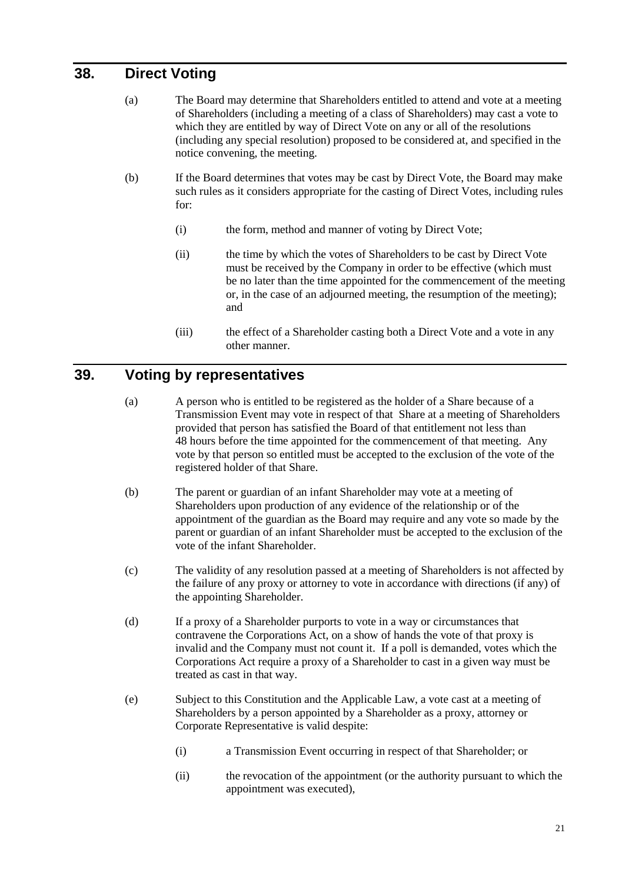## <span id="page-25-0"></span>**38. Direct Voting**

- (a) The Board may determine that Shareholders entitled to attend and vote at a meeting of Shareholders (including a meeting of a class of Shareholders) may cast a vote to which they are entitled by way of Direct Vote on any or all of the resolutions (including any special resolution) proposed to be considered at, and specified in the notice convening, the meeting.
- <span id="page-25-2"></span>(b) If the Board determines that votes may be cast by Direct Vote, the Board may make such rules as it considers appropriate for the casting of Direct Votes, including rules for:
	- (i) the form, method and manner of voting by Direct Vote;
	- (ii) the time by which the votes of Shareholders to be cast by Direct Vote must be received by the Company in order to be effective (which must be no later than the time appointed for the commencement of the meeting or, in the case of an adjourned meeting, the resumption of the meeting); and
	- (iii) the effect of a Shareholder casting both a Direct Vote and a vote in any other manner.

#### <span id="page-25-1"></span>**39. Voting by representatives**

- (a) A person who is entitled to be registered as the holder of a Share because of a Transmission Event may vote in respect of that Share at a meeting of Shareholders provided that person has satisfied the Board of that entitlement not less than 48 hours before the time appointed for the commencement of that meeting. Any vote by that person so entitled must be accepted to the exclusion of the vote of the registered holder of that Share.
- (b) The parent or guardian of an infant Shareholder may vote at a meeting of Shareholders upon production of any evidence of the relationship or of the appointment of the guardian as the Board may require and any vote so made by the parent or guardian of an infant Shareholder must be accepted to the exclusion of the vote of the infant Shareholder.
- (c) The validity of any resolution passed at a meeting of Shareholders is not affected by the failure of any proxy or attorney to vote in accordance with directions (if any) of the appointing Shareholder.
- (d) If a proxy of a Shareholder purports to vote in a way or circumstances that contravene the Corporations Act, on a show of hands the vote of that proxy is invalid and the Company must not count it. If a poll is demanded, votes which the Corporations Act require a proxy of a Shareholder to cast in a given way must be treated as cast in that way.
- (e) Subject to this Constitution and the Applicable Law, a vote cast at a meeting of Shareholders by a person appointed by a Shareholder as a proxy, attorney or Corporate Representative is valid despite:
	- (i) a Transmission Event occurring in respect of that Shareholder; or
	- (ii) the revocation of the appointment (or the authority pursuant to which the appointment was executed),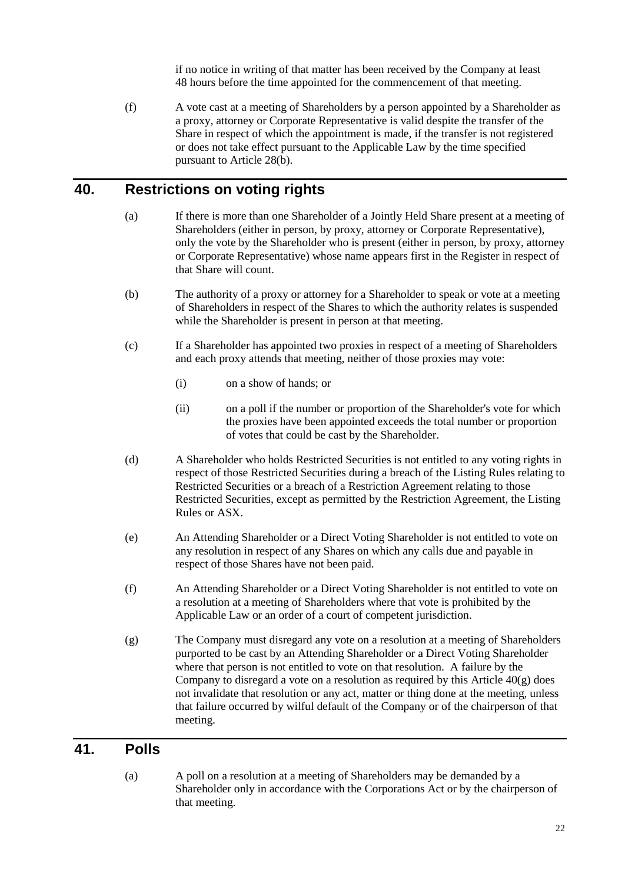if no notice in writing of that matter has been received by the Company at least 48 hours before the time appointed for the commencement of that meeting.

(f) A vote cast at a meeting of Shareholders by a person appointed by a Shareholder as a proxy, attorney or Corporate Representative is valid despite the transfer of the Share in respect of which the appointment is made, if the transfer is not registered or does not take effect pursuant to the Applicable Law by the time specified pursuant to Article [28\(b\).](#page-19-8)

## <span id="page-26-0"></span>**40. Restrictions on voting rights**

- (a) If there is more than one Shareholder of a Jointly Held Share present at a meeting of Shareholders (either in person, by proxy, attorney or Corporate Representative), only the vote by the Shareholder who is present (either in person, by proxy, attorney or Corporate Representative) whose name appears first in the Register in respect of that Share will count.
- (b) The authority of a proxy or attorney for a Shareholder to speak or vote at a meeting of Shareholders in respect of the Shares to which the authority relates is suspended while the Shareholder is present in person at that meeting.
- (c) If a Shareholder has appointed two proxies in respect of a meeting of Shareholders and each proxy attends that meeting, neither of those proxies may vote:
	- (i) on a show of hands; or
	- (ii) on a poll if the number or proportion of the Shareholder's vote for which the proxies have been appointed exceeds the total number or proportion of votes that could be cast by the Shareholder.
- (d) A Shareholder who holds Restricted Securities is not entitled to any voting rights in respect of those Restricted Securities during a breach of the Listing Rules relating to Restricted Securities or a breach of a Restriction Agreement relating to those Restricted Securities, except as permitted by the Restriction Agreement, the Listing Rules or ASX.
- (e) An Attending Shareholder or a Direct Voting Shareholder is not entitled to vote on any resolution in respect of any Shares on which any calls due and payable in respect of those Shares have not been paid.
- (f) An Attending Shareholder or a Direct Voting Shareholder is not entitled to vote on a resolution at a meeting of Shareholders where that vote is prohibited by the Applicable Law or an order of a court of competent jurisdiction.
- <span id="page-26-2"></span>(g) The Company must disregard any vote on a resolution at a meeting of Shareholders purported to be cast by an Attending Shareholder or a Direct Voting Shareholder where that person is not entitled to vote on that resolution. A failure by the Company to disregard a vote on a resolution as required by this Article  $40(g)$  does not invalidate that resolution or any act, matter or thing done at the meeting, unless that failure occurred by wilful default of the Company or of the chairperson of that meeting.

#### <span id="page-26-1"></span>**41. Polls**

(a) A poll on a resolution at a meeting of Shareholders may be demanded by a Shareholder only in accordance with the Corporations Act or by the chairperson of that meeting.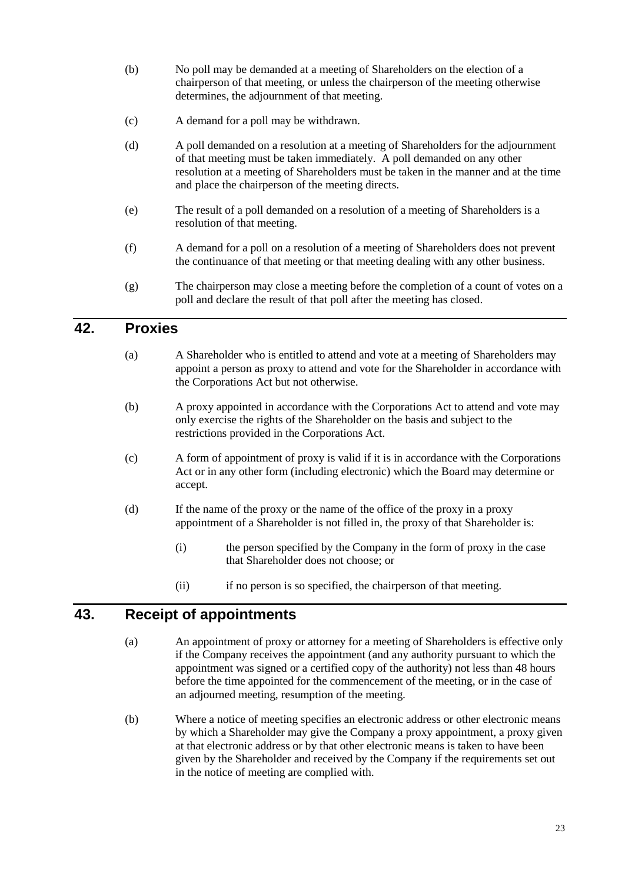- (b) No poll may be demanded at a meeting of Shareholders on the election of a chairperson of that meeting, or unless the chairperson of the meeting otherwise determines, the adjournment of that meeting.
- (c) A demand for a poll may be withdrawn.
- (d) A poll demanded on a resolution at a meeting of Shareholders for the adjournment of that meeting must be taken immediately. A poll demanded on any other resolution at a meeting of Shareholders must be taken in the manner and at the time and place the chairperson of the meeting directs.
- (e) The result of a poll demanded on a resolution of a meeting of Shareholders is a resolution of that meeting.
- (f) A demand for a poll on a resolution of a meeting of Shareholders does not prevent the continuance of that meeting or that meeting dealing with any other business.
- (g) The chairperson may close a meeting before the completion of a count of votes on a poll and declare the result of that poll after the meeting has closed.

#### <span id="page-27-0"></span>**42. Proxies**

- (a) A Shareholder who is entitled to attend and vote at a meeting of Shareholders may appoint a person as proxy to attend and vote for the Shareholder in accordance with the Corporations Act but not otherwise.
- (b) A proxy appointed in accordance with the Corporations Act to attend and vote may only exercise the rights of the Shareholder on the basis and subject to the restrictions provided in the Corporations Act.
- (c) A form of appointment of proxy is valid if it is in accordance with the Corporations Act or in any other form (including electronic) which the Board may determine or accept.
- (d) If the name of the proxy or the name of the office of the proxy in a proxy appointment of a Shareholder is not filled in, the proxy of that Shareholder is:
	- (i) the person specified by the Company in the form of proxy in the case that Shareholder does not choose; or
	- (ii) if no person is so specified, the chairperson of that meeting.

#### <span id="page-27-1"></span>**43. Receipt of appointments**

- (a) An appointment of proxy or attorney for a meeting of Shareholders is effective only if the Company receives the appointment (and any authority pursuant to which the appointment was signed or a certified copy of the authority) not less than 48 hours before the time appointed for the commencement of the meeting, or in the case of an adjourned meeting, resumption of the meeting.
- (b) Where a notice of meeting specifies an electronic address or other electronic means by which a Shareholder may give the Company a proxy appointment, a proxy given at that electronic address or by that other electronic means is taken to have been given by the Shareholder and received by the Company if the requirements set out in the notice of meeting are complied with.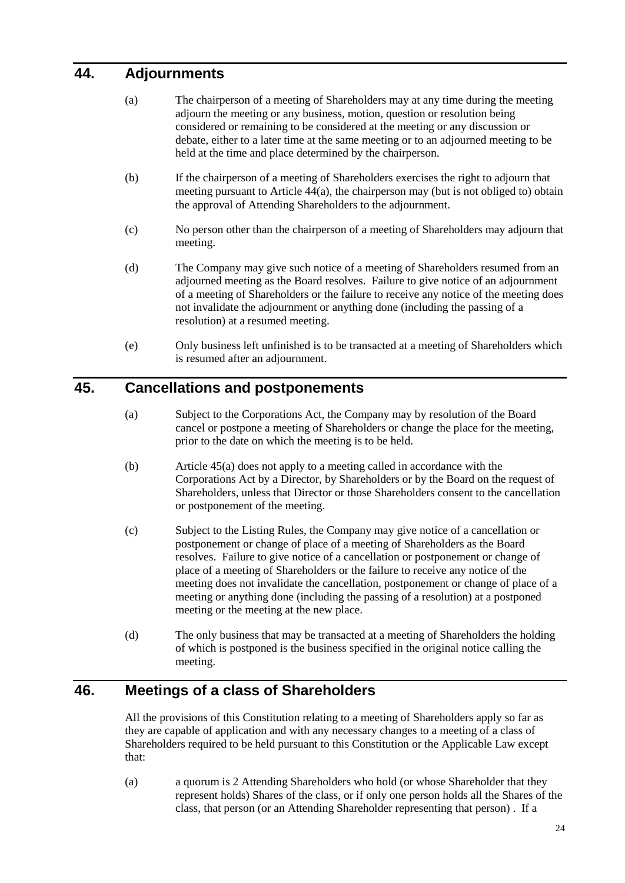## <span id="page-28-3"></span><span id="page-28-0"></span>**44. Adjournments**

- (a) The chairperson of a meeting of Shareholders may at any time during the meeting adjourn the meeting or any business, motion, question or resolution being considered or remaining to be considered at the meeting or any discussion or debate, either to a later time at the same meeting or to an adjourned meeting to be held at the time and place determined by the chairperson.
- (b) If the chairperson of a meeting of Shareholders exercises the right to adjourn that meeting pursuant to Article [44\(a\),](#page-28-3) the chairperson may (but is not obliged to) obtain the approval of Attending Shareholders to the adjournment.
- (c) No person other than the chairperson of a meeting of Shareholders may adjourn that meeting.
- (d) The Company may give such notice of a meeting of Shareholders resumed from an adjourned meeting as the Board resolves. Failure to give notice of an adjournment of a meeting of Shareholders or the failure to receive any notice of the meeting does not invalidate the adjournment or anything done (including the passing of a resolution) at a resumed meeting.
- (e) Only business left unfinished is to be transacted at a meeting of Shareholders which is resumed after an adjournment.

## <span id="page-28-4"></span><span id="page-28-1"></span>**45. Cancellations and postponements**

- (a) Subject to the Corporations Act, the Company may by resolution of the Board cancel or postpone a meeting of Shareholders or change the place for the meeting, prior to the date on which the meeting is to be held.
- (b) Article [45\(a\)](#page-28-4) does not apply to a meeting called in accordance with the Corporations Act by a Director, by Shareholders or by the Board on the request of Shareholders, unless that Director or those Shareholders consent to the cancellation or postponement of the meeting.
- (c) Subject to the Listing Rules, the Company may give notice of a cancellation or postponement or change of place of a meeting of Shareholders as the Board resolves. Failure to give notice of a cancellation or postponement or change of place of a meeting of Shareholders or the failure to receive any notice of the meeting does not invalidate the cancellation, postponement or change of place of a meeting or anything done (including the passing of a resolution) at a postponed meeting or the meeting at the new place.
- (d) The only business that may be transacted at a meeting of Shareholders the holding of which is postponed is the business specified in the original notice calling the meeting.

## <span id="page-28-2"></span>**46. Meetings of a class of Shareholders**

All the provisions of this Constitution relating to a meeting of Shareholders apply so far as they are capable of application and with any necessary changes to a meeting of a class of Shareholders required to be held pursuant to this Constitution or the Applicable Law except that:

(a) a quorum is 2 Attending Shareholders who hold (or whose Shareholder that they represent holds) Shares of the class, or if only one person holds all the Shares of the class, that person (or an Attending Shareholder representing that person) . If a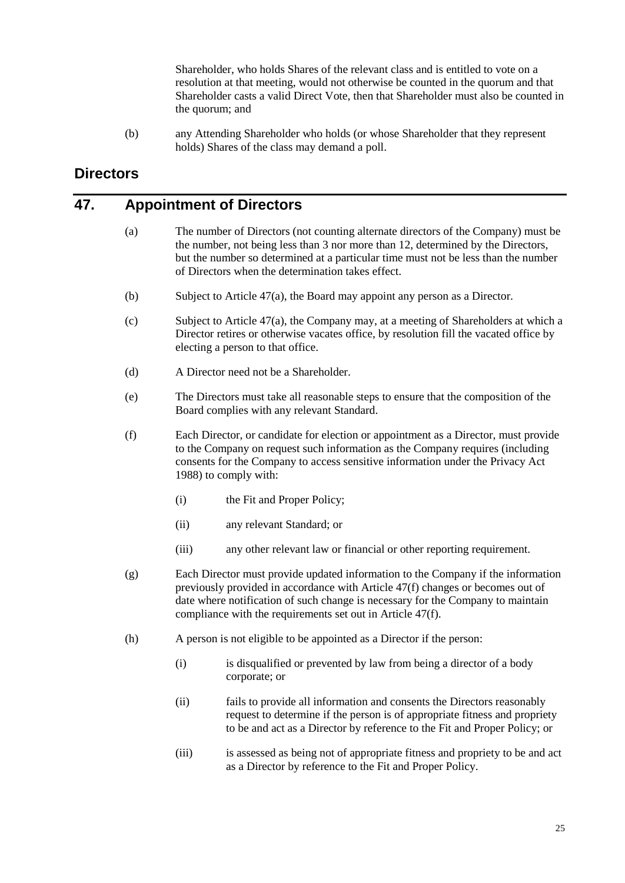Shareholder, who holds Shares of the relevant class and is entitled to vote on a resolution at that meeting, would not otherwise be counted in the quorum and that Shareholder casts a valid Direct Vote, then that Shareholder must also be counted in the quorum; and

(b) any Attending Shareholder who holds (or whose Shareholder that they represent holds) Shares of the class may demand a poll.

## <span id="page-29-0"></span>**Directors**

#### <span id="page-29-2"></span><span id="page-29-1"></span>**47. Appointment of Directors**

- (a) The number of Directors (not counting alternate directors of the Company) must be the number, not being less than 3 nor more than 12, determined by the Directors, but the number so determined at a particular time must not be less than the number of Directors when the determination takes effect.
- <span id="page-29-4"></span>(b) Subject to Article [47\(a\),](#page-29-2) the Board may appoint any person as a Director.
- (c) Subject to Article [47\(a\),](#page-29-2) the Company may, at a meeting of Shareholders at which a Director retires or otherwise vacates office, by resolution fill the vacated office by electing a person to that office.
- (d) A Director need not be a Shareholder.
- (e) The Directors must take all reasonable steps to ensure that the composition of the Board complies with any relevant Standard.
- <span id="page-29-3"></span>(f) Each Director, or candidate for election or appointment as a Director, must provide to the Company on request such information as the Company requires (including consents for the Company to access sensitive information under the Privacy Act 1988) to comply with:
	- (i) the Fit and Proper Policy;
	- (ii) any relevant Standard; or
	- (iii) any other relevant law or financial or other reporting requirement.
- (g) Each Director must provide updated information to the Company if the information previously provided in accordance with Article [47\(f\)](#page-29-3) changes or becomes out of date where notification of such change is necessary for the Company to maintain compliance with the requirements set out in Article [47\(f\).](#page-29-3)
- (h) A person is not eligible to be appointed as a Director if the person:
	- (i) is disqualified or prevented by law from being a director of a body corporate; or
	- (ii) fails to provide all information and consents the Directors reasonably request to determine if the person is of appropriate fitness and propriety to be and act as a Director by reference to the Fit and Proper Policy; or
	- (iii) is assessed as being not of appropriate fitness and propriety to be and act as a Director by reference to the Fit and Proper Policy.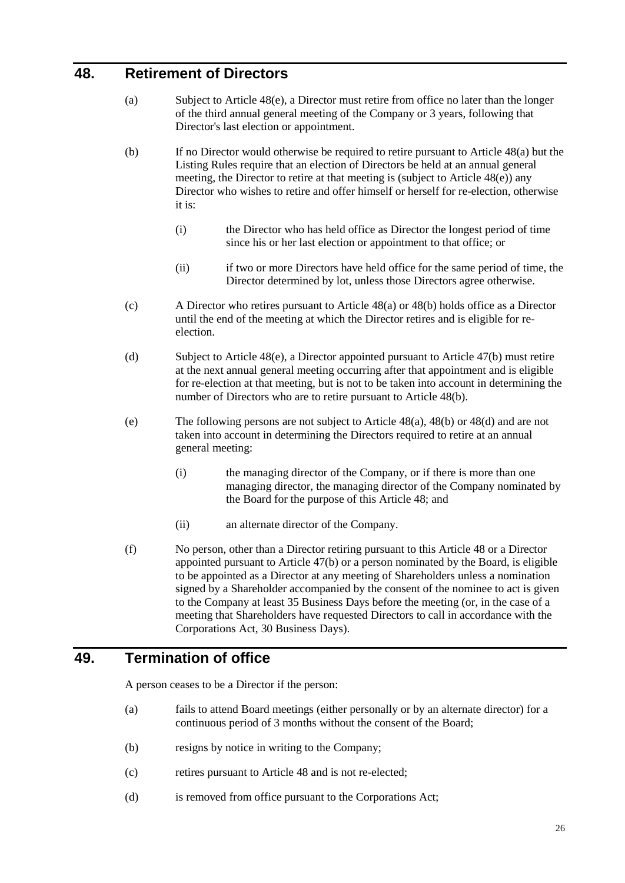## <span id="page-30-3"></span><span id="page-30-0"></span>**48. Retirement of Directors**

- (a) Subject to Article [48\(e\),](#page-30-2) a Director must retire from office no later than the longer of the third annual general meeting of the Company or 3 years, following that Director's last election or appointment.
- <span id="page-30-4"></span>(b) If no Director would otherwise be required to retire pursuant to Article [48\(a\)](#page-30-3) but the Listing Rules require that an election of Directors be held at an annual general meeting, the Director to retire at that meeting is (subject to Article [48\(e\)\)](#page-30-2) any Director who wishes to retire and offer himself or herself for re-election, otherwise it is:
	- (i) the Director who has held office as Director the longest period of time since his or her last election or appointment to that office; or
	- (ii) if two or more Directors have held office for the same period of time, the Director determined by lot, unless those Directors agree otherwise.
- (c) A Director who retires pursuant to Article [48\(a\)](#page-30-3) or [48\(b\)](#page-30-4) holds office as a Director until the end of the meeting at which the Director retires and is eligible for reelection.
- <span id="page-30-5"></span>(d) Subject to Article [48\(e\),](#page-30-2) a Director appointed pursuant to Article [47\(b\)](#page-29-4) must retire at the next annual general meeting occurring after that appointment and is eligible for re-election at that meeting, but is not to be taken into account in determining the number of Directors who are to retire pursuant to Article [48\(b\).](#page-30-4)
- <span id="page-30-2"></span>(e) The following persons are not subject to Article [48\(a\),](#page-30-3) [48\(b\)](#page-30-4) o[r 48\(d\)](#page-30-5) and are not taken into account in determining the Directors required to retire at an annual general meeting:
	- (i) the managing director of the Company, or if there is more than one managing director, the managing director of the Company nominated by the Board for the purpose of this Article [48;](#page-30-0) and
	- (ii) an alternate director of the Company.
- (f) No person, other than a Director retiring pursuant to this Article [48](#page-30-0) or a Director appointed pursuant to Article [47\(b\)](#page-29-4) or a person nominated by the Board, is eligible to be appointed as a Director at any meeting of Shareholders unless a nomination signed by a Shareholder accompanied by the consent of the nominee to act is given to the Company at least 35 Business Days before the meeting (or, in the case of a meeting that Shareholders have requested Directors to call in accordance with the Corporations Act, 30 Business Days).

#### <span id="page-30-1"></span>**49. Termination of office**

A person ceases to be a Director if the person:

- (a) fails to attend Board meetings (either personally or by an alternate director) for a continuous period of 3 months without the consent of the Board;
- (b) resigns by notice in writing to the Company;
- (c) retires pursuant to Article [48](#page-30-0) and is not re-elected;
- (d) is removed from office pursuant to the Corporations Act;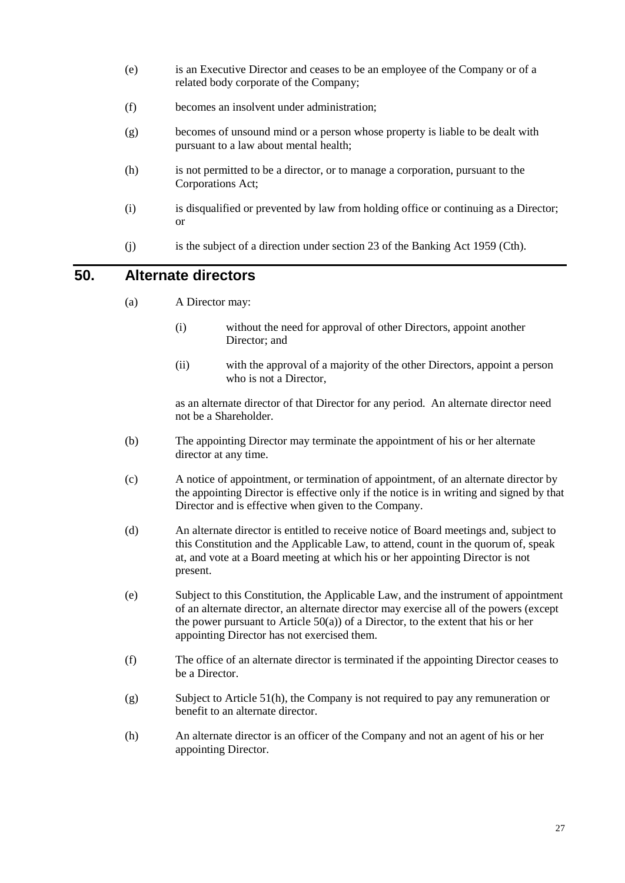- (e) is an Executive Director and ceases to be an employee of the Company or of a related body corporate of the Company;
- (f) becomes an insolvent under administration;
- (g) becomes of unsound mind or a person whose property is liable to be dealt with pursuant to a law about mental health;
- (h) is not permitted to be a director, or to manage a corporation, pursuant to the Corporations Act;
- (i) is disqualified or prevented by law from holding office or continuing as a Director; or
- (j) is the subject of a direction under section 23 of the Banking Act 1959 (Cth).

## <span id="page-31-1"></span><span id="page-31-0"></span>**50. Alternate directors**

- (a) A Director may:
	- (i) without the need for approval of other Directors, appoint another Director; and
	- (ii) with the approval of a majority of the other Directors, appoint a person who is not a Director,

as an alternate director of that Director for any period. An alternate director need not be a Shareholder.

- (b) The appointing Director may terminate the appointment of his or her alternate director at any time.
- (c) A notice of appointment, or termination of appointment, of an alternate director by the appointing Director is effective only if the notice is in writing and signed by that Director and is effective when given to the Company.
- (d) An alternate director is entitled to receive notice of Board meetings and, subject to this Constitution and the Applicable Law, to attend, count in the quorum of, speak at, and vote at a Board meeting at which his or her appointing Director is not present.
- (e) Subject to this Constitution, the Applicable Law, and the instrument of appointment of an alternate director, an alternate director may exercise all of the powers (except the power pursuant to Article  $50(a)$ ) of a Director, to the extent that his or her appointing Director has not exercised them.
- (f) The office of an alternate director is terminated if the appointing Director ceases to be a Director.
- (g) Subject to Article [51\(h\),](#page-32-1) the Company is not required to pay any remuneration or benefit to an alternate director.
- (h) An alternate director is an officer of the Company and not an agent of his or her appointing Director.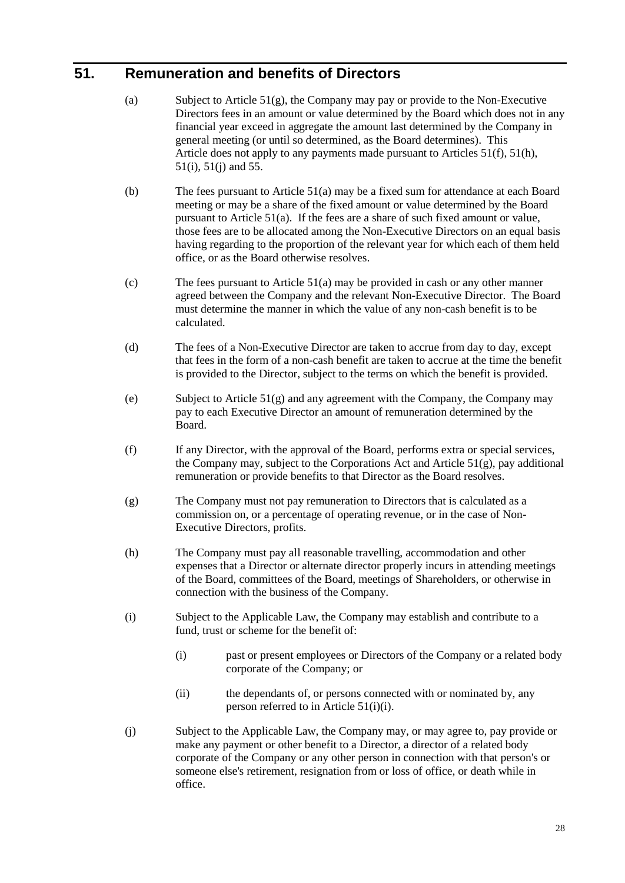## <span id="page-32-6"></span><span id="page-32-0"></span>**51. Remuneration and benefits of Directors**

- (a) Subject to Article  $51(g)$ , the Company may pay or provide to the Non-Executive Directors fees in an amount or value determined by the Board which does not in any financial year exceed in aggregate the amount last determined by the Company in general meeting (or until so determined, as the Board determines). This Article does not apply to any payments made pursuant to Articles [51\(f\),](#page-32-3) [51\(h\),](#page-32-1) [51\(i\),](#page-32-4) [51\(j\)](#page-32-5) and [55.](#page-34-3)
- (b) The fees pursuant to Article [51\(a\)](#page-32-6) may be a fixed sum for attendance at each Board meeting or may be a share of the fixed amount or value determined by the Board pursuant to Article [51\(a\).](#page-32-6) If the fees are a share of such fixed amount or value, those fees are to be allocated among the Non-Executive Directors on an equal basis having regarding to the proportion of the relevant year for which each of them held office, or as the Board otherwise resolves.
- (c) The fees pursuant to Article [51\(a\)](#page-32-6) may be provided in cash or any other manner agreed between the Company and the relevant Non-Executive Director. The Board must determine the manner in which the value of any non-cash benefit is to be calculated.
- (d) The fees of a Non-Executive Director are taken to accrue from day to day, except that fees in the form of a non-cash benefit are taken to accrue at the time the benefit is provided to the Director, subject to the terms on which the benefit is provided.
- (e) Subject to Article  $51(g)$  and any agreement with the Company, the Company may pay to each Executive Director an amount of remuneration determined by the Board.
- <span id="page-32-3"></span>(f) If any Director, with the approval of the Board, performs extra or special services, the Company may, subject to the Corporations Act and Article [51\(g\),](#page-32-2) pay additional remuneration or provide benefits to that Director as the Board resolves.
- <span id="page-32-2"></span>(g) The Company must not pay remuneration to Directors that is calculated as a commission on, or a percentage of operating revenue, or in the case of Non-Executive Directors, profits.
- <span id="page-32-1"></span>(h) The Company must pay all reasonable travelling, accommodation and other expenses that a Director or alternate director properly incurs in attending meetings of the Board, committees of the Board, meetings of Shareholders, or otherwise in connection with the business of the Company.
- <span id="page-32-7"></span><span id="page-32-4"></span>(i) Subject to the Applicable Law, the Company may establish and contribute to a fund, trust or scheme for the benefit of:
	- (i) past or present employees or Directors of the Company or a related body corporate of the Company; or
	- (ii) the dependants of, or persons connected with or nominated by, any person referred to in Article [51\(i\)\(i\).](#page-32-7)
- <span id="page-32-5"></span>(j) Subject to the Applicable Law, the Company may, or may agree to, pay provide or make any payment or other benefit to a Director, a director of a related body corporate of the Company or any other person in connection with that person's or someone else's retirement, resignation from or loss of office, or death while in office.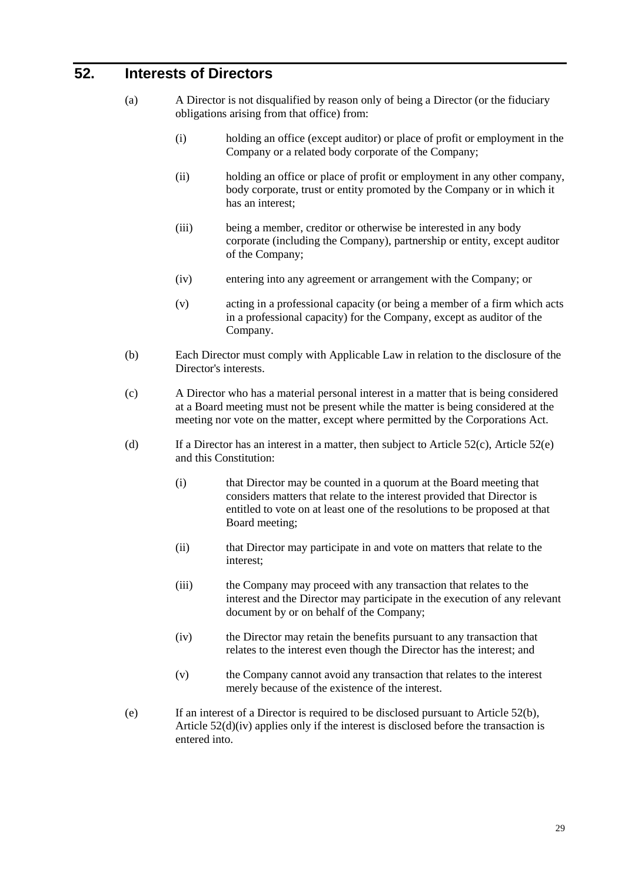## <span id="page-33-0"></span>**52. Interests of Directors**

- (a) A Director is not disqualified by reason only of being a Director (or the fiduciary obligations arising from that office) from:
	- (i) holding an office (except auditor) or place of profit or employment in the Company or a related body corporate of the Company;
	- (ii) holding an office or place of profit or employment in any other company, body corporate, trust or entity promoted by the Company or in which it has an interest;
	- (iii) being a member, creditor or otherwise be interested in any body corporate (including the Company), partnership or entity, except auditor of the Company;
	- (iv) entering into any agreement or arrangement with the Company; or
	- (v) acting in a professional capacity (or being a member of a firm which acts in a professional capacity) for the Company, except as auditor of the Company.
- <span id="page-33-3"></span>(b) Each Director must comply with Applicable Law in relation to the disclosure of the Director's interests.
- <span id="page-33-1"></span>(c) A Director who has a material personal interest in a matter that is being considered at a Board meeting must not be present while the matter is being considered at the meeting nor vote on the matter, except where permitted by the Corporations Act.
- (d) If a Director has an interest in a matter, then subject to Article  $52(c)$ , Article  $52(e)$ and this Constitution:
	- (i) that Director may be counted in a quorum at the Board meeting that considers matters that relate to the interest provided that Director is entitled to vote on at least one of the resolutions to be proposed at that Board meeting;
	- (ii) that Director may participate in and vote on matters that relate to the interest;
	- (iii) the Company may proceed with any transaction that relates to the interest and the Director may participate in the execution of any relevant document by or on behalf of the Company;
	- (iv) the Director may retain the benefits pursuant to any transaction that relates to the interest even though the Director has the interest; and
	- (v) the Company cannot avoid any transaction that relates to the interest merely because of the existence of the interest.
- <span id="page-33-4"></span><span id="page-33-2"></span>(e) If an interest of a Director is required to be disclosed pursuant to Article [52\(b\),](#page-33-3) Article [52\(d\)\(iv\)](#page-33-4) applies only if the interest is disclosed before the transaction is entered into.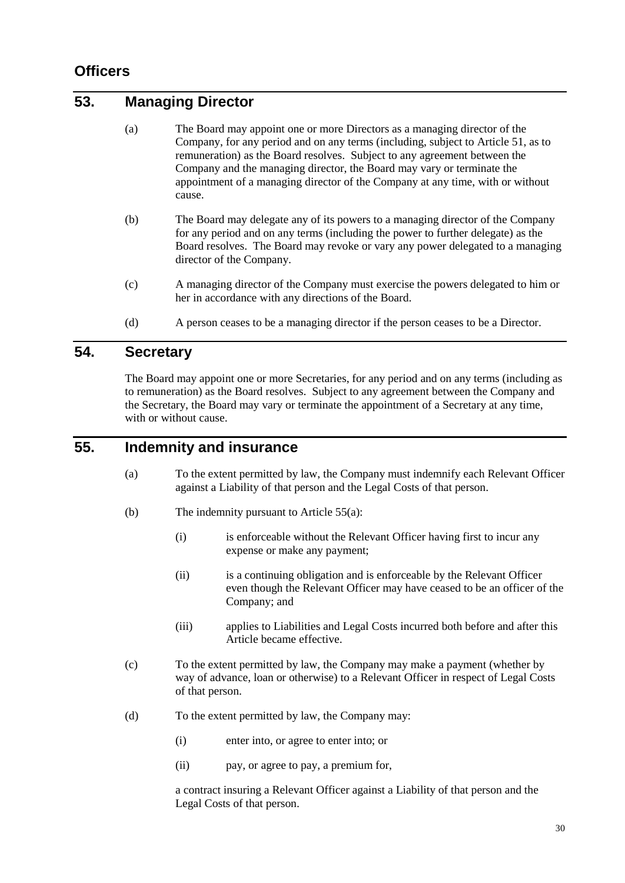## <span id="page-34-0"></span>**Officers**

## <span id="page-34-1"></span>**53. Managing Director**

- (a) The Board may appoint one or more Directors as a managing director of the Company, for any period and on any terms (including, subject to Article [51,](#page-32-0) as to remuneration) as the Board resolves. Subject to any agreement between the Company and the managing director, the Board may vary or terminate the appointment of a managing director of the Company at any time, with or without cause.
- (b) The Board may delegate any of its powers to a managing director of the Company for any period and on any terms (including the power to further delegate) as the Board resolves. The Board may revoke or vary any power delegated to a managing director of the Company.
- (c) A managing director of the Company must exercise the powers delegated to him or her in accordance with any directions of the Board.
- (d) A person ceases to be a managing director if the person ceases to be a Director.

#### <span id="page-34-2"></span>**54. Secretary**

The Board may appoint one or more Secretaries, for any period and on any terms (including as to remuneration) as the Board resolves. Subject to any agreement between the Company and the Secretary, the Board may vary or terminate the appointment of a Secretary at any time, with or without cause.

## <span id="page-34-4"></span><span id="page-34-3"></span>**55. Indemnity and insurance**

- (a) To the extent permitted by law, the Company must indemnify each Relevant Officer against a Liability of that person and the Legal Costs of that person.
- (b) The indemnity pursuant to Article [55\(a\):](#page-34-4)
	- (i) is enforceable without the Relevant Officer having first to incur any expense or make any payment;
	- (ii) is a continuing obligation and is enforceable by the Relevant Officer even though the Relevant Officer may have ceased to be an officer of the Company; and
	- (iii) applies to Liabilities and Legal Costs incurred both before and after this Article became effective.
- (c) To the extent permitted by law, the Company may make a payment (whether by way of advance, loan or otherwise) to a Relevant Officer in respect of Legal Costs of that person.
- (d) To the extent permitted by law, the Company may:
	- (i) enter into, or agree to enter into; or
	- (ii) pay, or agree to pay, a premium for,

a contract insuring a Relevant Officer against a Liability of that person and the Legal Costs of that person.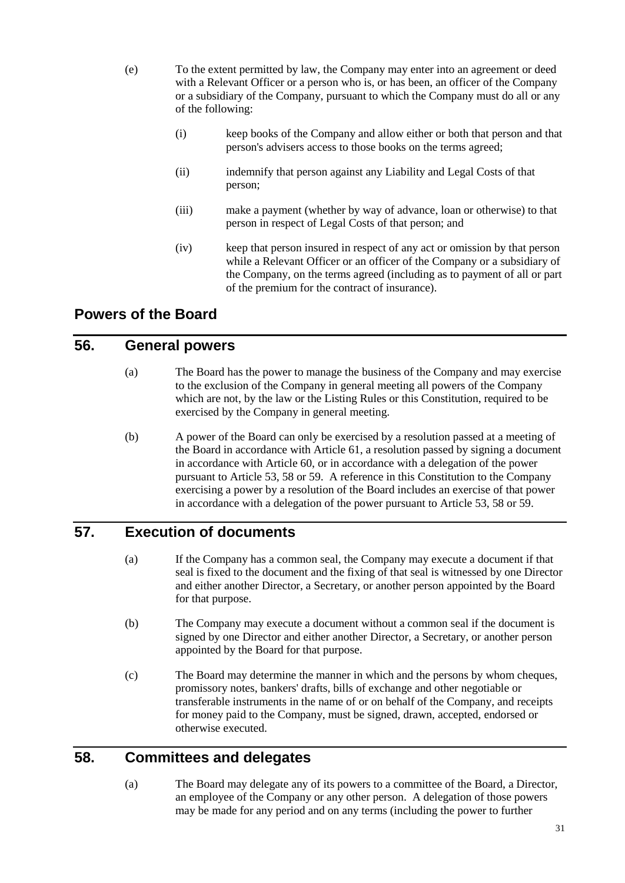- (e) To the extent permitted by law, the Company may enter into an agreement or deed with a Relevant Officer or a person who is, or has been, an officer of the Company or a subsidiary of the Company, pursuant to which the Company must do all or any of the following:
	- (i) keep books of the Company and allow either or both that person and that person's advisers access to those books on the terms agreed;
	- (ii) indemnify that person against any Liability and Legal Costs of that person;
	- (iii) make a payment (whether by way of advance, loan or otherwise) to that person in respect of Legal Costs of that person; and
	- (iv) keep that person insured in respect of any act or omission by that person while a Relevant Officer or an officer of the Company or a subsidiary of the Company, on the terms agreed (including as to payment of all or part of the premium for the contract of insurance).

## <span id="page-35-0"></span>**Powers of the Board**

#### <span id="page-35-1"></span>**56. General powers**

- (a) The Board has the power to manage the business of the Company and may exercise to the exclusion of the Company in general meeting all powers of the Company which are not, by the law or the Listing Rules or this Constitution, required to be exercised by the Company in general meeting.
- (b) A power of the Board can only be exercised by a resolution passed at a meeting of the Board in accordance with Article [61,](#page-36-3) a resolution passed by signing a document in accordance with Article [60,](#page-36-2) or in accordance with a delegation of the power pursuant to Article [53,](#page-34-1) [58](#page-35-3) or [59.](#page-36-0) A reference in this Constitution to the Company exercising a power by a resolution of the Board includes an exercise of that power in accordance with a delegation of the power pursuant to Article [53,](#page-34-1) [58](#page-35-3) or [59.](#page-36-0)

## <span id="page-35-2"></span>**57. Execution of documents**

- (a) If the Company has a common seal, the Company may execute a document if that seal is fixed to the document and the fixing of that seal is witnessed by one Director and either another Director, a Secretary, or another person appointed by the Board for that purpose.
- (b) The Company may execute a document without a common seal if the document is signed by one Director and either another Director, a Secretary, or another person appointed by the Board for that purpose.
- (c) The Board may determine the manner in which and the persons by whom cheques, promissory notes, bankers' drafts, bills of exchange and other negotiable or transferable instruments in the name of or on behalf of the Company, and receipts for money paid to the Company, must be signed, drawn, accepted, endorsed or otherwise executed.

#### <span id="page-35-3"></span>**58. Committees and delegates**

(a) The Board may delegate any of its powers to a committee of the Board, a Director, an employee of the Company or any other person. A delegation of those powers may be made for any period and on any terms (including the power to further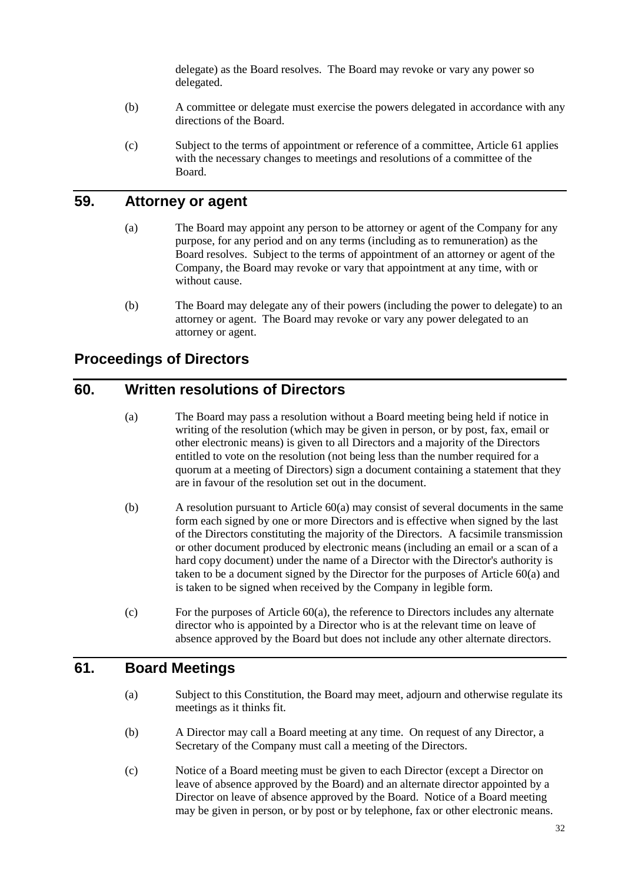delegate) as the Board resolves. The Board may revoke or vary any power so delegated.

- (b) A committee or delegate must exercise the powers delegated in accordance with any directions of the Board.
- (c) Subject to the terms of appointment or reference of a committee, Article [61](#page-36-0) applies with the necessary changes to meetings and resolutions of a committee of the Board.

## **59. Attorney or agent**

- (a) The Board may appoint any person to be attorney or agent of the Company for any purpose, for any period and on any terms (including as to remuneration) as the Board resolves. Subject to the terms of appointment of an attorney or agent of the Company, the Board may revoke or vary that appointment at any time, with or without cause.
- (b) The Board may delegate any of their powers (including the power to delegate) to an attorney or agent. The Board may revoke or vary any power delegated to an attorney or agent.

### **Proceedings of Directors**

### <span id="page-36-1"></span>**60. Written resolutions of Directors**

- (a) The Board may pass a resolution without a Board meeting being held if notice in writing of the resolution (which may be given in person, or by post, fax, email or other electronic means) is given to all Directors and a majority of the Directors entitled to vote on the resolution (not being less than the number required for a quorum at a meeting of Directors) sign a document containing a statement that they are in favour of the resolution set out in the document.
- (b) A resolution pursuant to Article [60\(a\)](#page-36-1) may consist of several documents in the same form each signed by one or more Directors and is effective when signed by the last of the Directors constituting the majority of the Directors. A facsimile transmission or other document produced by electronic means (including an email or a scan of a hard copy document) under the name of a Director with the Director's authority is taken to be a document signed by the Director for the purposes of Article [60\(a\)](#page-36-1) and is taken to be signed when received by the Company in legible form.
- $(c)$  For the purposes of Article  $60(a)$ , the reference to Directors includes any alternate director who is appointed by a Director who is at the relevant time on leave of absence approved by the Board but does not include any other alternate directors.

## <span id="page-36-0"></span>**61. Board Meetings**

- (a) Subject to this Constitution, the Board may meet, adjourn and otherwise regulate its meetings as it thinks fit.
- (b) A Director may call a Board meeting at any time. On request of any Director, a Secretary of the Company must call a meeting of the Directors.
- (c) Notice of a Board meeting must be given to each Director (except a Director on leave of absence approved by the Board) and an alternate director appointed by a Director on leave of absence approved by the Board. Notice of a Board meeting may be given in person, or by post or by telephone, fax or other electronic means.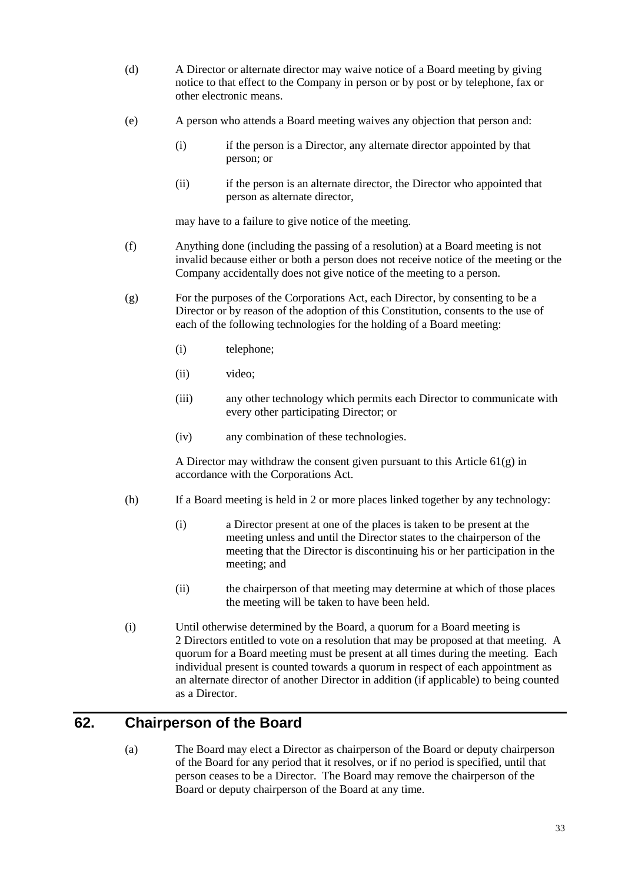- (d) A Director or alternate director may waive notice of a Board meeting by giving notice to that effect to the Company in person or by post or by telephone, fax or other electronic means.
- (e) A person who attends a Board meeting waives any objection that person and:
	- (i) if the person is a Director, any alternate director appointed by that person; or
	- (ii) if the person is an alternate director, the Director who appointed that person as alternate director,

may have to a failure to give notice of the meeting.

- (f) Anything done (including the passing of a resolution) at a Board meeting is not invalid because either or both a person does not receive notice of the meeting or the Company accidentally does not give notice of the meeting to a person.
- <span id="page-37-0"></span>(g) For the purposes of the Corporations Act, each Director, by consenting to be a Director or by reason of the adoption of this Constitution, consents to the use of each of the following technologies for the holding of a Board meeting:
	- (i) telephone;
	- (ii) video;
	- (iii) any other technology which permits each Director to communicate with every other participating Director; or
	- (iv) any combination of these technologies.

A Director may withdraw the consent given pursuant to this Article [61\(g\)](#page-37-0) in accordance with the Corporations Act.

- (h) If a Board meeting is held in 2 or more places linked together by any technology:
	- (i) a Director present at one of the places is taken to be present at the meeting unless and until the Director states to the chairperson of the meeting that the Director is discontinuing his or her participation in the meeting; and
	- (ii) the chairperson of that meeting may determine at which of those places the meeting will be taken to have been held.
- (i) Until otherwise determined by the Board, a quorum for a Board meeting is 2 Directors entitled to vote on a resolution that may be proposed at that meeting. A quorum for a Board meeting must be present at all times during the meeting. Each individual present is counted towards a quorum in respect of each appointment as an alternate director of another Director in addition (if applicable) to being counted as a Director.

## <span id="page-37-1"></span>**62. Chairperson of the Board**

(a) The Board may elect a Director as chairperson of the Board or deputy chairperson of the Board for any period that it resolves, or if no period is specified, until that person ceases to be a Director. The Board may remove the chairperson of the Board or deputy chairperson of the Board at any time.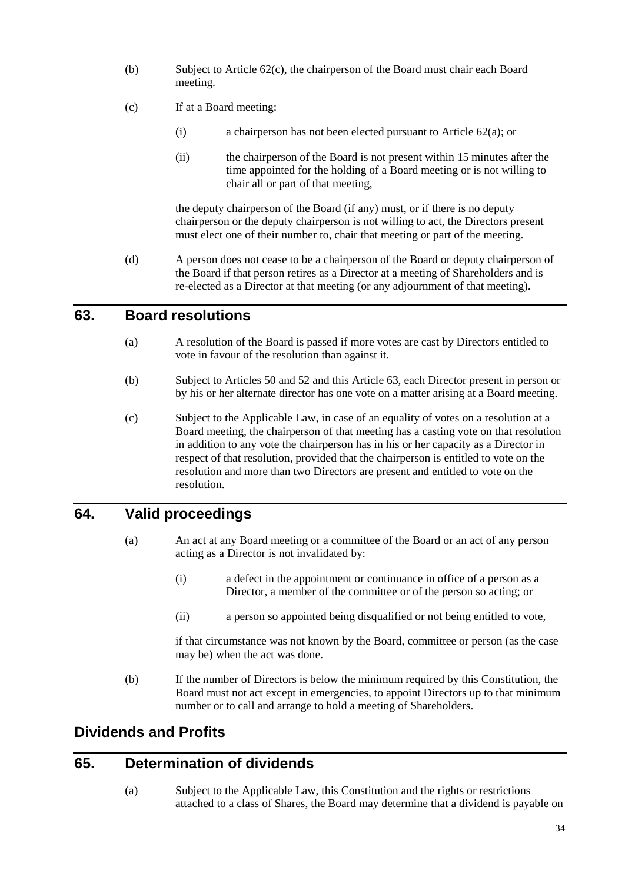- (b) Subject to Article [62\(c\),](#page-38-0) the chairperson of the Board must chair each Board meeting.
- <span id="page-38-0"></span>(c) If at a Board meeting:
	- (i) a chairperson has not been elected pursuant to Article [62\(a\);](#page-37-1) or
	- (ii) the chairperson of the Board is not present within 15 minutes after the time appointed for the holding of a Board meeting or is not willing to chair all or part of that meeting,

the deputy chairperson of the Board (if any) must, or if there is no deputy chairperson or the deputy chairperson is not willing to act, the Directors present must elect one of their number to, chair that meeting or part of the meeting.

(d) A person does not cease to be a chairperson of the Board or deputy chairperson of the Board if that person retires as a Director at a meeting of Shareholders and is re-elected as a Director at that meeting (or any adjournment of that meeting).

## <span id="page-38-1"></span>**63. Board resolutions**

- (a) A resolution of the Board is passed if more votes are cast by Directors entitled to vote in favour of the resolution than against it.
- (b) Subject to Articles [50](#page-31-0) and [52](#page-33-0) and this Article [63,](#page-38-1) each Director present in person or by his or her alternate director has one vote on a matter arising at a Board meeting.
- (c) Subject to the Applicable Law, in case of an equality of votes on a resolution at a Board meeting, the chairperson of that meeting has a casting vote on that resolution in addition to any vote the chairperson has in his or her capacity as a Director in respect of that resolution, provided that the chairperson is entitled to vote on the resolution and more than two Directors are present and entitled to vote on the resolution.

## **64. Valid proceedings**

- (a) An act at any Board meeting or a committee of the Board or an act of any person acting as a Director is not invalidated by:
	- (i) a defect in the appointment or continuance in office of a person as a Director, a member of the committee or of the person so acting; or
	- (ii) a person so appointed being disqualified or not being entitled to vote,

if that circumstance was not known by the Board, committee or person (as the case may be) when the act was done.

(b) If the number of Directors is below the minimum required by this Constitution, the Board must not act except in emergencies, to appoint Directors up to that minimum number or to call and arrange to hold a meeting of Shareholders.

# **Dividends and Profits**

## **65. Determination of dividends**

(a) Subject to the Applicable Law, this Constitution and the rights or restrictions attached to a class of Shares, the Board may determine that a dividend is payable on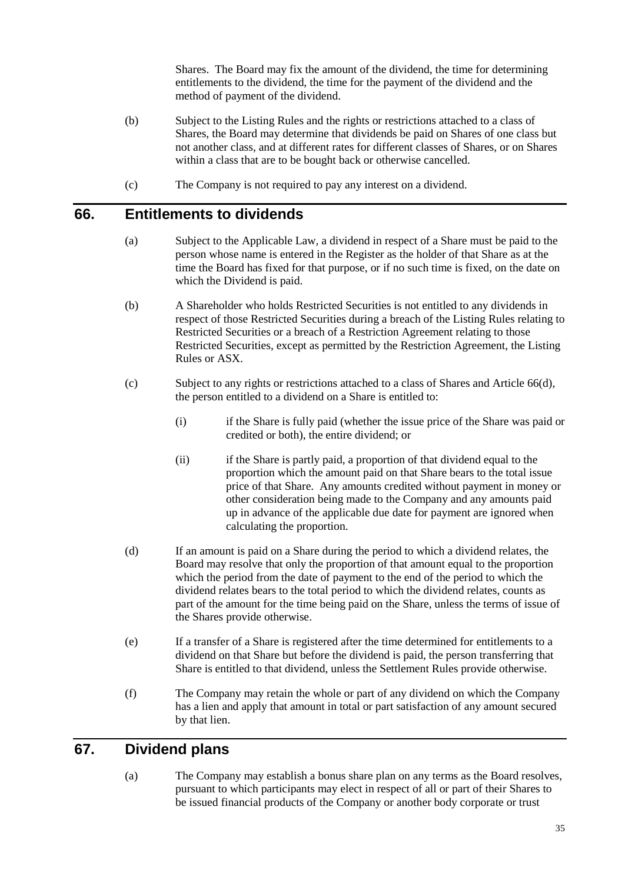Shares. The Board may fix the amount of the dividend, the time for determining entitlements to the dividend, the time for the payment of the dividend and the method of payment of the dividend.

- (b) Subject to the Listing Rules and the rights or restrictions attached to a class of Shares, the Board may determine that dividends be paid on Shares of one class but not another class, and at different rates for different classes of Shares, or on Shares within a class that are to be bought back or otherwise cancelled.
- (c) The Company is not required to pay any interest on a dividend.

### **66. Entitlements to dividends**

- (a) Subject to the Applicable Law, a dividend in respect of a Share must be paid to the person whose name is entered in the Register as the holder of that Share as at the time the Board has fixed for that purpose, or if no such time is fixed, on the date on which the Dividend is paid.
- (b) A Shareholder who holds Restricted Securities is not entitled to any dividends in respect of those Restricted Securities during a breach of the Listing Rules relating to Restricted Securities or a breach of a Restriction Agreement relating to those Restricted Securities, except as permitted by the Restriction Agreement, the Listing Rules or ASX.
- (c) Subject to any rights or restrictions attached to a class of Shares and Article [66\(d\),](#page-39-0) the person entitled to a dividend on a Share is entitled to:
	- (i) if the Share is fully paid (whether the issue price of the Share was paid or credited or both), the entire dividend; or
	- (ii) if the Share is partly paid, a proportion of that dividend equal to the proportion which the amount paid on that Share bears to the total issue price of that Share. Any amounts credited without payment in money or other consideration being made to the Company and any amounts paid up in advance of the applicable due date for payment are ignored when calculating the proportion.
- <span id="page-39-0"></span>(d) If an amount is paid on a Share during the period to which a dividend relates, the Board may resolve that only the proportion of that amount equal to the proportion which the period from the date of payment to the end of the period to which the dividend relates bears to the total period to which the dividend relates, counts as part of the amount for the time being paid on the Share, unless the terms of issue of the Shares provide otherwise.
- (e) If a transfer of a Share is registered after the time determined for entitlements to a dividend on that Share but before the dividend is paid, the person transferring that Share is entitled to that dividend, unless the Settlement Rules provide otherwise.
- (f) The Company may retain the whole or part of any dividend on which the Company has a lien and apply that amount in total or part satisfaction of any amount secured by that lien.

## <span id="page-39-1"></span>**67. Dividend plans**

(a) The Company may establish a bonus share plan on any terms as the Board resolves, pursuant to which participants may elect in respect of all or part of their Shares to be issued financial products of the Company or another body corporate or trust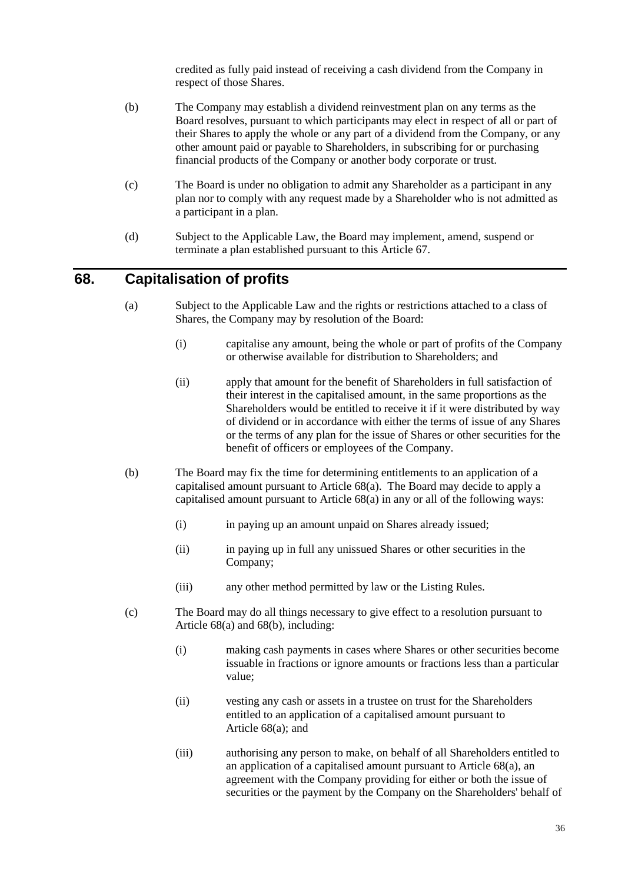credited as fully paid instead of receiving a cash dividend from the Company in respect of those Shares.

- (b) The Company may establish a dividend reinvestment plan on any terms as the Board resolves, pursuant to which participants may elect in respect of all or part of their Shares to apply the whole or any part of a dividend from the Company, or any other amount paid or payable to Shareholders, in subscribing for or purchasing financial products of the Company or another body corporate or trust.
- (c) The Board is under no obligation to admit any Shareholder as a participant in any plan nor to comply with any request made by a Shareholder who is not admitted as a participant in a plan.
- (d) Subject to the Applicable Law, the Board may implement, amend, suspend or terminate a plan established pursuant to this Article [67.](#page-39-1)

### <span id="page-40-0"></span>**68. Capitalisation of profits**

- (a) Subject to the Applicable Law and the rights or restrictions attached to a class of Shares, the Company may by resolution of the Board:
	- (i) capitalise any amount, being the whole or part of profits of the Company or otherwise available for distribution to Shareholders; and
	- (ii) apply that amount for the benefit of Shareholders in full satisfaction of their interest in the capitalised amount, in the same proportions as the Shareholders would be entitled to receive it if it were distributed by way of dividend or in accordance with either the terms of issue of any Shares or the terms of any plan for the issue of Shares or other securities for the benefit of officers or employees of the Company.
- <span id="page-40-1"></span>(b) The Board may fix the time for determining entitlements to an application of a capitalised amount pursuant to Article [68\(a\).](#page-40-0) The Board may decide to apply a capitalised amount pursuant to Article [68\(a\)](#page-40-0) in any or all of the following ways:
	- (i) in paying up an amount unpaid on Shares already issued;
	- (ii) in paying up in full any unissued Shares or other securities in the Company;
	- (iii) any other method permitted by law or the Listing Rules.
- (c) The Board may do all things necessary to give effect to a resolution pursuant to Article [68\(a\)](#page-40-0) and [68\(b\),](#page-40-1) including:
	- (i) making cash payments in cases where Shares or other securities become issuable in fractions or ignore amounts or fractions less than a particular value;
	- (ii) vesting any cash or assets in a trustee on trust for the Shareholders entitled to an application of a capitalised amount pursuant to Article [68\(a\);](#page-40-0) and
	- (iii) authorising any person to make, on behalf of all Shareholders entitled to an application of a capitalised amount pursuant to Article [68\(a\),](#page-40-0) an agreement with the Company providing for either or both the issue of securities or the payment by the Company on the Shareholders' behalf of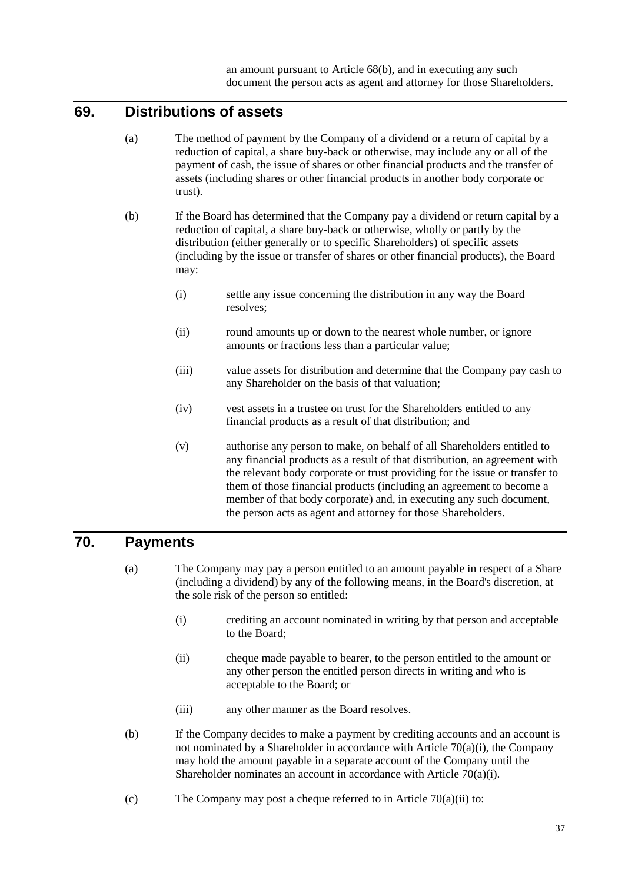## **69. Distributions of assets**

- (a) The method of payment by the Company of a dividend or a return of capital by a reduction of capital, a share buy-back or otherwise, may include any or all of the payment of cash, the issue of shares or other financial products and the transfer of assets (including shares or other financial products in another body corporate or trust).
- (b) If the Board has determined that the Company pay a dividend or return capital by a reduction of capital, a share buy-back or otherwise, wholly or partly by the distribution (either generally or to specific Shareholders) of specific assets (including by the issue or transfer of shares or other financial products), the Board may:
	- (i) settle any issue concerning the distribution in any way the Board resolves;
	- (ii) round amounts up or down to the nearest whole number, or ignore amounts or fractions less than a particular value;
	- (iii) value assets for distribution and determine that the Company pay cash to any Shareholder on the basis of that valuation;
	- (iv) vest assets in a trustee on trust for the Shareholders entitled to any financial products as a result of that distribution; and
	- (v) authorise any person to make, on behalf of all Shareholders entitled to any financial products as a result of that distribution, an agreement with the relevant body corporate or trust providing for the issue or transfer to them of those financial products (including an agreement to become a member of that body corporate) and, in executing any such document, the person acts as agent and attorney for those Shareholders.

## <span id="page-41-2"></span>**70. Payments**

- <span id="page-41-0"></span>(a) The Company may pay a person entitled to an amount payable in respect of a Share (including a dividend) by any of the following means, in the Board's discretion, at the sole risk of the person so entitled:
	- (i) crediting an account nominated in writing by that person and acceptable to the Board;
	- (ii) cheque made payable to bearer, to the person entitled to the amount or any other person the entitled person directs in writing and who is acceptable to the Board; or
	- (iii) any other manner as the Board resolves.
- <span id="page-41-1"></span>(b) If the Company decides to make a payment by crediting accounts and an account is not nominated by a Shareholder in accordance with Article  $70(a)(i)$ , the Company may hold the amount payable in a separate account of the Company until the Shareholder nominates an account in accordance with Article [70\(a\)\(i\).](#page-41-0)
- (c) The Company may post a cheque referred to in Article  $70(a)(ii)$  to: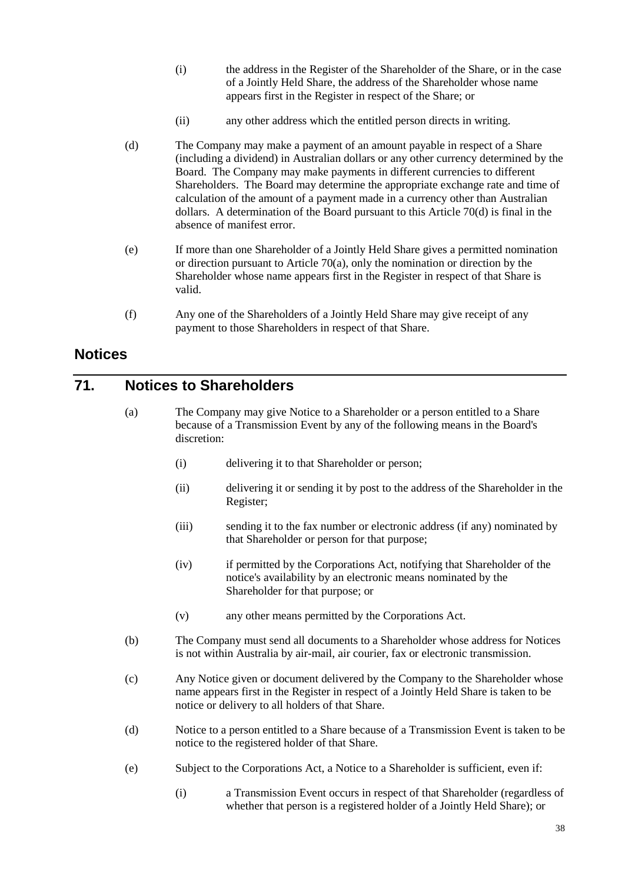- (i) the address in the Register of the Shareholder of the Share, or in the case of a Jointly Held Share, the address of the Shareholder whose name appears first in the Register in respect of the Share; or
- (ii) any other address which the entitled person directs in writing.
- <span id="page-42-0"></span>(d) The Company may make a payment of an amount payable in respect of a Share (including a dividend) in Australian dollars or any other currency determined by the Board. The Company may make payments in different currencies to different Shareholders. The Board may determine the appropriate exchange rate and time of calculation of the amount of a payment made in a currency other than Australian dollars. A determination of the Board pursuant to this Article [70\(d\)](#page-42-0) is final in the absence of manifest error.
- (e) If more than one Shareholder of a Jointly Held Share gives a permitted nomination or direction pursuant to Article [70\(a\),](#page-41-2) only the nomination or direction by the Shareholder whose name appears first in the Register in respect of that Share is valid.
- (f) Any one of the Shareholders of a Jointly Held Share may give receipt of any payment to those Shareholders in respect of that Share.

## **Notices**

## **71. Notices to Shareholders**

- (a) The Company may give Notice to a Shareholder or a person entitled to a Share because of a Transmission Event by any of the following means in the Board's discretion:
	- (i) delivering it to that Shareholder or person;
	- (ii) delivering it or sending it by post to the address of the Shareholder in the Register;
	- (iii) sending it to the fax number or electronic address (if any) nominated by that Shareholder or person for that purpose;
	- (iv) if permitted by the Corporations Act, notifying that Shareholder of the notice's availability by an electronic means nominated by the Shareholder for that purpose; or
	- (v) any other means permitted by the Corporations Act.
- <span id="page-42-1"></span>(b) The Company must send all documents to a Shareholder whose address for Notices is not within Australia by air-mail, air courier, fax or electronic transmission.
- (c) Any Notice given or document delivered by the Company to the Shareholder whose name appears first in the Register in respect of a Jointly Held Share is taken to be notice or delivery to all holders of that Share.
- (d) Notice to a person entitled to a Share because of a Transmission Event is taken to be notice to the registered holder of that Share.
- (e) Subject to the Corporations Act, a Notice to a Shareholder is sufficient, even if:
	- (i) a Transmission Event occurs in respect of that Shareholder (regardless of whether that person is a registered holder of a Jointly Held Share); or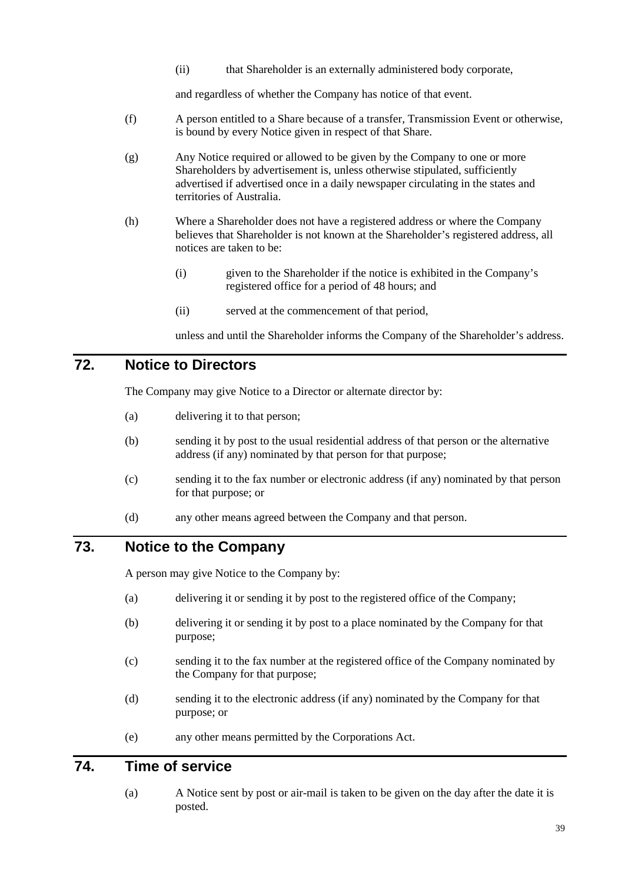(ii) that Shareholder is an externally administered body corporate,

and regardless of whether the Company has notice of that event.

- (f) A person entitled to a Share because of a transfer, Transmission Event or otherwise, is bound by every Notice given in respect of that Share.
- (g) Any Notice required or allowed to be given by the Company to one or more Shareholders by advertisement is, unless otherwise stipulated, sufficiently advertised if advertised once in a daily newspaper circulating in the states and territories of Australia.
- (h) Where a Shareholder does not have a registered address or where the Company believes that Shareholder is not known at the Shareholder's registered address, all notices are taken to be:
	- (i) given to the Shareholder if the notice is exhibited in the Company's registered office for a period of 48 hours; and
	- (ii) served at the commencement of that period,

unless and until the Shareholder informs the Company of the Shareholder's address.

## **72. Notice to Directors**

The Company may give Notice to a Director or alternate director by:

- (a) delivering it to that person;
- (b) sending it by post to the usual residential address of that person or the alternative address (if any) nominated by that person for that purpose;
- (c) sending it to the fax number or electronic address (if any) nominated by that person for that purpose; or
- (d) any other means agreed between the Company and that person.

## **73. Notice to the Company**

A person may give Notice to the Company by:

- (a) delivering it or sending it by post to the registered office of the Company;
- (b) delivering it or sending it by post to a place nominated by the Company for that purpose;
- (c) sending it to the fax number at the registered office of the Company nominated by the Company for that purpose;
- (d) sending it to the electronic address (if any) nominated by the Company for that purpose; or
- (e) any other means permitted by the Corporations Act.

## **74. Time of service**

(a) A Notice sent by post or air-mail is taken to be given on the day after the date it is posted.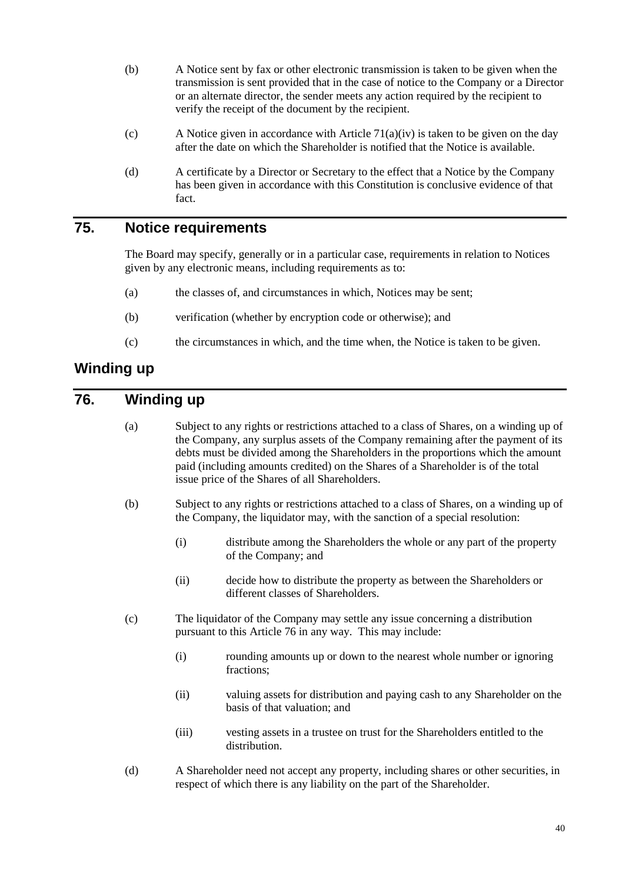- (b) A Notice sent by fax or other electronic transmission is taken to be given when the transmission is sent provided that in the case of notice to the Company or a Director or an alternate director, the sender meets any action required by the recipient to verify the receipt of the document by the recipient.
- (c) A Notice given in accordance with Article [71\(a\)\(iv\)](#page-42-1) is taken to be given on the day after the date on which the Shareholder is notified that the Notice is available.
- (d) A certificate by a Director or Secretary to the effect that a Notice by the Company has been given in accordance with this Constitution is conclusive evidence of that fact.

## **75. Notice requirements**

The Board may specify, generally or in a particular case, requirements in relation to Notices given by any electronic means, including requirements as to:

- (a) the classes of, and circumstances in which, Notices may be sent;
- (b) verification (whether by encryption code or otherwise); and
- (c) the circumstances in which, and the time when, the Notice is taken to be given.

## **Winding up**

# <span id="page-44-0"></span>**76. Winding up**

| (a) | Subject to any rights or restrictions attached to a class of Shares, on a winding up of<br>the Company, any surplus assets of the Company remaining after the payment of its<br>debts must be divided among the Shareholders in the proportions which the amount<br>paid (including amounts credited) on the Shares of a Shareholder is of the total<br>issue price of the Shares of all Shareholders. |                                                                                                            |
|-----|--------------------------------------------------------------------------------------------------------------------------------------------------------------------------------------------------------------------------------------------------------------------------------------------------------------------------------------------------------------------------------------------------------|------------------------------------------------------------------------------------------------------------|
| (b) | Subject to any rights or restrictions attached to a class of Shares, on a winding up of<br>the Company, the liquidator may, with the sanction of a special resolution:                                                                                                                                                                                                                                 |                                                                                                            |
|     | (i)                                                                                                                                                                                                                                                                                                                                                                                                    | distribute among the Shareholders the whole or any part of the property<br>of the Company; and             |
|     | (ii)                                                                                                                                                                                                                                                                                                                                                                                                   | decide how to distribute the property as between the Shareholders or<br>different classes of Shareholders. |
| (c) | The liquidator of the Company may settle any issue concerning a distribution<br>pursuant to this Article 76 in any way. This may include:                                                                                                                                                                                                                                                              |                                                                                                            |
|     | (i)                                                                                                                                                                                                                                                                                                                                                                                                    | rounding amounts up or down to the nearest whole number or ignoring<br>fractions;                          |
|     | (ii)                                                                                                                                                                                                                                                                                                                                                                                                   | valuing assets for distribution and paying cash to any Shareholder on the<br>basis of that valuation; and  |
|     | (iii)                                                                                                                                                                                                                                                                                                                                                                                                  | vesting assets in a trustee on trust for the Shareholders entitled to the<br>distribution.                 |
| (d) | A Shareholder need not accept any property, including shares or other securities, in<br>respect of which there is any liability on the part of the Shareholder.                                                                                                                                                                                                                                        |                                                                                                            |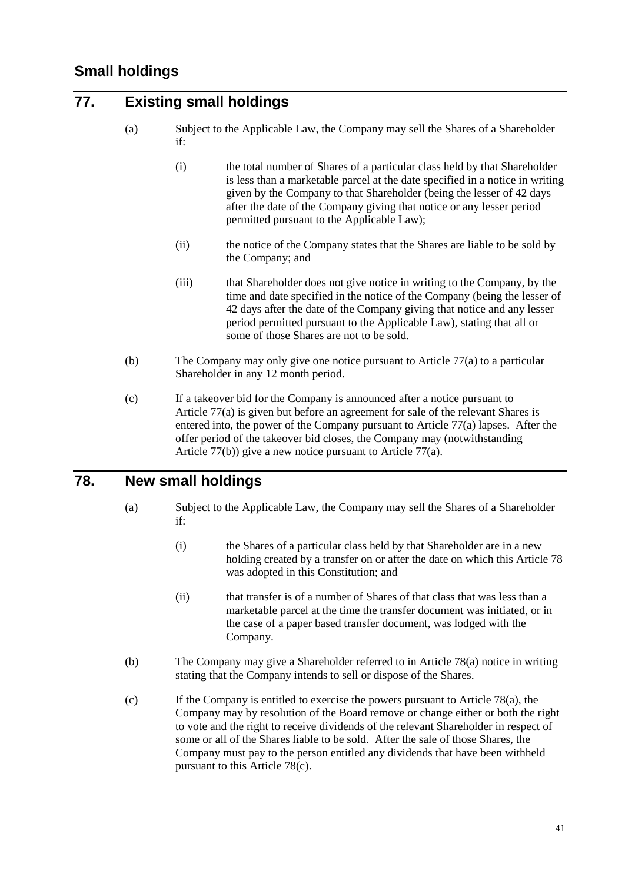## <span id="page-45-5"></span><span id="page-45-0"></span>**77. Existing small holdings**

- (a) Subject to the Applicable Law, the Company may sell the Shares of a Shareholder if:
	- (i) the total number of Shares of a particular class held by that Shareholder is less than a marketable parcel at the date specified in a notice in writing given by the Company to that Shareholder (being the lesser of 42 days after the date of the Company giving that notice or any lesser period permitted pursuant to the Applicable Law);
	- (ii) the notice of the Company states that the Shares are liable to be sold by the Company; and
	- (iii) that Shareholder does not give notice in writing to the Company, by the time and date specified in the notice of the Company (being the lesser of 42 days after the date of the Company giving that notice and any lesser period permitted pursuant to the Applicable Law), stating that all or some of those Shares are not to be sold.
- <span id="page-45-1"></span>(b) The Company may only give one notice pursuant to Article [77\(a\)](#page-45-0) to a particular Shareholder in any 12 month period.
- (c) If a takeover bid for the Company is announced after a notice pursuant to Article [77\(a\)](#page-45-0) is given but before an agreement for sale of the relevant Shares is entered into, the power of the Company pursuant to Article [77\(a\)](#page-45-0) lapses. After the offer period of the takeover bid closes, the Company may (notwithstanding Article [77\(b\)\)](#page-45-1) give a new notice pursuant to Article [77\(a\).](#page-45-0)

## <span id="page-45-3"></span><span id="page-45-2"></span>**78. New small holdings**

- (a) Subject to the Applicable Law, the Company may sell the Shares of a Shareholder if:
	- (i) the Shares of a particular class held by that Shareholder are in a new holding created by a transfer on or after the date on which this Article [78](#page-45-2) was adopted in this Constitution; and
	- (ii) that transfer is of a number of Shares of that class that was less than a marketable parcel at the time the transfer document was initiated, or in the case of a paper based transfer document, was lodged with the Company.
- (b) The Company may give a Shareholder referred to in Article [78\(a\)](#page-45-3) notice in writing stating that the Company intends to sell or dispose of the Shares.
- <span id="page-45-4"></span>(c) If the Company is entitled to exercise the powers pursuant to Article [78\(a\),](#page-45-3) the Company may by resolution of the Board remove or change either or both the right to vote and the right to receive dividends of the relevant Shareholder in respect of some or all of the Shares liable to be sold. After the sale of those Shares, the Company must pay to the person entitled any dividends that have been withheld pursuant to this Article [78\(c\).](#page-45-4)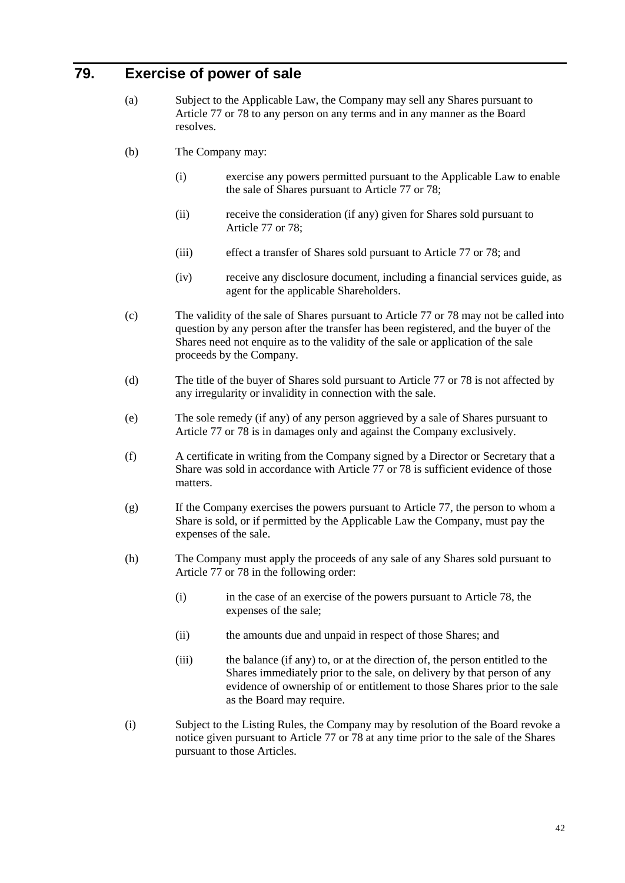## **79. Exercise of power of sale**

- (a) Subject to the Applicable Law, the Company may sell any Shares pursuant to Article [77](#page-45-5) or [78](#page-45-2) to any person on any terms and in any manner as the Board resolves.
- (b) The Company may:
	- (i) exercise any powers permitted pursuant to the Applicable Law to enable the sale of Shares pursuant to Article [77](#page-45-5) or [78;](#page-45-2)
	- (ii) receive the consideration (if any) given for Shares sold pursuant to Article [77](#page-45-5) or [78;](#page-45-2)
	- (iii) effect a transfer of Shares sold pursuant to Article [77](#page-45-5) or [78;](#page-45-2) and
	- (iv) receive any disclosure document, including a financial services guide, as agent for the applicable Shareholders.
- (c) The validity of the sale of Shares pursuant to Article [77](#page-45-5) or [78](#page-45-2) may not be called into question by any person after the transfer has been registered, and the buyer of the Shares need not enquire as to the validity of the sale or application of the sale proceeds by the Company.
- (d) The title of the buyer of Shares sold pursuant to Article [77](#page-45-5) or [78](#page-45-2) is not affected by any irregularity or invalidity in connection with the sale.
- (e) The sole remedy (if any) of any person aggrieved by a sale of Shares pursuant to Article [77](#page-45-5) or [78](#page-45-2) is in damages only and against the Company exclusively.
- (f) A certificate in writing from the Company signed by a Director or Secretary that a Share was sold in accordance with Article [77](#page-45-5) or [78](#page-45-2) is sufficient evidence of those matters.
- (g) If the Company exercises the powers pursuant to Article [77,](#page-45-5) the person to whom a Share is sold, or if permitted by the Applicable Law the Company, must pay the expenses of the sale.
- (h) The Company must apply the proceeds of any sale of any Shares sold pursuant to Article [77](#page-45-5) or [78](#page-45-2) in the following order:
	- (i) in the case of an exercise of the powers pursuant to Article [78,](#page-45-2) the expenses of the sale;
	- (ii) the amounts due and unpaid in respect of those Shares; and
	- (iii) the balance (if any) to, or at the direction of, the person entitled to the Shares immediately prior to the sale, on delivery by that person of any evidence of ownership of or entitlement to those Shares prior to the sale as the Board may require.
- (i) Subject to the Listing Rules, the Company may by resolution of the Board revoke a notice given pursuant to Article [77](#page-45-5) or [78](#page-45-2) at any time prior to the sale of the Shares pursuant to those Articles.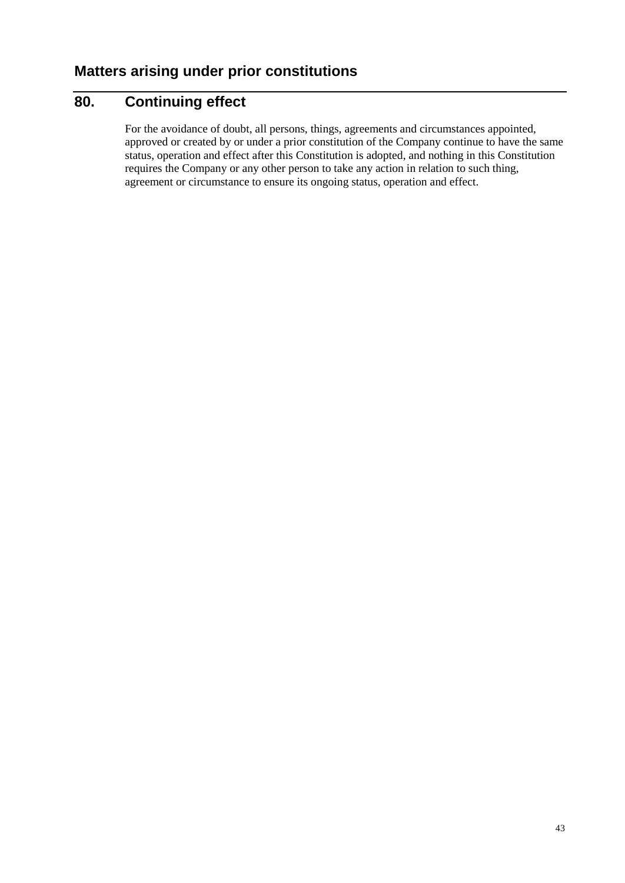# **80. Continuing effect**

For the avoidance of doubt, all persons, things, agreements and circumstances appointed, approved or created by or under a prior constitution of the Company continue to have the same status, operation and effect after this Constitution is adopted, and nothing in this Constitution requires the Company or any other person to take any action in relation to such thing, agreement or circumstance to ensure its ongoing status, operation and effect.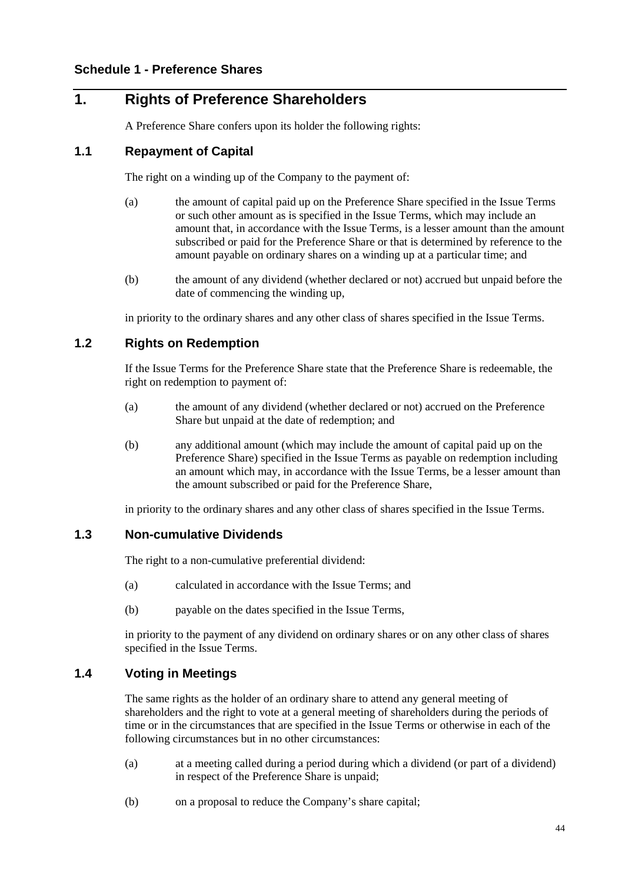# **1. Rights of Preference Shareholders**

A Preference Share confers upon its holder the following rights:

#### **1.1 Repayment of Capital**

The right on a winding up of the Company to the payment of:

- (a) the amount of capital paid up on the Preference Share specified in the Issue Terms or such other amount as is specified in the Issue Terms, which may include an amount that, in accordance with the Issue Terms, is a lesser amount than the amount subscribed or paid for the Preference Share or that is determined by reference to the amount payable on ordinary shares on a winding up at a particular time; and
- (b) the amount of any dividend (whether declared or not) accrued but unpaid before the date of commencing the winding up,

in priority to the ordinary shares and any other class of shares specified in the Issue Terms.

#### **1.2 Rights on Redemption**

If the Issue Terms for the Preference Share state that the Preference Share is redeemable, the right on redemption to payment of:

- (a) the amount of any dividend (whether declared or not) accrued on the Preference Share but unpaid at the date of redemption; and
- (b) any additional amount (which may include the amount of capital paid up on the Preference Share) specified in the Issue Terms as payable on redemption including an amount which may, in accordance with the Issue Terms, be a lesser amount than the amount subscribed or paid for the Preference Share,

in priority to the ordinary shares and any other class of shares specified in the Issue Terms.

#### **1.3 Non-cumulative Dividends**

The right to a non-cumulative preferential dividend:

- (a) calculated in accordance with the Issue Terms; and
- (b) payable on the dates specified in the Issue Terms,

in priority to the payment of any dividend on ordinary shares or on any other class of shares specified in the Issue Terms.

#### **1.4 Voting in Meetings**

The same rights as the holder of an ordinary share to attend any general meeting of shareholders and the right to vote at a general meeting of shareholders during the periods of time or in the circumstances that are specified in the Issue Terms or otherwise in each of the following circumstances but in no other circumstances:

- (a) at a meeting called during a period during which a dividend (or part of a dividend) in respect of the Preference Share is unpaid;
- (b) on a proposal to reduce the Company's share capital;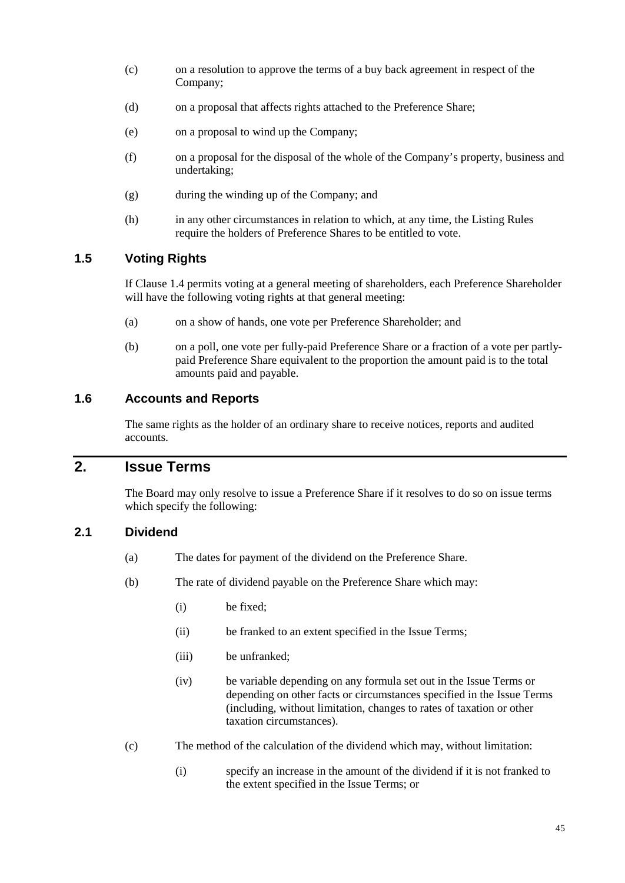- (c) on a resolution to approve the terms of a buy back agreement in respect of the Company;
- (d) on a proposal that affects rights attached to the Preference Share;
- (e) on a proposal to wind up the Company;
- (f) on a proposal for the disposal of the whole of the Company's property, business and undertaking;
- (g) during the winding up of the Company; and
- (h) in any other circumstances in relation to which, at any time, the Listing Rules require the holders of Preference Shares to be entitled to vote.

### **1.5 Voting Rights**

If Clause 1.4 permits voting at a general meeting of shareholders, each Preference Shareholder will have the following voting rights at that general meeting:

- (a) on a show of hands, one vote per Preference Shareholder; and
- (b) on a poll, one vote per fully-paid Preference Share or a fraction of a vote per partlypaid Preference Share equivalent to the proportion the amount paid is to the total amounts paid and payable.

#### **1.6 Accounts and Reports**

The same rights as the holder of an ordinary share to receive notices, reports and audited accounts.

## **2. Issue Terms**

The Board may only resolve to issue a Preference Share if it resolves to do so on issue terms which specify the following:

#### **2.1 Dividend**

- (a) The dates for payment of the dividend on the Preference Share.
- (b) The rate of dividend payable on the Preference Share which may:
	- (i) be fixed;
	- (ii) be franked to an extent specified in the Issue Terms;
	- (iii) be unfranked;
	- (iv) be variable depending on any formula set out in the Issue Terms or depending on other facts or circumstances specified in the Issue Terms (including, without limitation, changes to rates of taxation or other taxation circumstances).
- (c) The method of the calculation of the dividend which may, without limitation:
	- (i) specify an increase in the amount of the dividend if it is not franked to the extent specified in the Issue Terms; or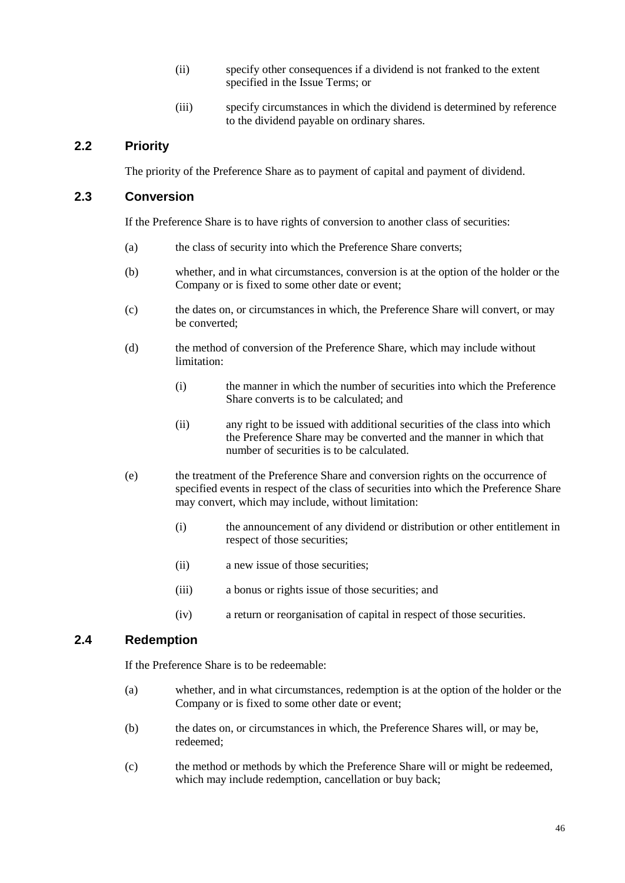- (ii) specify other consequences if a dividend is not franked to the extent specified in the Issue Terms; or
- (iii) specify circumstances in which the dividend is determined by reference to the dividend payable on ordinary shares.

### **2.2 Priority**

The priority of the Preference Share as to payment of capital and payment of dividend.

#### **2.3 Conversion**

If the Preference Share is to have rights of conversion to another class of securities:

- (a) the class of security into which the Preference Share converts;
- (b) whether, and in what circumstances, conversion is at the option of the holder or the Company or is fixed to some other date or event;
- (c) the dates on, or circumstances in which, the Preference Share will convert, or may be converted;
- (d) the method of conversion of the Preference Share, which may include without limitation:
	- (i) the manner in which the number of securities into which the Preference Share converts is to be calculated; and
	- (ii) any right to be issued with additional securities of the class into which the Preference Share may be converted and the manner in which that number of securities is to be calculated.
- (e) the treatment of the Preference Share and conversion rights on the occurrence of specified events in respect of the class of securities into which the Preference Share may convert, which may include, without limitation:
	- (i) the announcement of any dividend or distribution or other entitlement in respect of those securities;
	- (ii) a new issue of those securities;
	- (iii) a bonus or rights issue of those securities; and
	- (iv) a return or reorganisation of capital in respect of those securities.

### **2.4 Redemption**

If the Preference Share is to be redeemable:

- (a) whether, and in what circumstances, redemption is at the option of the holder or the Company or is fixed to some other date or event;
- (b) the dates on, or circumstances in which, the Preference Shares will, or may be, redeemed;
- (c) the method or methods by which the Preference Share will or might be redeemed, which may include redemption, cancellation or buy back;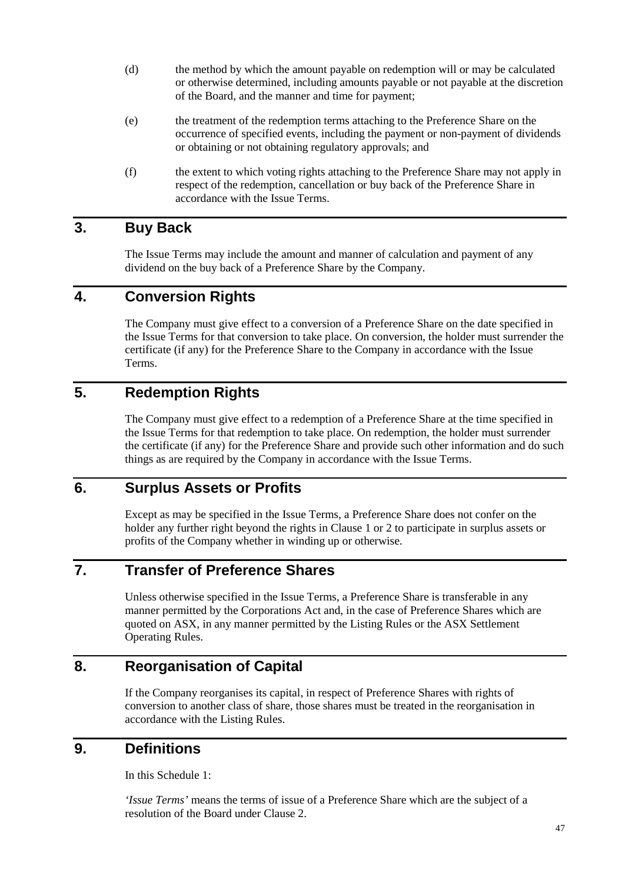- (d) the method by which the amount payable on redemption will or may be calculated or otherwise determined, including amounts payable or not payable at the discretion of the Board, and the manner and time for payment;
- (e) the treatment of the redemption terms attaching to the Preference Share on the occurrence of specified events, including the payment or non-payment of dividends or obtaining or not obtaining regulatory approvals; and
- (f) the extent to which voting rights attaching to the Preference Share may not apply in respect of the redemption, cancellation or buy back of the Preference Share in accordance with the Issue Terms.

## **3. Buy Back**

The Issue Terms may include the amount and manner of calculation and payment of any dividend on the buy back of a Preference Share by the Company.

## **4. Conversion Rights**

The Company must give effect to a conversion of a Preference Share on the date specified in the Issue Terms for that conversion to take place. On conversion, the holder must surrender the certificate (if any) for the Preference Share to the Company in accordance with the Issue Terms.

# **5. Redemption Rights**

The Company must give effect to a redemption of a Preference Share at the time specified in the Issue Terms for that redemption to take place. On redemption, the holder must surrender the certificate (if any) for the Preference Share and provide such other information and do such things as are required by the Company in accordance with the Issue Terms.

## **6. Surplus Assets or Profits**

Except as may be specified in the Issue Terms, a Preference Share does not confer on the holder any further right beyond the rights in Clause 1 or 2 to participate in surplus assets or profits of the Company whether in winding up or otherwise.

# **7. Transfer of Preference Shares**

Unless otherwise specified in the Issue Terms, a Preference Share is transferable in any manner permitted by the Corporations Act and, in the case of Preference Shares which are quoted on ASX, in any manner permitted by the Listing Rules or the ASX Settlement Operating Rules.

## **8. Reorganisation of Capital**

If the Company reorganises its capital, in respect of Preference Shares with rights of conversion to another class of share, those shares must be treated in the reorganisation in accordance with the Listing Rules.

## **9. Definitions**

In this Schedule 1:

*'Issue Terms'* means the terms of issue of a Preference Share which are the subject of a resolution of the Board under Clause 2.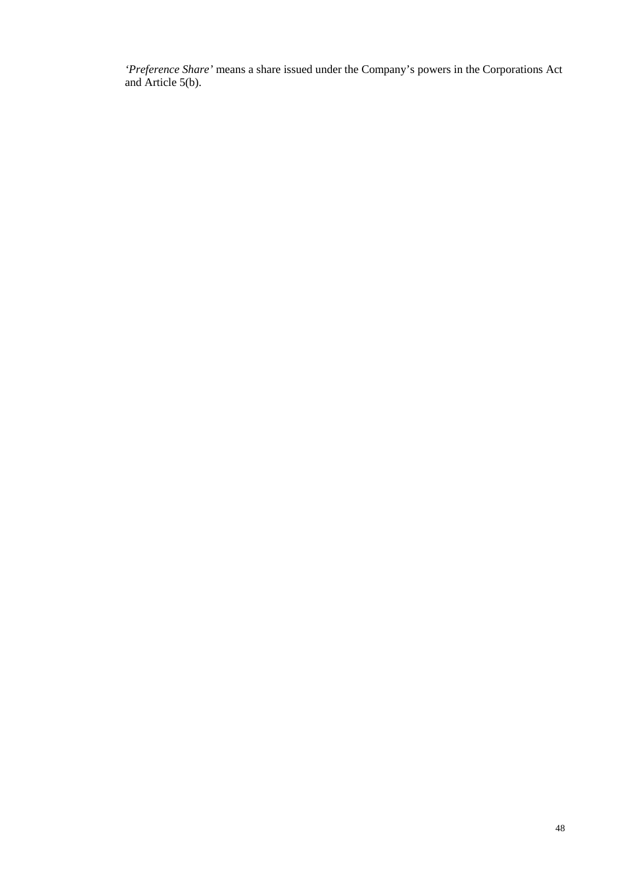*'Preference Share'* means a share issued under the Company's powers in the Corporations Act and Article 5(b).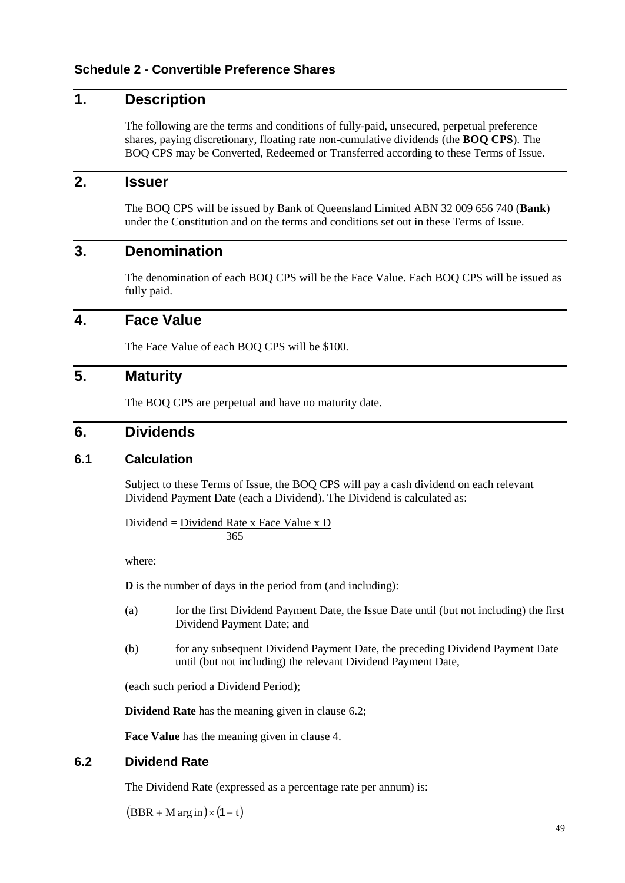# **1. Description**

The following are the terms and conditions of fully-paid, unsecured, perpetual preference shares, paying discretionary, floating rate non-cumulative dividends (the **BOQ CPS**). The BOQ CPS may be Converted, Redeemed or Transferred according to these Terms of Issue.

## **2. Issuer**

The BOQ CPS will be issued by Bank of Queensland Limited ABN 32 009 656 740 (**Bank**) under the Constitution and on the terms and conditions set out in these Terms of Issue.

### **3. Denomination**

The denomination of each BOQ CPS will be the Face Value. Each BOQ CPS will be issued as fully paid.

### <span id="page-53-1"></span>**4. Face Value**

The Face Value of each BOQ CPS will be \$100.

## **5. Maturity**

The BOQ CPS are perpetual and have no maturity date.

### **6. Dividends**

#### <span id="page-53-2"></span>**6.1 Calculation**

Subject to these Terms of Issue, the BOQ CPS will pay a cash dividend on each relevant Dividend Payment Date (each a Dividend). The Dividend is calculated as:

Dividend = Dividend Rate x Face Value x D 365

where:

**D** is the number of days in the period from (and including):

- (a) for the first Dividend Payment Date, the Issue Date until (but not including) the first Dividend Payment Date; and
- (b) for any subsequent Dividend Payment Date, the preceding Dividend Payment Date until (but not including) the relevant Dividend Payment Date,

(each such period a Dividend Period);

**Dividend Rate** has the meaning given in clause [6.2;](#page-53-0)

**Face Value** has the meaning given in clause [4.](#page-53-1)

#### <span id="page-53-0"></span>**6.2 Dividend Rate**

The Dividend Rate (expressed as a percentage rate per annum) is:

 $(BBR + M \arg in) \times (1-t)$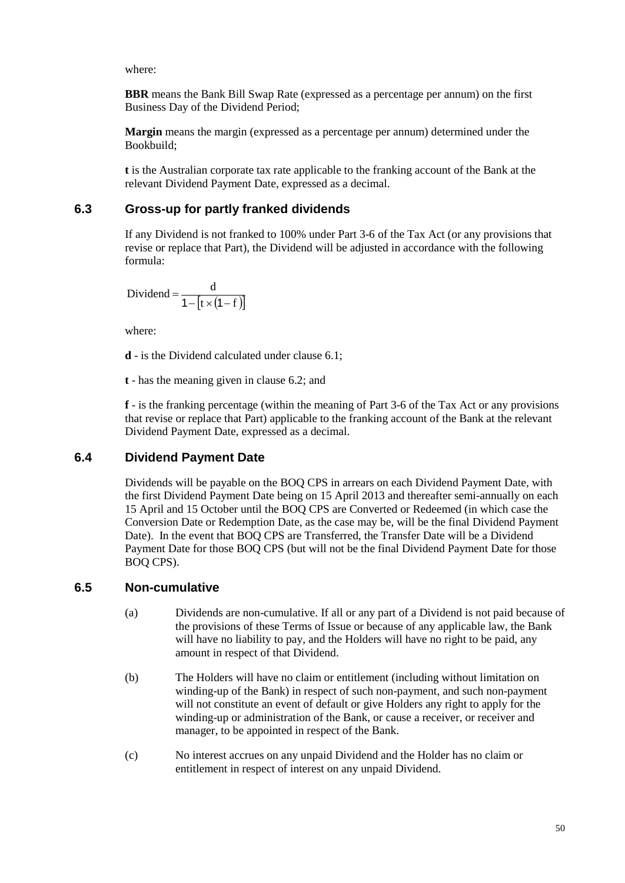where:

**BBR** means the Bank Bill Swap Rate (expressed as a percentage per annum) on the first Business Day of the Dividend Period;

**Margin** means the margin (expressed as a percentage per annum) determined under the Bookbuild;

**t** is the Australian corporate tax rate applicable to the franking account of the Bank at the relevant Dividend Payment Date, expressed as a decimal.

### **6.3 Gross-up for partly franked dividends**

If any Dividend is not franked to 100% under Part 3-6 of the Tax Act (or any provisions that revise or replace that Part), the Dividend will be adjusted in accordance with the following formula:

Dividend = 
$$
\frac{d}{1 - [t \times (1 - f)]}
$$

where:

**d** - is the Dividend calculated under claus[e 6.1;](#page-53-2)

**t** - has the meaning given in clause [6.2;](#page-53-0) and

**f** - is the franking percentage (within the meaning of Part 3-6 of the Tax Act or any provisions that revise or replace that Part) applicable to the franking account of the Bank at the relevant Dividend Payment Date, expressed as a decimal.

### **6.4 Dividend Payment Date**

Dividends will be payable on the BOQ CPS in arrears on each Dividend Payment Date, with the first Dividend Payment Date being on 15 April 2013 and thereafter semi-annually on each 15 April and 15 October until the BOQ CPS are Converted or Redeemed (in which case the Conversion Date or Redemption Date, as the case may be, will be the final Dividend Payment Date). In the event that BOQ CPS are Transferred, the Transfer Date will be a Dividend Payment Date for those BOQ CPS (but will not be the final Dividend Payment Date for those BOQ CPS).

### **6.5 Non-cumulative**

- (a) Dividends are non-cumulative. If all or any part of a Dividend is not paid because of the provisions of these Terms of Issue or because of any applicable law, the Bank will have no liability to pay, and the Holders will have no right to be paid, any amount in respect of that Dividend.
- (b) The Holders will have no claim or entitlement (including without limitation on winding-up of the Bank) in respect of such non-payment, and such non-payment will not constitute an event of default or give Holders any right to apply for the winding-up or administration of the Bank, or cause a receiver, or receiver and manager, to be appointed in respect of the Bank.
- (c) No interest accrues on any unpaid Dividend and the Holder has no claim or entitlement in respect of interest on any unpaid Dividend.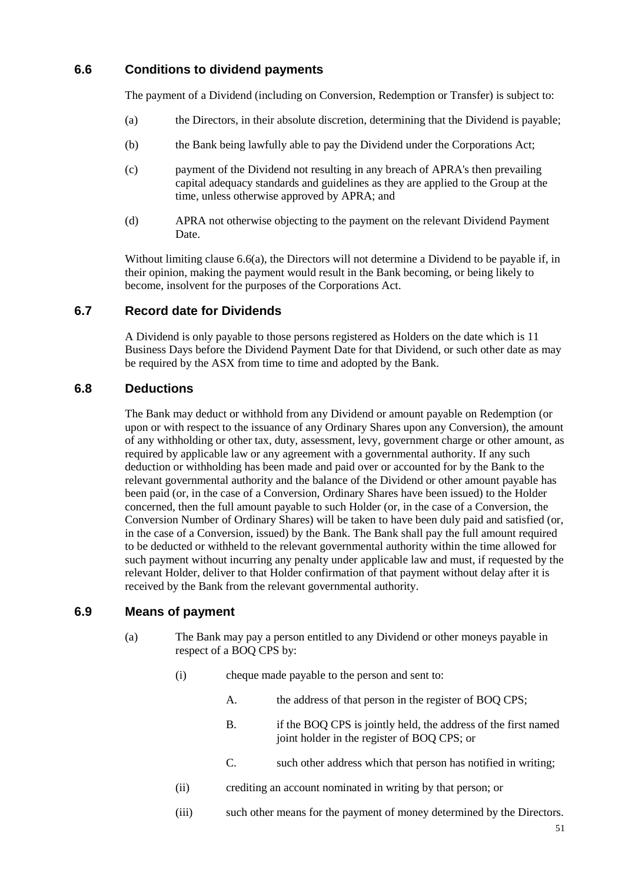### <span id="page-55-1"></span><span id="page-55-0"></span>**6.6 Conditions to dividend payments**

The payment of a Dividend (including on Conversion, Redemption or Transfer) is subject to:

- (a) the Directors, in their absolute discretion, determining that the Dividend is payable;
- (b) the Bank being lawfully able to pay the Dividend under the Corporations Act;
- (c) payment of the Dividend not resulting in any breach of APRA's then prevailing capital adequacy standards and guidelines as they are applied to the Group at the time, unless otherwise approved by APRA; and
- (d) APRA not otherwise objecting to the payment on the relevant Dividend Payment Date.

Without limiting claus[e 6.6](#page-55-0)[\(a\),](#page-55-1) the Directors will not determine a Dividend to be payable if, in their opinion, making the payment would result in the Bank becoming, or being likely to become, insolvent for the purposes of the Corporations Act.

#### **6.7 Record date for Dividends**

A Dividend is only payable to those persons registered as Holders on the date which is 11 Business Days before the Dividend Payment Date for that Dividend, or such other date as may be required by the ASX from time to time and adopted by the Bank.

#### **6.8 Deductions**

The Bank may deduct or withhold from any Dividend or amount payable on Redemption (or upon or with respect to the issuance of any Ordinary Shares upon any Conversion), the amount of any withholding or other tax, duty, assessment, levy, government charge or other amount, as required by applicable law or any agreement with a governmental authority. If any such deduction or withholding has been made and paid over or accounted for by the Bank to the relevant governmental authority and the balance of the Dividend or other amount payable has been paid (or, in the case of a Conversion, Ordinary Shares have been issued) to the Holder concerned, then the full amount payable to such Holder (or, in the case of a Conversion, the Conversion Number of Ordinary Shares) will be taken to have been duly paid and satisfied (or, in the case of a Conversion, issued) by the Bank. The Bank shall pay the full amount required to be deducted or withheld to the relevant governmental authority within the time allowed for such payment without incurring any penalty under applicable law and must, if requested by the relevant Holder, deliver to that Holder confirmation of that payment without delay after it is received by the Bank from the relevant governmental authority.

#### <span id="page-55-3"></span><span id="page-55-2"></span>**6.9 Means of payment**

- <span id="page-55-5"></span><span id="page-55-4"></span>(a) The Bank may pay a person entitled to any Dividend or other moneys payable in respect of a BOQ CPS by:
	- (i) cheque made payable to the person and sent to:
		- A. the address of that person in the register of BOQ CPS;
		- B. if the BOQ CPS is jointly held, the address of the first named joint holder in the register of BOQ CPS; or
		- C. such other address which that person has notified in writing;
	- (ii) crediting an account nominated in writing by that person; or
	- (iii) such other means for the payment of money determined by the Directors.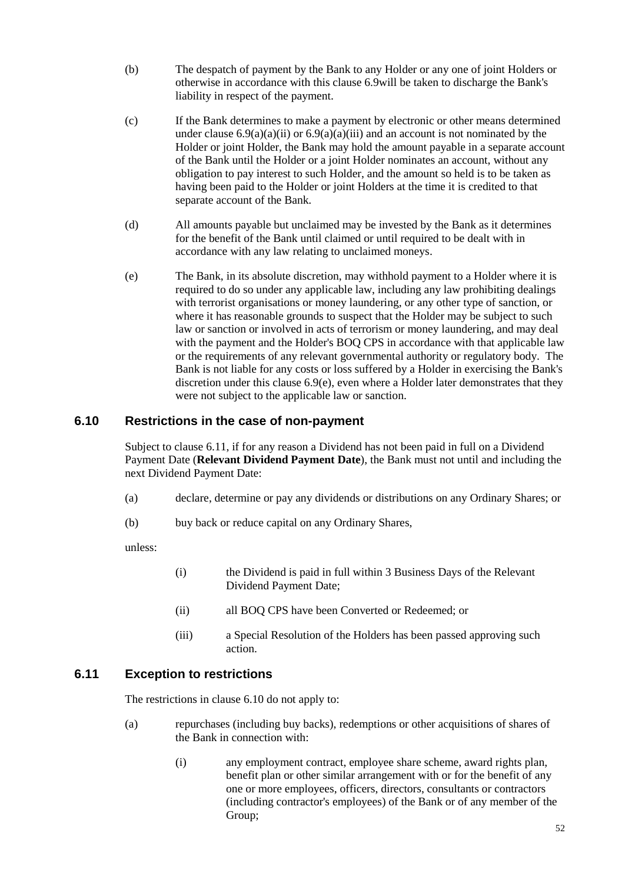- (b) The despatch of payment by the Bank to any Holder or any one of joint Holders or otherwise in accordance with this clause [6.9w](#page-55-2)ill be taken to discharge the Bank's liability in respect of the payment.
- (c) If the Bank determines to make a payment by electronic or other means determined under clause  $6.9(a)(a)(ii)$  $6.9(a)(a)(ii)$  $6.9(a)(a)(ii)$  or  $6.9(a)(a)(iii)$  $6.9(a)(a)(iii)$  and an account is not nominated by the Holder or joint Holder, the Bank may hold the amount payable in a separate account of the Bank until the Holder or a joint Holder nominates an account, without any obligation to pay interest to such Holder, and the amount so held is to be taken as having been paid to the Holder or joint Holders at the time it is credited to that separate account of the Bank.
- (d) All amounts payable but unclaimed may be invested by the Bank as it determines for the benefit of the Bank until claimed or until required to be dealt with in accordance with any law relating to unclaimed moneys.
- <span id="page-56-0"></span>(e) The Bank, in its absolute discretion, may withhold payment to a Holder where it is required to do so under any applicable law, including any law prohibiting dealings with terrorist organisations or money laundering, or any other type of sanction, or where it has reasonable grounds to suspect that the Holder may be subject to such law or sanction or involved in acts of terrorism or money laundering, and may deal with the payment and the Holder's BOQ CPS in accordance with that applicable law or the requirements of any relevant governmental authority or regulatory body. The Bank is not liable for any costs or loss suffered by a Holder in exercising the Bank's discretion under this clause  $6.9(e)$ , even where a Holder later demonstrates that they were not subject to the applicable law or sanction.

#### <span id="page-56-2"></span>**6.10 Restrictions in the case of non-payment**

Subject to clause [6.11,](#page-56-1) if for any reason a Dividend has not been paid in full on a Dividend Payment Date (**Relevant Dividend Payment Date**), the Bank must not until and including the next Dividend Payment Date:

- (a) declare, determine or pay any dividends or distributions on any Ordinary Shares; or
- (b) buy back or reduce capital on any Ordinary Shares,

unless:

- (i) the Dividend is paid in full within 3 Business Days of the Relevant Dividend Payment Date;
- (ii) all BOQ CPS have been Converted or Redeemed; or
- (iii) a Special Resolution of the Holders has been passed approving such action.

### <span id="page-56-1"></span>**6.11 Exception to restrictions**

The restrictions in clause [6.10](#page-56-2) do not apply to:

- (a) repurchases (including buy backs), redemptions or other acquisitions of shares of the Bank in connection with:
	- (i) any employment contract, employee share scheme, award rights plan, benefit plan or other similar arrangement with or for the benefit of any one or more employees, officers, directors, consultants or contractors (including contractor's employees) of the Bank or of any member of the Group;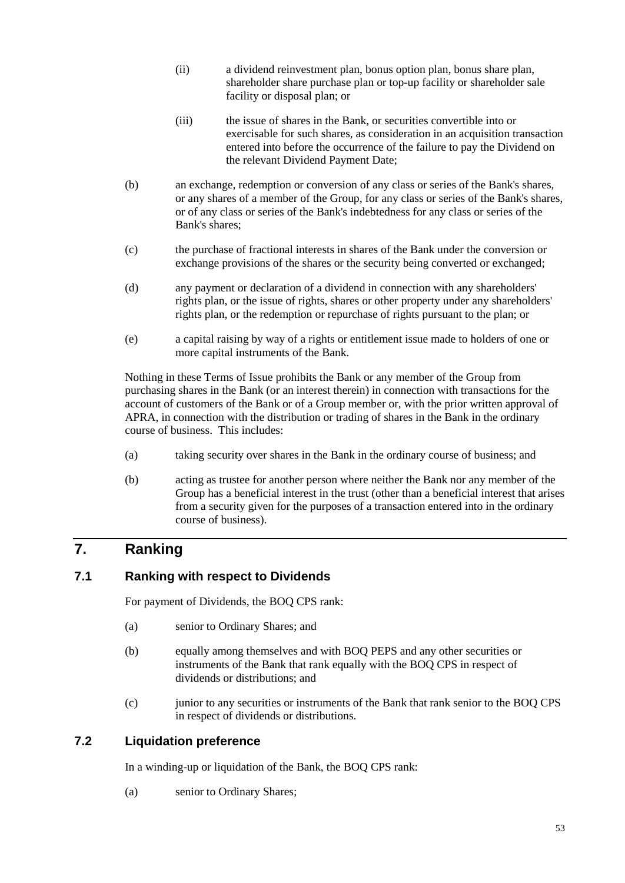- (ii) a dividend reinvestment plan, bonus option plan, bonus share plan, shareholder share purchase plan or top-up facility or shareholder sale facility or disposal plan; or
- (iii) the issue of shares in the Bank, or securities convertible into or exercisable for such shares, as consideration in an acquisition transaction entered into before the occurrence of the failure to pay the Dividend on the relevant Dividend Payment Date;
- (b) an exchange, redemption or conversion of any class or series of the Bank's shares, or any shares of a member of the Group, for any class or series of the Bank's shares, or of any class or series of the Bank's indebtedness for any class or series of the Bank's shares;
- (c) the purchase of fractional interests in shares of the Bank under the conversion or exchange provisions of the shares or the security being converted or exchanged;
- (d) any payment or declaration of a dividend in connection with any shareholders' rights plan, or the issue of rights, shares or other property under any shareholders' rights plan, or the redemption or repurchase of rights pursuant to the plan; or
- (e) a capital raising by way of a rights or entitlement issue made to holders of one or more capital instruments of the Bank.

Nothing in these Terms of Issue prohibits the Bank or any member of the Group from purchasing shares in the Bank (or an interest therein) in connection with transactions for the account of customers of the Bank or of a Group member or, with the prior written approval of APRA, in connection with the distribution or trading of shares in the Bank in the ordinary course of business. This includes:

- (a) taking security over shares in the Bank in the ordinary course of business; and
- (b) acting as trustee for another person where neither the Bank nor any member of the Group has a beneficial interest in the trust (other than a beneficial interest that arises from a security given for the purposes of a transaction entered into in the ordinary course of business).

## **7. Ranking**

### **7.1 Ranking with respect to Dividends**

For payment of Dividends, the BOQ CPS rank:

- (a) senior to Ordinary Shares; and
- (b) equally among themselves and with BOQ PEPS and any other securities or instruments of the Bank that rank equally with the BOQ CPS in respect of dividends or distributions; and
- (c) junior to any securities or instruments of the Bank that rank senior to the BOQ CPS in respect of dividends or distributions.

### <span id="page-57-0"></span>**7.2 Liquidation preference**

In a winding-up or liquidation of the Bank, the BOQ CPS rank:

(a) senior to Ordinary Shares;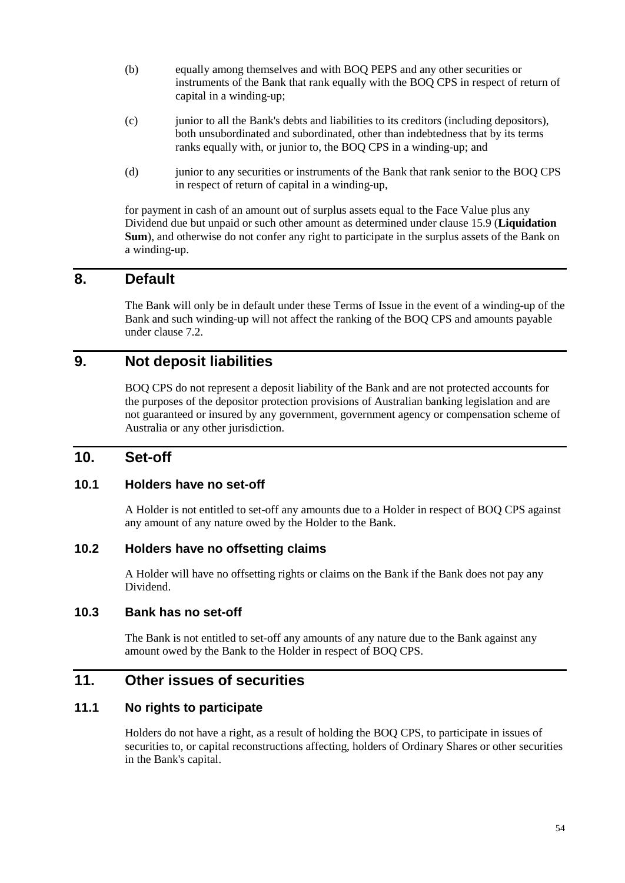- (b) equally among themselves and with BOQ PEPS and any other securities or instruments of the Bank that rank equally with the BOQ CPS in respect of return of capital in a winding-up;
- (c) junior to all the Bank's debts and liabilities to its creditors (including depositors), both unsubordinated and subordinated, other than indebtedness that by its terms ranks equally with, or junior to, the BOQ CPS in a winding-up; and
- (d) junior to any securities or instruments of the Bank that rank senior to the BOQ CPS in respect of return of capital in a winding-up,

for payment in cash of an amount out of surplus assets equal to the Face Value plus any Dividend due but unpaid or such other amount as determined under clause [15.9](#page-72-0) (**Liquidation Sum**), and otherwise do not confer any right to participate in the surplus assets of the Bank on a winding-up.

## **8. Default**

The Bank will only be in default under these Terms of Issue in the event of a winding-up of the Bank and such winding-up will not affect the ranking of the BOQ CPS and amounts payable under clause [7.2.](#page-57-0)

## **9. Not deposit liabilities**

BOQ CPS do not represent a deposit liability of the Bank and are not protected accounts for the purposes of the depositor protection provisions of Australian banking legislation and are not guaranteed or insured by any government, government agency or compensation scheme of Australia or any other jurisdiction.

### **10. Set-off**

### **10.1 Holders have no set-off**

A Holder is not entitled to set-off any amounts due to a Holder in respect of BOQ CPS against any amount of any nature owed by the Holder to the Bank.

#### **10.2 Holders have no offsetting claims**

A Holder will have no offsetting rights or claims on the Bank if the Bank does not pay any Dividend.

#### **10.3 Bank has no set-off**

The Bank is not entitled to set-off any amounts of any nature due to the Bank against any amount owed by the Bank to the Holder in respect of BOQ CPS.

### **11. Other issues of securities**

### **11.1 No rights to participate**

Holders do not have a right, as a result of holding the BOQ CPS, to participate in issues of securities to, or capital reconstructions affecting, holders of Ordinary Shares or other securities in the Bank's capital.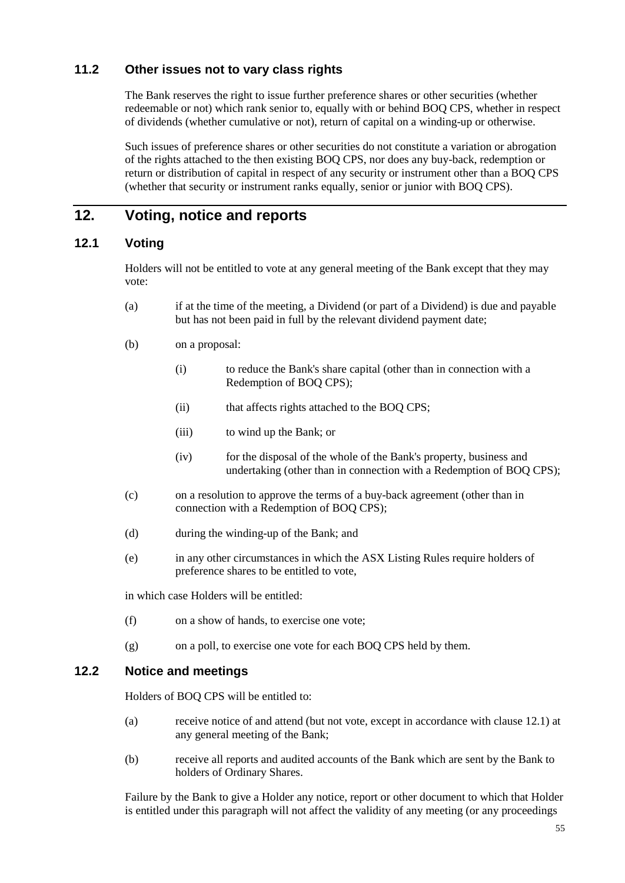### **11.2 Other issues not to vary class rights**

The Bank reserves the right to issue further preference shares or other securities (whether redeemable or not) which rank senior to, equally with or behind BOQ CPS, whether in respect of dividends (whether cumulative or not), return of capital on a winding-up or otherwise.

Such issues of preference shares or other securities do not constitute a variation or abrogation of the rights attached to the then existing BOQ CPS, nor does any buy-back, redemption or return or distribution of capital in respect of any security or instrument other than a BOQ CPS (whether that security or instrument ranks equally, senior or junior with BOQ CPS).

## **12. Voting, notice and reports**

### <span id="page-59-0"></span>**12.1 Voting**

Holders will not be entitled to vote at any general meeting of the Bank except that they may vote:

- (a) if at the time of the meeting, a Dividend (or part of a Dividend) is due and payable but has not been paid in full by the relevant dividend payment date;
- (b) on a proposal:
	- (i) to reduce the Bank's share capital (other than in connection with a Redemption of BOQ CPS);
	- (ii) that affects rights attached to the BOQ CPS;
	- (iii) to wind up the Bank; or
	- (iv) for the disposal of the whole of the Bank's property, business and undertaking (other than in connection with a Redemption of BOQ CPS);
- (c) on a resolution to approve the terms of a buy-back agreement (other than in connection with a Redemption of BOQ CPS);
- (d) during the winding-up of the Bank; and
- (e) in any other circumstances in which the ASX Listing Rules require holders of preference shares to be entitled to vote,

in which case Holders will be entitled:

- (f) on a show of hands, to exercise one vote;
- (g) on a poll, to exercise one vote for each BOQ CPS held by them.

### **12.2 Notice and meetings**

Holders of BOQ CPS will be entitled to:

- (a) receive notice of and attend (but not vote, except in accordance with clause [12.1\)](#page-59-0) at any general meeting of the Bank;
- (b) receive all reports and audited accounts of the Bank which are sent by the Bank to holders of Ordinary Shares.

Failure by the Bank to give a Holder any notice, report or other document to which that Holder is entitled under this paragraph will not affect the validity of any meeting (or any proceedings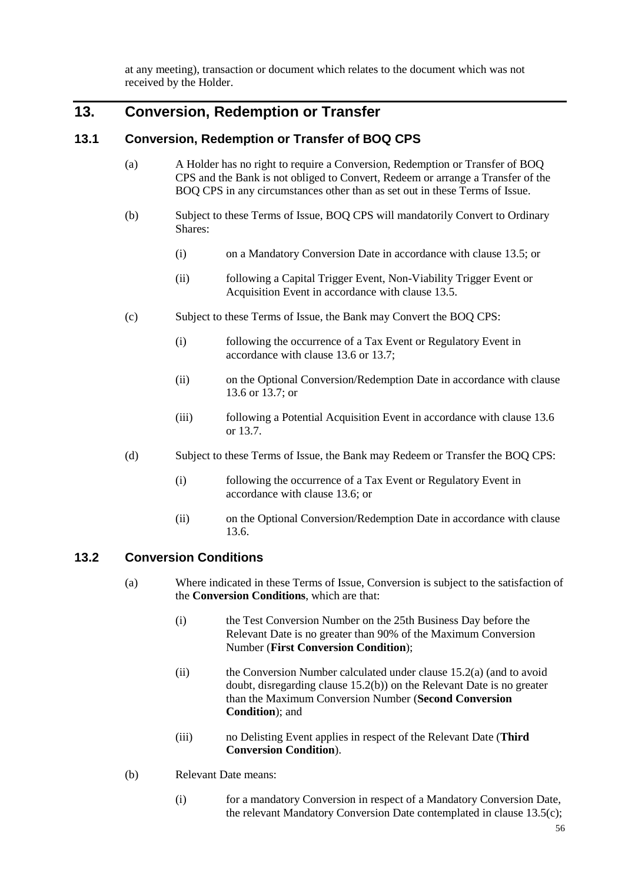at any meeting), transaction or document which relates to the document which was not received by the Holder.

## **13. Conversion, Redemption or Transfer**

#### **13.1 Conversion, Redemption or Transfer of BOQ CPS**

- (a) A Holder has no right to require a Conversion, Redemption or Transfer of BOQ CPS and the Bank is not obliged to Convert, Redeem or arrange a Transfer of the BOQ CPS in any circumstances other than as set out in these Terms of Issue.
- (b) Subject to these Terms of Issue, BOQ CPS will mandatorily Convert to Ordinary Shares:
	- (i) on a Mandatory Conversion Date in accordance with clause [13.5;](#page-61-0) or
	- (ii) following a Capital Trigger Event, Non-Viability Trigger Event or Acquisition Event in accordance with clause [13.5.](#page-61-0)
- (c) Subject to these Terms of Issue, the Bank may Convert the BOQ CPS:
	- (i) following the occurrence of a Tax Event or Regulatory Event in accordance with clause [13.6](#page-63-0) or [13.7;](#page-65-0)
	- (ii) on the Optional Conversion/Redemption Date in accordance with clause [13.6](#page-63-0) or [13.7;](#page-65-0) or
	- (iii) following a Potential Acquisition Event in accordance with clause [13.6](#page-63-0) or [13.7.](#page-65-0)
- (d) Subject to these Terms of Issue, the Bank may Redeem or Transfer the BOQ CPS:
	- (i) following the occurrence of a Tax Event or Regulatory Event in accordance with clause [13.6;](#page-63-0) or
	- (ii) on the Optional Conversion/Redemption Date in accordance with clause [13.6.](#page-63-0)

#### <span id="page-60-1"></span>**13.2 Conversion Conditions**

- (a) Where indicated in these Terms of Issue, Conversion is subject to the satisfaction of the **Conversion Conditions**, which are that:
	- (i) the Test Conversion Number on the 25th Business Day before the Relevant Date is no greater than 90% of the Maximum Conversion Number (**First Conversion Condition**);
	- (ii) the Conversion Number calculated under clause [15.2\(a\)](#page-69-0) (and to avoid doubt, disregarding clause [15.2\(b\)\)](#page-70-0) on the Relevant Date is no greater than the Maximum Conversion Number (**Second Conversion Condition**); and
	- (iii) no Delisting Event applies in respect of the Relevant Date (**Third Conversion Condition**).
- <span id="page-60-0"></span>(b) Relevant Date means:
	- (i) for a mandatory Conversion in respect of a Mandatory Conversion Date, the relevant Mandatory Conversion Date contemplated in clause [13.5\(c\);](#page-62-0)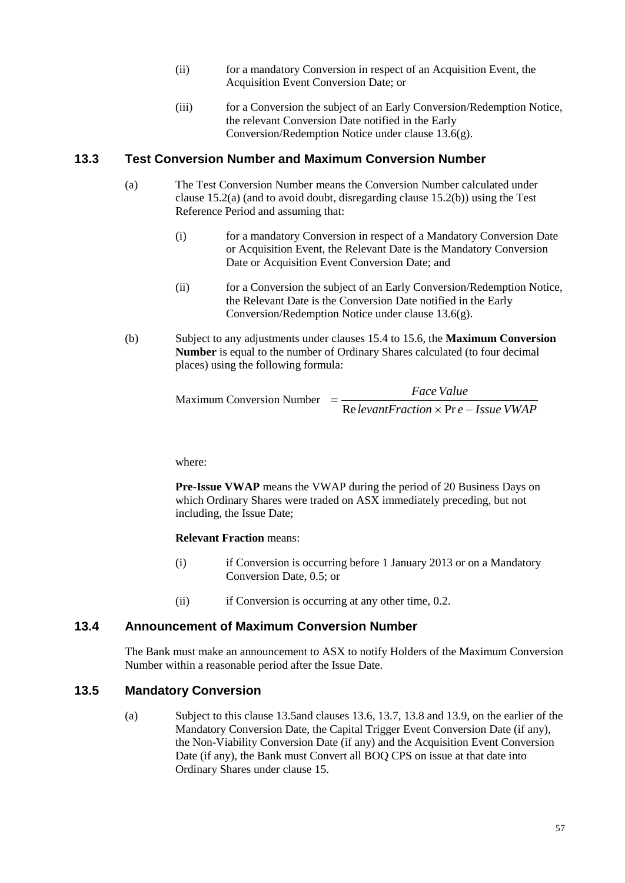- (ii) for a mandatory Conversion in respect of an Acquisition Event, the Acquisition Event Conversion Date; or
- (iii) for a Conversion the subject of an Early Conversion/Redemption Notice, the relevant Conversion Date notified in the Early Conversion/Redemption Notice under clause [13.6\(g\).](#page-64-0)

#### <span id="page-61-1"></span>**13.3 Test Conversion Number and Maximum Conversion Number**

- (a) The Test Conversion Number means the Conversion Number calculated under clause [15.2\(a\)](#page-69-0) (and to avoid doubt, disregarding clause [15.2\(b\)\)](#page-70-0) using the Test Reference Period and assuming that:
	- (i) for a mandatory Conversion in respect of a Mandatory Conversion Date or Acquisition Event, the Relevant Date is the Mandatory Conversion Date or Acquisition Event Conversion Date; and
	- (ii) for a Conversion the subject of an Early Conversion/Redemption Notice, the Relevant Date is the Conversion Date notified in the Early Conversion/Redemption Notice under clause [13.6\(g\).](#page-64-0)
- (b) Subject to any adjustments under clauses [15.4](#page-70-1) to [15.6,](#page-72-1) the **Maximum Conversion Number** is equal to the number of Ordinary Shares calculated (to four decimal places) using the following formula:

```
Maximum Conversion Number =e RelevantFraction × Pr e − Issue VWAP
                             Face Value
```
where:

**Pre-Issue VWAP** means the VWAP during the period of 20 Business Days on which Ordinary Shares were traded on ASX immediately preceding, but not including, the Issue Date;

**Relevant Fraction** means:

- (i) if Conversion is occurring before 1 January 2013 or on a Mandatory Conversion Date, 0.5; or
- (ii) if Conversion is occurring at any other time, 0.2.

#### **13.4 Announcement of Maximum Conversion Number**

The Bank must make an announcement to ASX to notify Holders of the Maximum Conversion Number within a reasonable period after the Issue Date.

### <span id="page-61-0"></span>**13.5 Mandatory Conversion**

(a) Subject to this clause [13.5a](#page-61-0)nd clauses [13.6,](#page-63-0) [13.7,](#page-65-0) [13.8](#page-65-1) and [13.9,](#page-66-0) on the earlier of the Mandatory Conversion Date, the Capital Trigger Event Conversion Date (if any), the Non-Viability Conversion Date (if any) and the Acquisition Event Conversion Date (if any), the Bank must Convert all BOQ CPS on issue at that date into Ordinary Shares under clause [15.](#page-69-1)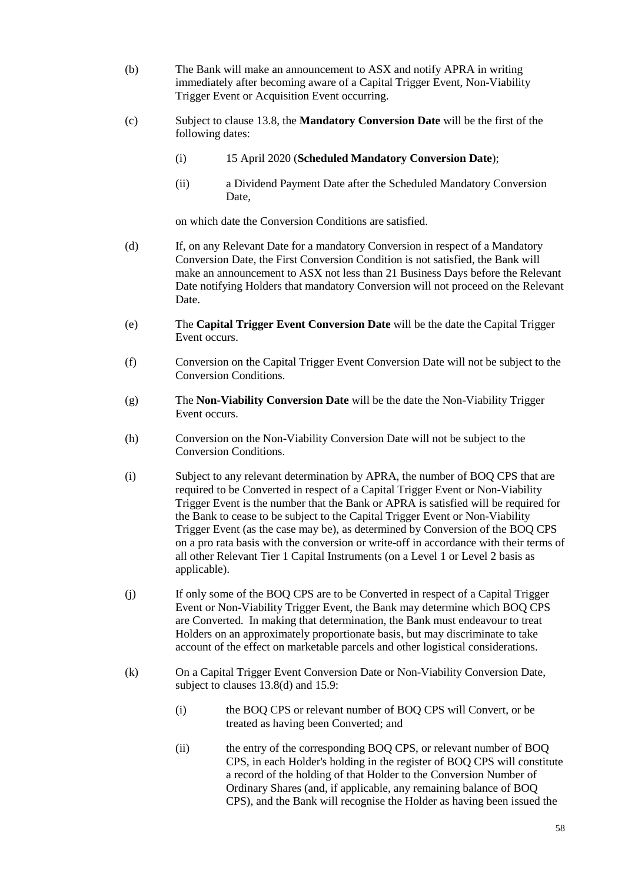- (b) The Bank will make an announcement to ASX and notify APRA in writing immediately after becoming aware of a Capital Trigger Event, Non-Viability Trigger Event or Acquisition Event occurring.
- <span id="page-62-0"></span>(c) Subject to clause [13.8,](#page-65-1) the **Mandatory Conversion Date** will be the first of the following dates:
	- (i) 15 April 2020 (**Scheduled Mandatory Conversion Date**);
	- (ii) a Dividend Payment Date after the Scheduled Mandatory Conversion Date,

on which date the Conversion Conditions are satisfied.

- (d) If, on any Relevant Date for a mandatory Conversion in respect of a Mandatory Conversion Date, the First Conversion Condition is not satisfied, the Bank will make an announcement to ASX not less than 21 Business Days before the Relevant Date notifying Holders that mandatory Conversion will not proceed on the Relevant Date.
- (e) The **Capital Trigger Event Conversion Date** will be the date the Capital Trigger Event occurs.
- (f) Conversion on the Capital Trigger Event Conversion Date will not be subject to the Conversion Conditions.
- (g) The **Non-Viability Conversion Date** will be the date the Non-Viability Trigger Event occurs.
- (h) Conversion on the Non-Viability Conversion Date will not be subject to the Conversion Conditions.
- (i) Subject to any relevant determination by APRA, the number of BOQ CPS that are required to be Converted in respect of a Capital Trigger Event or Non-Viability Trigger Event is the number that the Bank or APRA is satisfied will be required for the Bank to cease to be subject to the Capital Trigger Event or Non-Viability Trigger Event (as the case may be), as determined by Conversion of the BOQ CPS on a pro rata basis with the conversion or write-off in accordance with their terms of all other Relevant Tier 1 Capital Instruments (on a Level 1 or Level 2 basis as applicable).
- (j) If only some of the BOQ CPS are to be Converted in respect of a Capital Trigger Event or Non-Viability Trigger Event, the Bank may determine which BOQ CPS are Converted. In making that determination, the Bank must endeavour to treat Holders on an approximately proportionate basis, but may discriminate to take account of the effect on marketable parcels and other logistical considerations.
- (k) On a Capital Trigger Event Conversion Date or Non-Viability Conversion Date, subject to clauses [13.8\(d\)](#page-66-1) and [15.9:](#page-72-0)
	- (i) the BOQ CPS or relevant number of BOQ CPS will Convert, or be treated as having been Converted; and
	- (ii) the entry of the corresponding BOQ CPS, or relevant number of BOQ CPS, in each Holder's holding in the register of BOQ CPS will constitute a record of the holding of that Holder to the Conversion Number of Ordinary Shares (and, if applicable, any remaining balance of BOQ CPS), and the Bank will recognise the Holder as having been issued the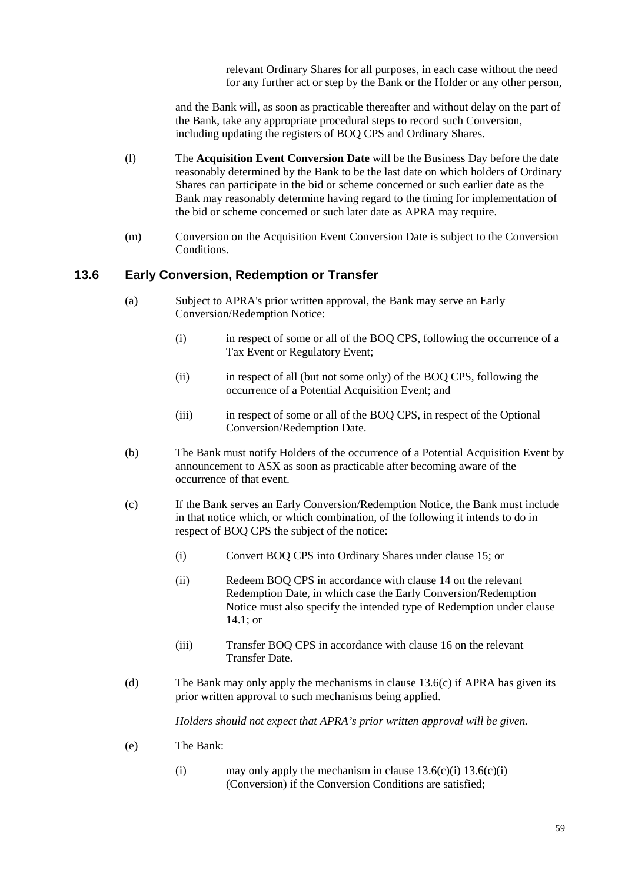relevant Ordinary Shares for all purposes, in each case without the need for any further act or step by the Bank or the Holder or any other person,

and the Bank will, as soon as practicable thereafter and without delay on the part of the Bank, take any appropriate procedural steps to record such Conversion, including updating the registers of BOQ CPS and Ordinary Shares.

- <span id="page-63-8"></span>(l) The **Acquisition Event Conversion Date** will be the Business Day before the date reasonably determined by the Bank to be the last date on which holders of Ordinary Shares can participate in the bid or scheme concerned or such earlier date as the Bank may reasonably determine having regard to the timing for implementation of the bid or scheme concerned or such later date as APRA may require.
- (m) Conversion on the Acquisition Event Conversion Date is subject to the Conversion Conditions.

#### <span id="page-63-5"></span><span id="page-63-0"></span>**13.6 Early Conversion, Redemption or Transfer**

- <span id="page-63-6"></span>(a) Subject to APRA's prior written approval, the Bank may serve an Early Conversion/Redemption Notice:
	- (i) in respect of some or all of the BOQ CPS, following the occurrence of a Tax Event or Regulatory Event;
	- (ii) in respect of all (but not some only) of the BOQ CPS, following the occurrence of a Potential Acquisition Event; and
	- (iii) in respect of some or all of the BOQ CPS, in respect of the Optional Conversion/Redemption Date.
- <span id="page-63-7"></span>(b) The Bank must notify Holders of the occurrence of a Potential Acquisition Event by announcement to ASX as soon as practicable after becoming aware of the occurrence of that event.
- <span id="page-63-3"></span><span id="page-63-2"></span><span id="page-63-1"></span>(c) If the Bank serves an Early Conversion/Redemption Notice, the Bank must include in that notice which, or which combination, of the following it intends to do in respect of BOQ CPS the subject of the notice:
	- (i) Convert BOQ CPS into Ordinary Shares under clause [15;](#page-69-1) or
	- (ii) Redeem BOQ CPS in accordance with clause [14](#page-67-0) on the relevant Redemption Date, in which case the Early Conversion/Redemption Notice must also specify the intended type of Redemption under clause [14.1;](#page-67-1) or
	- (iii) Transfer BOQ CPS in accordance with clause [16](#page-73-0) on the relevant Transfer Date.
- <span id="page-63-4"></span>(d) The Bank may only apply the mechanisms in clause [13.6](#page-63-0)[\(c\)](#page-63-1) if APRA has given its prior written approval to such mechanisms being applied.

*Holders should not expect that APRA's prior written approval will be given.*

- (e) The Bank:
	- (i) may only apply the mechanism in clause  $13.6(c)(i) 13.6(c)(i)$  $13.6(c)(i) 13.6(c)(i)$  $13.6(c)(i) 13.6(c)(i)$ (Conversion) if the Conversion Conditions are satisfied;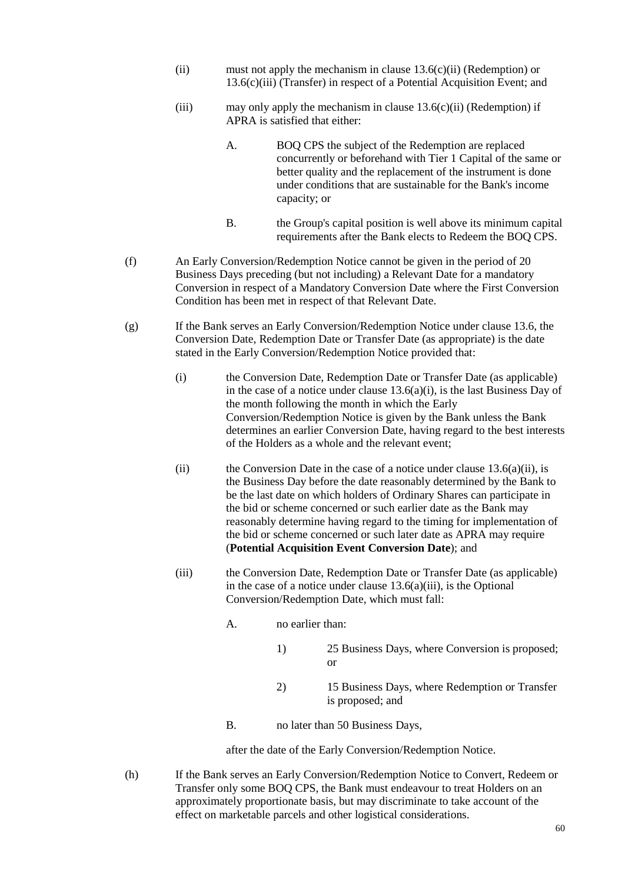- (ii) must not apply the mechanism in clause  $13.6(c)(ii)$  $13.6(c)(ii)$  (Redemption) or [13.6](#page-63-0)[\(c\)\(iii\)](#page-63-4) (Transfer) in respect of a Potential Acquisition Event; and
- (iii) may only apply the mechanism in clause  $13.6(c)$ (ii) (Redemption) if APRA is satisfied that either:
	- A. BOQ CPS the subject of the Redemption are replaced concurrently or beforehand with Tier 1 Capital of the same or better quality and the replacement of the instrument is done under conditions that are sustainable for the Bank's income capacity; or
	- B. the Group's capital position is well above its minimum capital requirements after the Bank elects to Redeem the BOQ CPS.
- (f) An Early Conversion/Redemption Notice cannot be given in the period of 20 Business Days preceding (but not including) a Relevant Date for a mandatory Conversion in respect of a Mandatory Conversion Date where the First Conversion Condition has been met in respect of that Relevant Date.
- <span id="page-64-0"></span>(g) If the Bank serves an Early Conversion/Redemption Notice under clause [13.6,](#page-63-0) the Conversion Date, Redemption Date or Transfer Date (as appropriate) is the date stated in the Early Conversion/Redemption Notice provided that:
	- (i) the Conversion Date, Redemption Date or Transfer Date (as applicable) in the case of a notice under clause  $13.6(a)(i)$ , is the last Business Day of the month following the month in which the Early Conversion/Redemption Notice is given by the Bank unless the Bank determines an earlier Conversion Date, having regard to the best interests of the Holders as a whole and the relevant event;
	- (ii) the Conversion Date in the case of a notice under clause  $13.6(a)(ii)$ , is the Business Day before the date reasonably determined by the Bank to be the last date on which holders of Ordinary Shares can participate in the bid or scheme concerned or such earlier date as the Bank may reasonably determine having regard to the timing for implementation of the bid or scheme concerned or such later date as APRA may require (**Potential Acquisition Event Conversion Date**); and
	- (iii) the Conversion Date, Redemption Date or Transfer Date (as applicable) in the case of a notice under clause [13.6](#page-63-0)[\(a\)\(iii\),](#page-63-7) is the Optional Conversion/Redemption Date, which must fall:
		- A. no earlier than:
			- 1) 25 Business Days, where Conversion is proposed; or
			- 2) 15 Business Days, where Redemption or Transfer is proposed; and
		- B. no later than 50 Business Days,

after the date of the Early Conversion/Redemption Notice.

(h) If the Bank serves an Early Conversion/Redemption Notice to Convert, Redeem or Transfer only some BOQ CPS, the Bank must endeavour to treat Holders on an approximately proportionate basis, but may discriminate to take account of the effect on marketable parcels and other logistical considerations.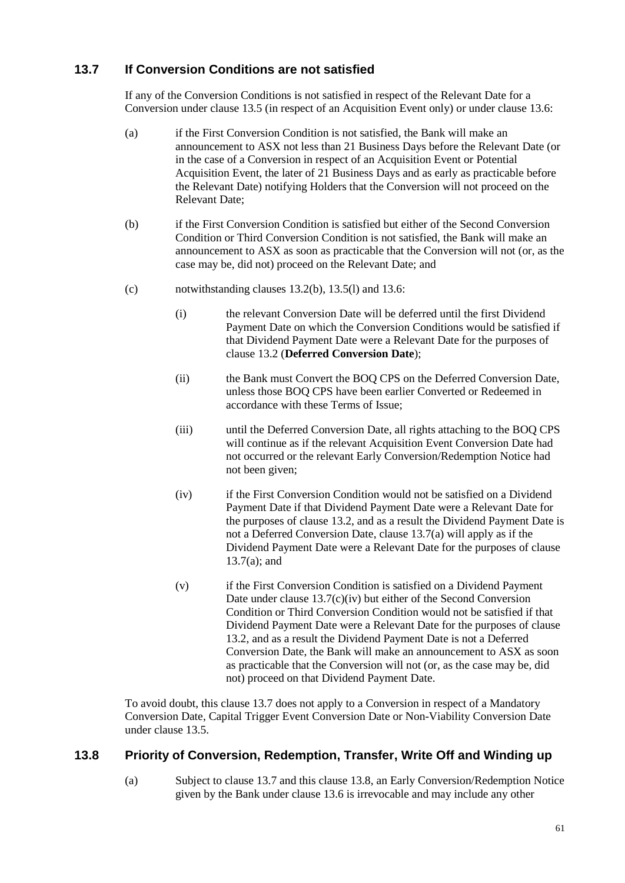### <span id="page-65-0"></span>**13.7 If Conversion Conditions are not satisfied**

If any of the Conversion Conditions is not satisfied in respect of the Relevant Date for a Conversion under clause [13.5](#page-61-0) (in respect of an Acquisition Event only) or under clause [13.6:](#page-63-0)

- <span id="page-65-2"></span>(a) if the First Conversion Condition is not satisfied, the Bank will make an announcement to ASX not less than 21 Business Days before the Relevant Date (or in the case of a Conversion in respect of an Acquisition Event or Potential Acquisition Event, the later of 21 Business Days and as early as practicable before the Relevant Date) notifying Holders that the Conversion will not proceed on the Relevant Date;
- (b) if the First Conversion Condition is satisfied but either of the Second Conversion Condition or Third Conversion Condition is not satisfied, the Bank will make an announcement to ASX as soon as practicable that the Conversion will not (or, as the case may be, did not) proceed on the Relevant Date; and
- <span id="page-65-4"></span><span id="page-65-3"></span>(c) notwithstanding clauses [13.2\(b\),](#page-60-0) [13.5\(l\)](#page-63-8) and [13.6:](#page-63-0)
	- (i) the relevant Conversion Date will be deferred until the first Dividend Payment Date on which the Conversion Conditions would be satisfied if that Dividend Payment Date were a Relevant Date for the purposes of claus[e 13.2](#page-60-1) (**Deferred Conversion Date**);
	- (ii) the Bank must Convert the BOQ CPS on the Deferred Conversion Date, unless those BOQ CPS have been earlier Converted or Redeemed in accordance with these Terms of Issue;
	- (iii) until the Deferred Conversion Date, all rights attaching to the BOQ CPS will continue as if the relevant Acquisition Event Conversion Date had not occurred or the relevant Early Conversion/Redemption Notice had not been given;
	- (iv) if the First Conversion Condition would not be satisfied on a Dividend Payment Date if that Dividend Payment Date were a Relevant Date for the purposes of claus[e 13.2,](#page-60-1) and as a result the Dividend Payment Date is not a Deferred Conversion Date, claus[e 13.7](#page-65-0)[\(a\)](#page-65-2) will apply as if the Dividend Payment Date were a Relevant Date for the purposes of clause [13.7](#page-65-0)[\(a\);](#page-65-2) and
	- (v) if the First Conversion Condition is satisfied on a Dividend Payment Date under clause [13.7](#page-65-0)[\(c\)](#page-65-3)[\(iv\)](#page-65-4) but either of the Second Conversion Condition or Third Conversion Condition would not be satisfied if that Dividend Payment Date were a Relevant Date for the purposes of clause [13.2,](#page-60-1) and as a result the Dividend Payment Date is not a Deferred Conversion Date, the Bank will make an announcement to ASX as soon as practicable that the Conversion will not (or, as the case may be, did not) proceed on that Dividend Payment Date.

To avoid doubt, this claus[e 13.7](#page-65-0) does not apply to a Conversion in respect of a Mandatory Conversion Date, Capital Trigger Event Conversion Date or Non-Viability Conversion Date under clause [13.5.](#page-61-0)

#### <span id="page-65-1"></span>**13.8 Priority of Conversion, Redemption, Transfer, Write Off and Winding up**

(a) Subject to clause [13.7](#page-65-0) and this clause [13.8,](#page-65-1) an Early Conversion/Redemption Notice given by the Bank under clause [13.6](#page-63-0) is irrevocable and may include any other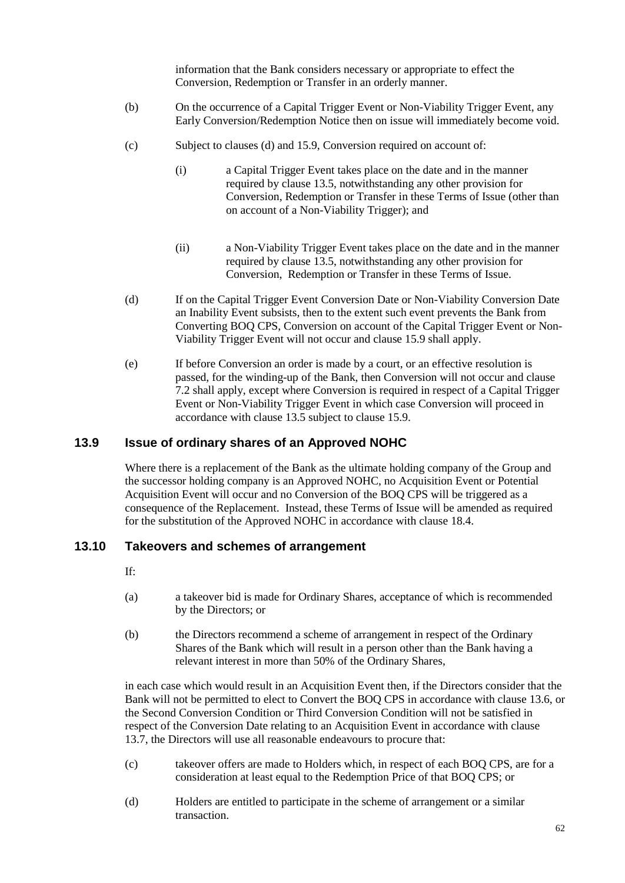information that the Bank considers necessary or appropriate to effect the Conversion, Redemption or Transfer in an orderly manner.

- (b) On the occurrence of a Capital Trigger Event or Non-Viability Trigger Event, any Early Conversion/Redemption Notice then on issue will immediately become void.
- (c) Subject to clauses [\(d\)](#page-66-1) and [15.9,](#page-72-0) Conversion required on account of:
	- (i) a Capital Trigger Event takes place on the date and in the manner required by clause [13.5,](#page-61-0) notwithstanding any other provision for Conversion, Redemption or Transfer in these Terms of Issue (other than on account of a Non-Viability Trigger); and
	- (ii) a Non-Viability Trigger Event takes place on the date and in the manner required by clause [13.5,](#page-61-0) notwithstanding any other provision for Conversion, Redemption or Transfer in these Terms of Issue.
- <span id="page-66-1"></span>(d) If on the Capital Trigger Event Conversion Date or Non-Viability Conversion Date an Inability Event subsists, then to the extent such event prevents the Bank from Converting BOQ CPS, Conversion on account of the Capital Trigger Event or Non-Viability Trigger Event will not occur and clause [15.9](#page-72-0) shall apply.
- (e) If before Conversion an order is made by a court, or an effective resolution is passed, for the winding-up of the Bank, then Conversion will not occur and clause [7.2](#page-57-0) shall apply, except where Conversion is required in respect of a Capital Trigger Event or Non-Viability Trigger Event in which case Conversion will proceed in accordance with clause [13.5](#page-61-0) subject to clause [15.9.](#page-72-0)

#### <span id="page-66-0"></span>**13.9 Issue of ordinary shares of an Approved NOHC**

Where there is a replacement of the Bank as the ultimate holding company of the Group and the successor holding company is an Approved NOHC, no Acquisition Event or Potential Acquisition Event will occur and no Conversion of the BOQ CPS will be triggered as a consequence of the Replacement. Instead, these Terms of Issue will be amended as required for the substitution of the Approved NOHC in accordance with clause [18.4.](#page-75-0)

#### **13.10 Takeovers and schemes of arrangement**

- If:
- (a) a takeover bid is made for Ordinary Shares, acceptance of which is recommended by the Directors; or
- (b) the Directors recommend a scheme of arrangement in respect of the Ordinary Shares of the Bank which will result in a person other than the Bank having a relevant interest in more than 50% of the Ordinary Shares,

in each case which would result in an Acquisition Event then, if the Directors consider that the Bank will not be permitted to elect to Convert the BOQ CPS in accordance with claus[e 13.6,](#page-63-0) or the Second Conversion Condition or Third Conversion Condition will not be satisfied in respect of the Conversion Date relating to an Acquisition Event in accordance with clause [13.7,](#page-65-0) the Directors will use all reasonable endeavours to procure that:

- (c) takeover offers are made to Holders which, in respect of each BOQ CPS, are for a consideration at least equal to the Redemption Price of that BOQ CPS; or
- (d) Holders are entitled to participate in the scheme of arrangement or a similar transaction.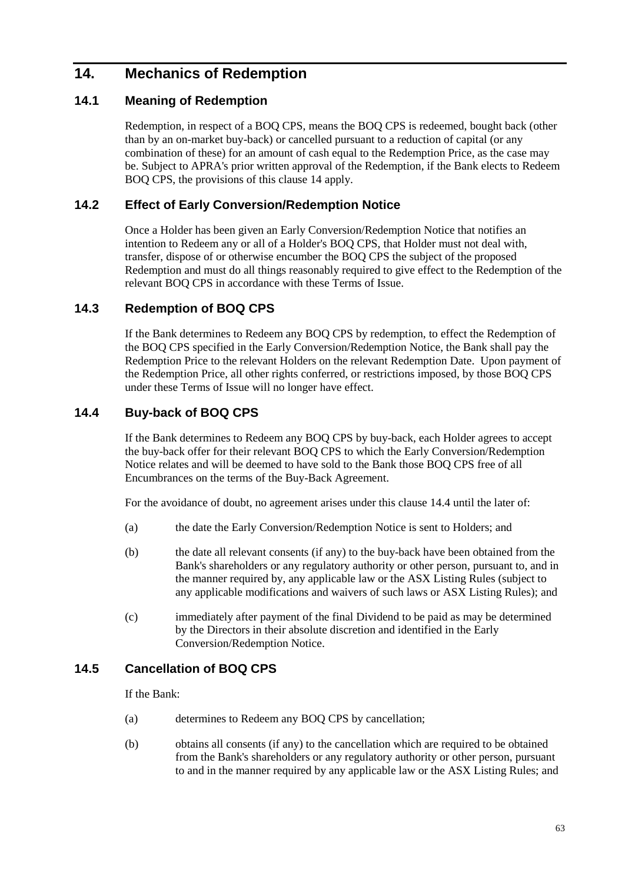# <span id="page-67-0"></span>**14. Mechanics of Redemption**

### <span id="page-67-1"></span>**14.1 Meaning of Redemption**

Redemption, in respect of a BOQ CPS, means the BOQ CPS is redeemed, bought back (other than by an on-market buy-back) or cancelled pursuant to a reduction of capital (or any combination of these) for an amount of cash equal to the Redemption Price, as the case may be. Subject to APRA's prior written approval of the Redemption, if the Bank elects to Redeem BOQ CPS, the provisions of this claus[e 14](#page-67-0) apply.

### **14.2 Effect of Early Conversion/Redemption Notice**

Once a Holder has been given an Early Conversion/Redemption Notice that notifies an intention to Redeem any or all of a Holder's BOQ CPS, that Holder must not deal with, transfer, dispose of or otherwise encumber the BOQ CPS the subject of the proposed Redemption and must do all things reasonably required to give effect to the Redemption of the relevant BOQ CPS in accordance with these Terms of Issue.

### **14.3 Redemption of BOQ CPS**

If the Bank determines to Redeem any BOQ CPS by redemption, to effect the Redemption of the BOQ CPS specified in the Early Conversion/Redemption Notice, the Bank shall pay the Redemption Price to the relevant Holders on the relevant Redemption Date. Upon payment of the Redemption Price, all other rights conferred, or restrictions imposed, by those BOQ CPS under these Terms of Issue will no longer have effect.

## <span id="page-67-2"></span>**14.4 Buy-back of BOQ CPS**

If the Bank determines to Redeem any BOQ CPS by buy-back, each Holder agrees to accept the buy-back offer for their relevant BOQ CPS to which the Early Conversion/Redemption Notice relates and will be deemed to have sold to the Bank those BOQ CPS free of all Encumbrances on the terms of the Buy-Back Agreement.

For the avoidance of doubt, no agreement arises under this clause [14.4](#page-67-2) until the later of:

- (a) the date the Early Conversion/Redemption Notice is sent to Holders; and
- (b) the date all relevant consents (if any) to the buy-back have been obtained from the Bank's shareholders or any regulatory authority or other person, pursuant to, and in the manner required by, any applicable law or the ASX Listing Rules (subject to any applicable modifications and waivers of such laws or ASX Listing Rules); and
- (c) immediately after payment of the final Dividend to be paid as may be determined by the Directors in their absolute discretion and identified in the Early Conversion/Redemption Notice.

## <span id="page-67-3"></span>**14.5 Cancellation of BOQ CPS**

If the Bank:

- (a) determines to Redeem any BOQ CPS by cancellation;
- (b) obtains all consents (if any) to the cancellation which are required to be obtained from the Bank's shareholders or any regulatory authority or other person, pursuant to and in the manner required by any applicable law or the ASX Listing Rules; and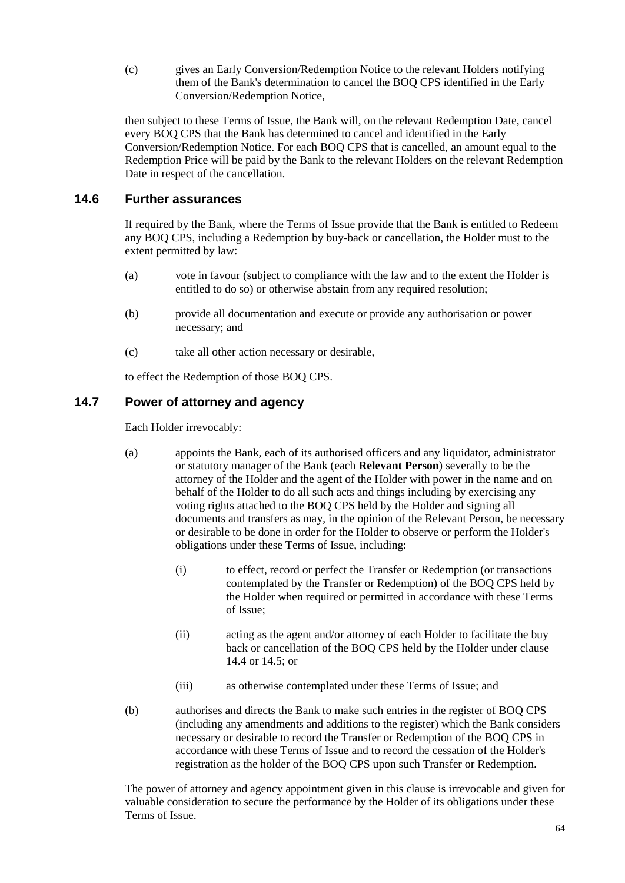(c) gives an Early Conversion/Redemption Notice to the relevant Holders notifying them of the Bank's determination to cancel the BOQ CPS identified in the Early Conversion/Redemption Notice,

then subject to these Terms of Issue, the Bank will, on the relevant Redemption Date, cancel every BOQ CPS that the Bank has determined to cancel and identified in the Early Conversion/Redemption Notice. For each BOQ CPS that is cancelled, an amount equal to the Redemption Price will be paid by the Bank to the relevant Holders on the relevant Redemption Date in respect of the cancellation.

#### **14.6 Further assurances**

If required by the Bank, where the Terms of Issue provide that the Bank is entitled to Redeem any BOQ CPS, including a Redemption by buy-back or cancellation, the Holder must to the extent permitted by law:

- (a) vote in favour (subject to compliance with the law and to the extent the Holder is entitled to do so) or otherwise abstain from any required resolution;
- (b) provide all documentation and execute or provide any authorisation or power necessary; and
- (c) take all other action necessary or desirable,

to effect the Redemption of those BOQ CPS.

#### **14.7 Power of attorney and agency**

Each Holder irrevocably:

- (a) appoints the Bank, each of its authorised officers and any liquidator, administrator or statutory manager of the Bank (each **Relevant Person**) severally to be the attorney of the Holder and the agent of the Holder with power in the name and on behalf of the Holder to do all such acts and things including by exercising any voting rights attached to the BOQ CPS held by the Holder and signing all documents and transfers as may, in the opinion of the Relevant Person, be necessary or desirable to be done in order for the Holder to observe or perform the Holder's obligations under these Terms of Issue, including:
	- (i) to effect, record or perfect the Transfer or Redemption (or transactions contemplated by the Transfer or Redemption) of the BOQ CPS held by the Holder when required or permitted in accordance with these Terms of Issue;
	- (ii) acting as the agent and/or attorney of each Holder to facilitate the buy back or cancellation of the BOQ CPS held by the Holder under clause [14.4](#page-67-2) or [14.5;](#page-67-3) or
	- (iii) as otherwise contemplated under these Terms of Issue; and
- (b) authorises and directs the Bank to make such entries in the register of BOQ CPS (including any amendments and additions to the register) which the Bank considers necessary or desirable to record the Transfer or Redemption of the BOQ CPS in accordance with these Terms of Issue and to record the cessation of the Holder's registration as the holder of the BOQ CPS upon such Transfer or Redemption.

The power of attorney and agency appointment given in this clause is irrevocable and given for valuable consideration to secure the performance by the Holder of its obligations under these Terms of Issue.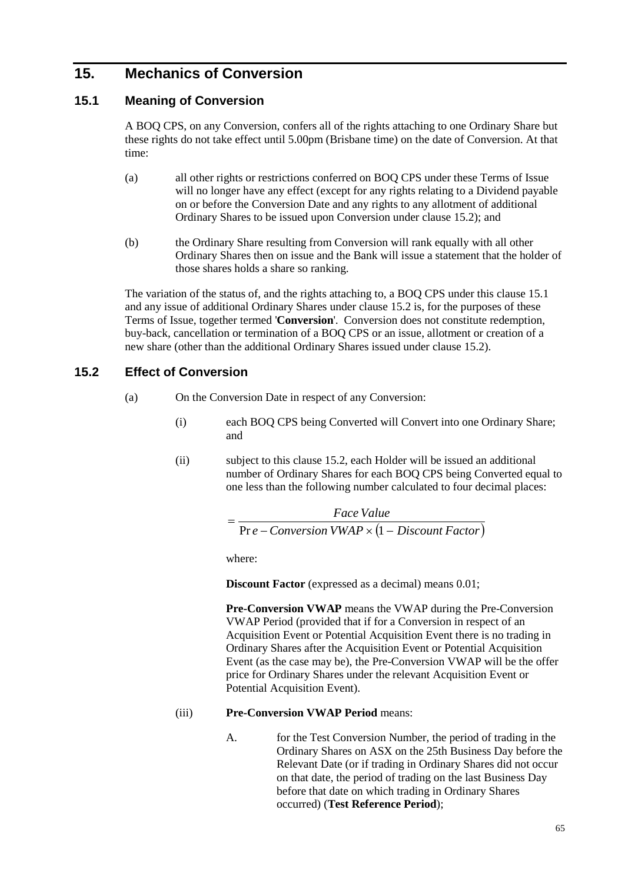# <span id="page-69-1"></span>**15. Mechanics of Conversion**

### <span id="page-69-3"></span>**15.1 Meaning of Conversion**

A BOQ CPS, on any Conversion, confers all of the rights attaching to one Ordinary Share but these rights do not take effect until 5.00pm (Brisbane time) on the date of Conversion. At that time:

- (a) all other rights or restrictions conferred on BOQ CPS under these Terms of Issue will no longer have any effect (except for any rights relating to a Dividend payable on or before the Conversion Date and any rights to any allotment of additional Ordinary Shares to be issued upon Conversion under clause [15.2\)](#page-69-2); and
- (b) the Ordinary Share resulting from Conversion will rank equally with all other Ordinary Shares then on issue and the Bank will issue a statement that the holder of those shares holds a share so ranking.

The variation of the status of, and the rights attaching to, a BOQ CPS under this claus[e 15.1](#page-69-3) and any issue of additional Ordinary Shares under clause [15.2](#page-69-2) is, for the purposes of these Terms of Issue, together termed '**Conversion**'. Conversion does not constitute redemption, buy-back, cancellation or termination of a BOQ CPS or an issue, allotment or creation of a new share (other than the additional Ordinary Shares issued under clause [15.2\)](#page-69-2).

### <span id="page-69-2"></span><span id="page-69-0"></span>**15.2 Effect of Conversion**

- (a) On the Conversion Date in respect of any Conversion:
	- (i) each BOQ CPS being Converted will Convert into one Ordinary Share; and
	- (ii) subject to this clause [15.2,](#page-69-2) each Holder will be issued an additional number of Ordinary Shares for each BOQ CPS being Converted equal to one less than the following number calculated to four decimal places:

*e Conversion VWAP* ( *Discount Factor*) *Face Value*<br>− *Pr e − Conversion VWAP* × (1

where:

**Discount Factor** (expressed as a decimal) means 0.01;

**Pre-Conversion VWAP** means the VWAP during the Pre-Conversion VWAP Period (provided that if for a Conversion in respect of an Acquisition Event or Potential Acquisition Event there is no trading in Ordinary Shares after the Acquisition Event or Potential Acquisition Event (as the case may be), the Pre-Conversion VWAP will be the offer price for Ordinary Shares under the relevant Acquisition Event or Potential Acquisition Event).

#### (iii) **Pre-Conversion VWAP Period** means:

A. for the Test Conversion Number, the period of trading in the Ordinary Shares on ASX on the 25th Business Day before the Relevant Date (or if trading in Ordinary Shares did not occur on that date, the period of trading on the last Business Day before that date on which trading in Ordinary Shares occurred) (**Test Reference Period**);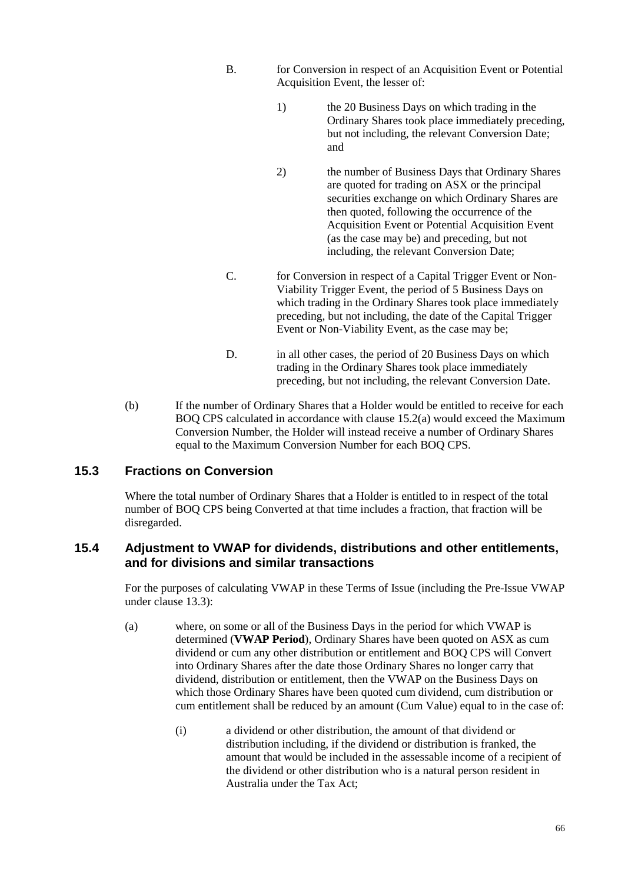- B. for Conversion in respect of an Acquisition Event or Potential Acquisition Event, the lesser of:
	- 1) the 20 Business Days on which trading in the Ordinary Shares took place immediately preceding, but not including, the relevant Conversion Date; and
	- 2) the number of Business Days that Ordinary Shares are quoted for trading on ASX or the principal securities exchange on which Ordinary Shares are then quoted, following the occurrence of the Acquisition Event or Potential Acquisition Event (as the case may be) and preceding, but not including, the relevant Conversion Date;
- C. for Conversion in respect of a Capital Trigger Event or Non-Viability Trigger Event, the period of 5 Business Days on which trading in the Ordinary Shares took place immediately preceding, but not including, the date of the Capital Trigger Event or Non-Viability Event, as the case may be;
- D. in all other cases, the period of 20 Business Days on which trading in the Ordinary Shares took place immediately preceding, but not including, the relevant Conversion Date.
- <span id="page-70-0"></span>(b) If the number of Ordinary Shares that a Holder would be entitled to receive for each BOQ CPS calculated in accordance with clause [15.2](#page-69-2)[\(a\)](#page-69-0) would exceed the Maximum Conversion Number, the Holder will instead receive a number of Ordinary Shares equal to the Maximum Conversion Number for each BOQ CPS.

### **15.3 Fractions on Conversion**

Where the total number of Ordinary Shares that a Holder is entitled to in respect of the total number of BOQ CPS being Converted at that time includes a fraction, that fraction will be disregarded.

#### <span id="page-70-1"></span>**15.4 Adjustment to VWAP for dividends, distributions and other entitlements, and for divisions and similar transactions**

For the purposes of calculating VWAP in these Terms of Issue (including the Pre-Issue VWAP under clause [13.3\)](#page-61-1):

- <span id="page-70-3"></span><span id="page-70-2"></span>(a) where, on some or all of the Business Days in the period for which VWAP is determined (**VWAP Period**), Ordinary Shares have been quoted on ASX as cum dividend or cum any other distribution or entitlement and BOQ CPS will Convert into Ordinary Shares after the date those Ordinary Shares no longer carry that dividend, distribution or entitlement, then the VWAP on the Business Days on which those Ordinary Shares have been quoted cum dividend, cum distribution or cum entitlement shall be reduced by an amount (Cum Value) equal to in the case of:
	- (i) a dividend or other distribution, the amount of that dividend or distribution including, if the dividend or distribution is franked, the amount that would be included in the assessable income of a recipient of the dividend or other distribution who is a natural person resident in Australia under the Tax Act;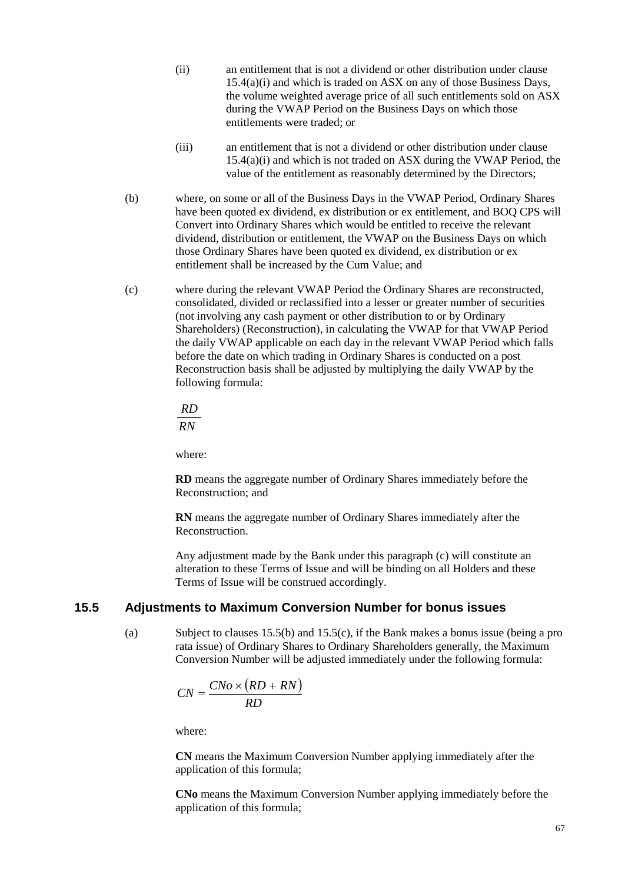- (ii) an entitlement that is not a dividend or other distribution under clause [15.4](#page-70-1)[\(a\)](#page-70-2)[\(i\)](#page-70-3) and which is traded on ASX on any of those Business Days, the volume weighted average price of all such entitlements sold on ASX during the VWAP Period on the Business Days on which those entitlements were traded; or
- (iii) an entitlement that is not a dividend or other distribution under clause [15.4](#page-70-1)[\(a\)](#page-70-2)[\(i\)](#page-70-3) and which is not traded on ASX during the VWAP Period, the value of the entitlement as reasonably determined by the Directors;
- (b) where, on some or all of the Business Days in the VWAP Period, Ordinary Shares have been quoted ex dividend, ex distribution or ex entitlement, and BOQ CPS will Convert into Ordinary Shares which would be entitled to receive the relevant dividend, distribution or entitlement, the VWAP on the Business Days on which those Ordinary Shares have been quoted ex dividend, ex distribution or ex entitlement shall be increased by the Cum Value; and
- (c) where during the relevant VWAP Period the Ordinary Shares are reconstructed, consolidated, divided or reclassified into a lesser or greater number of securities (not involving any cash payment or other distribution to or by Ordinary Shareholders) (Reconstruction), in calculating the VWAP for that VWAP Period the daily VWAP applicable on each day in the relevant VWAP Period which falls before the date on which trading in Ordinary Shares is conducted on a post Reconstruction basis shall be adjusted by multiplying the daily VWAP by the following formula:

*RN RD*

where:

**RD** means the aggregate number of Ordinary Shares immediately before the Reconstruction; and

**RN** means the aggregate number of Ordinary Shares immediately after the Reconstruction.

Any adjustment made by the Bank under this paragraph (c) will constitute an alteration to these Terms of Issue and will be binding on all Holders and these Terms of Issue will be construed accordingly.

#### <span id="page-71-0"></span>**15.5 Adjustments to Maximum Conversion Number for bonus issues**

(a) Subject to clauses [15.5](#page-71-0)[\(b\)](#page-72-2) and [15.5](#page-71-0)[\(c\),](#page-72-3) if the Bank makes a bonus issue (being a pro rata issue) of Ordinary Shares to Ordinary Shareholders generally, the Maximum Conversion Number will be adjusted immediately under the following formula:

$$
CN = \frac{CNo \times (RD + RN)}{RD}
$$

where:

**CN** means the Maximum Conversion Number applying immediately after the application of this formula;

**CNo** means the Maximum Conversion Number applying immediately before the application of this formula;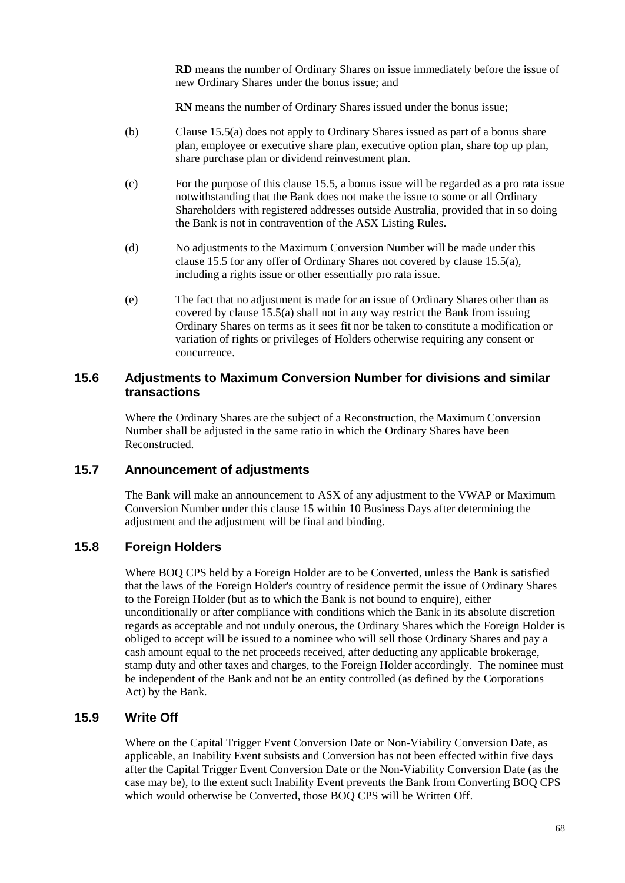**RD** means the number of Ordinary Shares on issue immediately before the issue of new Ordinary Shares under the bonus issue; and

**RN** means the number of Ordinary Shares issued under the bonus issue;

- (b) Clause [15.5](#page-71-0)[\(a\)](#page-71-1) does not apply to Ordinary Shares issued as part of a bonus share plan, employee or executive share plan, executive option plan, share top up plan, share purchase plan or dividend reinvestment plan.
- (c) For the purpose of this clause [15.5,](#page-71-0) a bonus issue will be regarded as a pro rata issue notwithstanding that the Bank does not make the issue to some or all Ordinary Shareholders with registered addresses outside Australia, provided that in so doing the Bank is not in contravention of the ASX Listing Rules.
- (d) No adjustments to the Maximum Conversion Number will be made under this clause [15.5](#page-71-0) for any offer of Ordinary Shares not covered by claus[e 15.5](#page-71-0)[\(a\),](#page-71-1) including a rights issue or other essentially pro rata issue.
- (e) The fact that no adjustment is made for an issue of Ordinary Shares other than as covered by clause [15.5](#page-71-0)[\(a\)](#page-71-1) shall not in any way restrict the Bank from issuing Ordinary Shares on terms as it sees fit nor be taken to constitute a modification or variation of rights or privileges of Holders otherwise requiring any consent or concurrence.

## **15.6 Adjustments to Maximum Conversion Number for divisions and similar transactions**

Where the Ordinary Shares are the subject of a Reconstruction, the Maximum Conversion Number shall be adjusted in the same ratio in which the Ordinary Shares have been Reconstructed.

### **15.7 Announcement of adjustments**

The Bank will make an announcement to ASX of any adjustment to the VWAP or Maximum Conversion Number under this clause [15](#page-69-0) within 10 Business Days after determining the adjustment and the adjustment will be final and binding.

### **15.8 Foreign Holders**

Where BOQ CPS held by a Foreign Holder are to be Converted, unless the Bank is satisfied that the laws of the Foreign Holder's country of residence permit the issue of Ordinary Shares to the Foreign Holder (but as to which the Bank is not bound to enquire), either unconditionally or after compliance with conditions which the Bank in its absolute discretion regards as acceptable and not unduly onerous, the Ordinary Shares which the Foreign Holder is obliged to accept will be issued to a nominee who will sell those Ordinary Shares and pay a cash amount equal to the net proceeds received, after deducting any applicable brokerage, stamp duty and other taxes and charges, to the Foreign Holder accordingly. The nominee must be independent of the Bank and not be an entity controlled (as defined by the Corporations Act) by the Bank.

## <span id="page-72-0"></span>**15.9 Write Off**

Where on the Capital Trigger Event Conversion Date or Non-Viability Conversion Date, as applicable, an Inability Event subsists and Conversion has not been effected within five days after the Capital Trigger Event Conversion Date or the Non-Viability Conversion Date (as the case may be), to the extent such Inability Event prevents the Bank from Converting BOQ CPS which would otherwise be Converted, those BOQ CPS will be Written Off.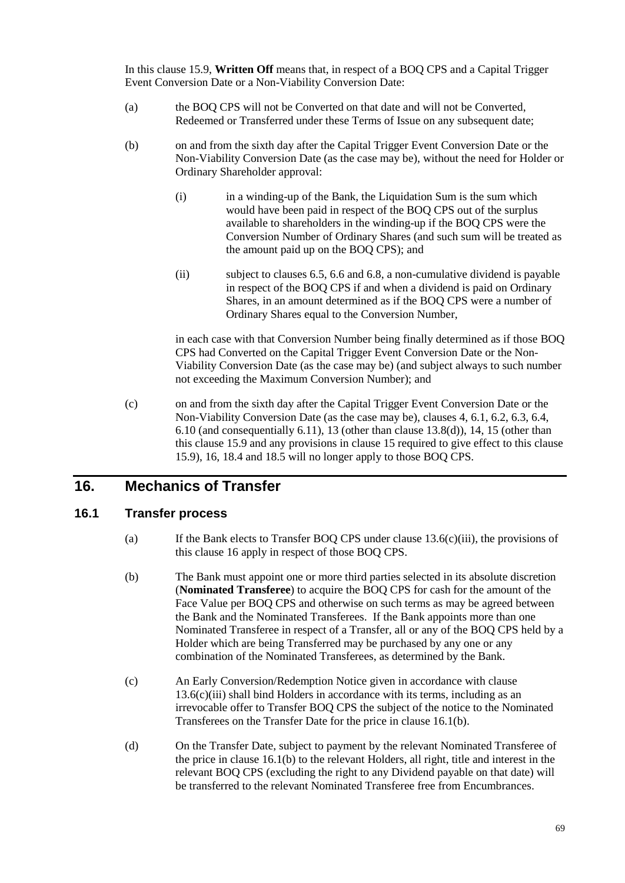In this clause [15.9,](#page-72-0) **Written Off** means that, in respect of a BOQ CPS and a Capital Trigger Event Conversion Date or a Non-Viability Conversion Date:

- (a) the BOQ CPS will not be Converted on that date and will not be Converted, Redeemed or Transferred under these Terms of Issue on any subsequent date;
- (b) on and from the sixth day after the Capital Trigger Event Conversion Date or the Non-Viability Conversion Date (as the case may be), without the need for Holder or Ordinary Shareholder approval:
	- (i) in a winding-up of the Bank, the Liquidation Sum is the sum which would have been paid in respect of the BOQ CPS out of the surplus available to shareholders in the winding-up if the BOQ CPS were the Conversion Number of Ordinary Shares (and such sum will be treated as the amount paid up on the BOQ CPS); and
	- (ii) subject to clauses [6.5,](#page-54-0) [6.6](#page-55-0) and [6.8,](#page-55-1) a non-cumulative dividend is payable in respect of the BOQ CPS if and when a dividend is paid on Ordinary Shares, in an amount determined as if the BOQ CPS were a number of Ordinary Shares equal to the Conversion Number,

in each case with that Conversion Number being finally determined as if those BOQ CPS had Converted on the Capital Trigger Event Conversion Date or the Non-Viability Conversion Date (as the case may be) (and subject always to such number not exceeding the Maximum Conversion Number); and

(c) on and from the sixth day after the Capital Trigger Event Conversion Date or the Non-Viability Conversion Date (as the case may be), clauses [4,](#page-53-0) [6.1,](#page-53-1) [6.2,](#page-53-2) [6.3,](#page-54-1) [6.4,](#page-54-2) [6.10](#page-56-0) (and consequentially [6.11\)](#page-56-1), [13](#page-60-0) (other than clause [13.8\(d\)\)](#page-66-0)[, 14,](#page-67-0) [15](#page-69-0) (other than this clause [15.9](#page-72-0) and any provisions in clause [15](#page-69-0) required to give effect to this clause [15.9\)](#page-72-0)[, 16,](#page-73-0) [18.4](#page-75-0) and [18.5](#page-75-1) will no longer apply to those BOQ CPS.

# <span id="page-73-0"></span>**16. Mechanics of Transfer**

## <span id="page-73-1"></span>**16.1 Transfer process**

- (a) If the Bank elects to Transfer BOQ CPS under clause [13.6\(c\)\(iii\),](#page-63-0) the provisions of this clause [16](#page-73-0) apply in respect of those BOQ CPS.
- <span id="page-73-2"></span>(b) The Bank must appoint one or more third parties selected in its absolute discretion (**Nominated Transferee**) to acquire the BOQ CPS for cash for the amount of the Face Value per BOQ CPS and otherwise on such terms as may be agreed between the Bank and the Nominated Transferees. If the Bank appoints more than one Nominated Transferee in respect of a Transfer, all or any of the BOQ CPS held by a Holder which are being Transferred may be purchased by any one or any combination of the Nominated Transferees, as determined by the Bank.
- (c) An Early Conversion/Redemption Notice given in accordance with clause  $13.6(c)$ (iii) shall bind Holders in accordance with its terms, including as an irrevocable offer to Transfer BOQ CPS the subject of the notice to the Nominated Transferees on the Transfer Date for the price in clause [16.1](#page-73-1)[\(b\).](#page-73-2)
- (d) On the Transfer Date, subject to payment by the relevant Nominated Transferee of the price in clause [16.1](#page-73-1)[\(b\)](#page-73-2) to the relevant Holders, all right, title and interest in the relevant BOQ CPS (excluding the right to any Dividend payable on that date) will be transferred to the relevant Nominated Transferee free from Encumbrances.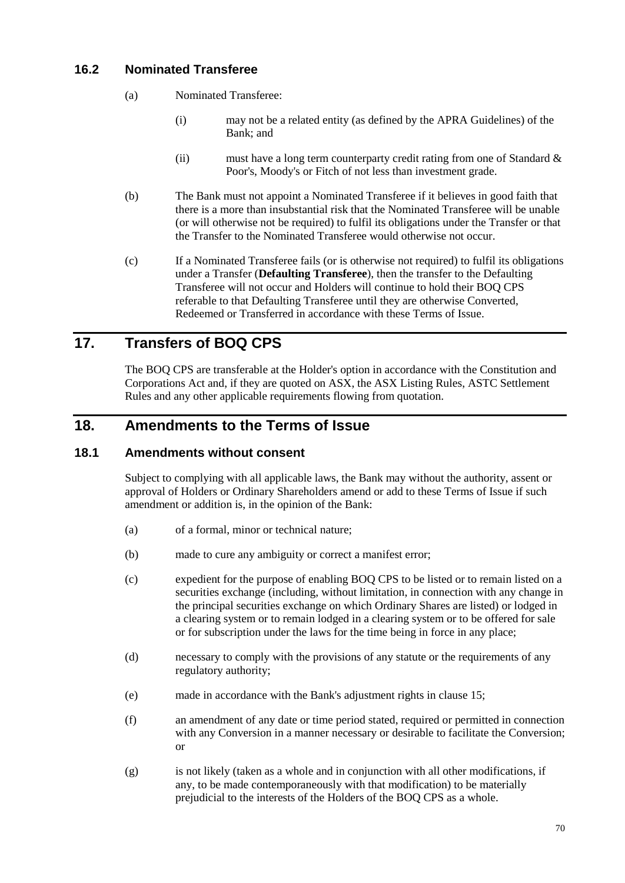## **16.2 Nominated Transferee**

- (a) Nominated Transferee:
	- (i) may not be a related entity (as defined by the APRA Guidelines) of the Bank; and
	- (ii) must have a long term counterparty credit rating from one of Standard  $\&$ Poor's, Moody's or Fitch of not less than investment grade.
- (b) The Bank must not appoint a Nominated Transferee if it believes in good faith that there is a more than insubstantial risk that the Nominated Transferee will be unable (or will otherwise not be required) to fulfil its obligations under the Transfer or that the Transfer to the Nominated Transferee would otherwise not occur.
- (c) If a Nominated Transferee fails (or is otherwise not required) to fulfil its obligations under a Transfer (**Defaulting Transferee**), then the transfer to the Defaulting Transferee will not occur and Holders will continue to hold their BOQ CPS referable to that Defaulting Transferee until they are otherwise Converted, Redeemed or Transferred in accordance with these Terms of Issue.

# **17. Transfers of BOQ CPS**

The BOQ CPS are transferable at the Holder's option in accordance with the Constitution and Corporations Act and, if they are quoted on ASX, the ASX Listing Rules, ASTC Settlement Rules and any other applicable requirements flowing from quotation.

# <span id="page-74-1"></span>**18. Amendments to the Terms of Issue**

### <span id="page-74-0"></span>**18.1 Amendments without consent**

Subject to complying with all applicable laws, the Bank may without the authority, assent or approval of Holders or Ordinary Shareholders amend or add to these Terms of Issue if such amendment or addition is, in the opinion of the Bank:

- (a) of a formal, minor or technical nature;
- (b) made to cure any ambiguity or correct a manifest error;
- (c) expedient for the purpose of enabling BOQ CPS to be listed or to remain listed on a securities exchange (including, without limitation, in connection with any change in the principal securities exchange on which Ordinary Shares are listed) or lodged in a clearing system or to remain lodged in a clearing system or to be offered for sale or for subscription under the laws for the time being in force in any place;
- (d) necessary to comply with the provisions of any statute or the requirements of any regulatory authority;
- (e) made in accordance with the Bank's adjustment rights in clause [15;](#page-69-0)
- (f) an amendment of any date or time period stated, required or permitted in connection with any Conversion in a manner necessary or desirable to facilitate the Conversion; or
- (g) is not likely (taken as a whole and in conjunction with all other modifications, if any, to be made contemporaneously with that modification) to be materially prejudicial to the interests of the Holders of the BOQ CPS as a whole.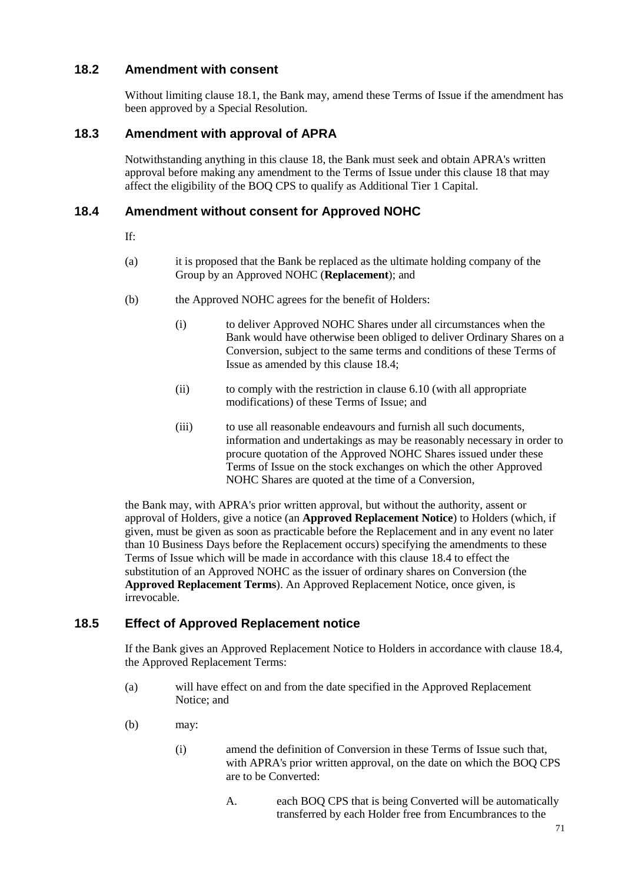## **18.2 Amendment with consent**

Without limiting claus[e 18.1,](#page-74-0) the Bank may, amend these Terms of Issue if the amendment has been approved by a Special Resolution.

## **18.3 Amendment with approval of APRA**

Notwithstanding anything in this clause [18,](#page-74-1) the Bank must seek and obtain APRA's written approval before making any amendment to the Terms of Issue under this clause [18](#page-74-1) that may affect the eligibility of the BOQ CPS to qualify as Additional Tier 1 Capital.

### <span id="page-75-0"></span>**18.4 Amendment without consent for Approved NOHC**

- If:
- (a) it is proposed that the Bank be replaced as the ultimate holding company of the Group by an Approved NOHC (**Replacement**); and
- (b) the Approved NOHC agrees for the benefit of Holders:
	- (i) to deliver Approved NOHC Shares under all circumstances when the Bank would have otherwise been obliged to deliver Ordinary Shares on a Conversion, subject to the same terms and conditions of these Terms of Issue as amended by this clause [18.4;](#page-75-0)
	- (ii) to comply with the restriction in clause [6.10](#page-56-0) (with all appropriate modifications) of these Terms of Issue; and
	- (iii) to use all reasonable endeavours and furnish all such documents, information and undertakings as may be reasonably necessary in order to procure quotation of the Approved NOHC Shares issued under these Terms of Issue on the stock exchanges on which the other Approved NOHC Shares are quoted at the time of a Conversion,

the Bank may, with APRA's prior written approval, but without the authority, assent or approval of Holders, give a notice (an **Approved Replacement Notice**) to Holders (which, if given, must be given as soon as practicable before the Replacement and in any event no later than 10 Business Days before the Replacement occurs) specifying the amendments to these Terms of Issue which will be made in accordance with this clause [18.4](#page-75-0) to effect the substitution of an Approved NOHC as the issuer of ordinary shares on Conversion (the **Approved Replacement Terms**). An Approved Replacement Notice, once given, is irrevocable.

## <span id="page-75-1"></span>**18.5 Effect of Approved Replacement notice**

If the Bank gives an Approved Replacement Notice to Holders in accordance with clause [18.4,](#page-75-0) the Approved Replacement Terms:

- (a) will have effect on and from the date specified in the Approved Replacement Notice; and
- (b) may:
	- (i) amend the definition of Conversion in these Terms of Issue such that, with APRA's prior written approval, on the date on which the BOQ CPS are to be Converted:
		- A. each BOQ CPS that is being Converted will be automatically transferred by each Holder free from Encumbrances to the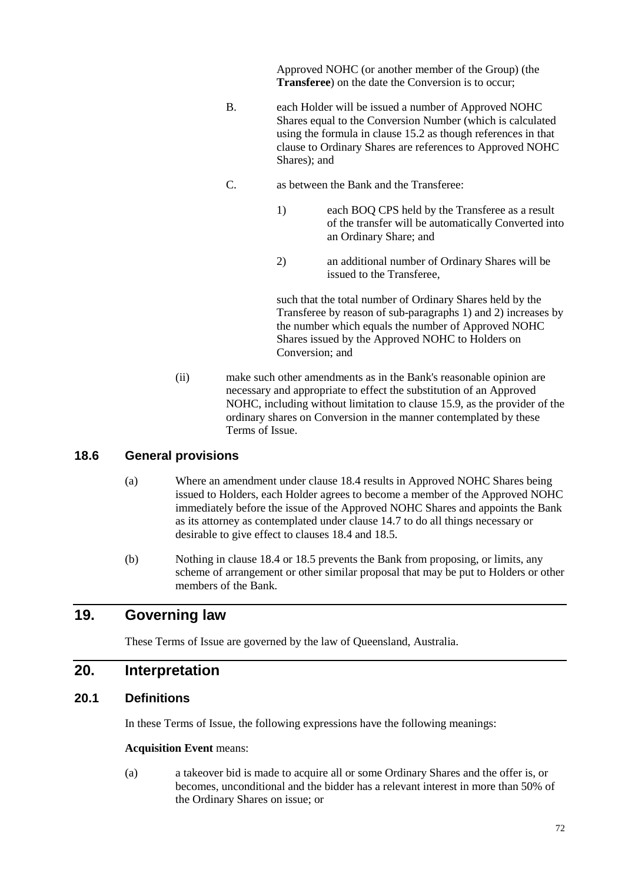Approved NOHC (or another member of the Group) (the **Transferee**) on the date the Conversion is to occur;

- B. each Holder will be issued a number of Approved NOHC Shares equal to the Conversion Number (which is calculated using the formula in claus[e 15.2](#page-69-1) as though references in that clause to Ordinary Shares are references to Approved NOHC Shares); and
- C. as between the Bank and the Transferee:
	- 1) each BOQ CPS held by the Transferee as a result of the transfer will be automatically Converted into an Ordinary Share; and
	- 2) an additional number of Ordinary Shares will be issued to the Transferee,

such that the total number of Ordinary Shares held by the Transferee by reason of sub-paragraphs 1) and 2) increases by the number which equals the number of Approved NOHC Shares issued by the Approved NOHC to Holders on Conversion; and

(ii) make such other amendments as in the Bank's reasonable opinion are necessary and appropriate to effect the substitution of an Approved NOHC, including without limitation to clause [15.9,](#page-72-0) as the provider of the ordinary shares on Conversion in the manner contemplated by these Terms of Issue.

## **18.6 General provisions**

- (a) Where an amendment under clause [18.4](#page-75-0) results in Approved NOHC Shares being issued to Holders, each Holder agrees to become a member of the Approved NOHC immediately before the issue of the Approved NOHC Shares and appoints the Bank as its attorney as contemplated under clause [14.7](#page-68-0) to do all things necessary or desirable to give effect to clauses [18.4](#page-75-0) and [18.5.](#page-75-1)
- (b) Nothing in claus[e 18.4](#page-75-0) or [18.5](#page-75-1) prevents the Bank from proposing, or limits, any scheme of arrangement or other similar proposal that may be put to Holders or other members of the Bank.

# **19. Governing law**

These Terms of Issue are governed by the law of Queensland, Australia.

## **20. Interpretation**

#### **20.1 Definitions**

In these Terms of Issue, the following expressions have the following meanings:

#### **Acquisition Event** means:

(a) a takeover bid is made to acquire all or some Ordinary Shares and the offer is, or becomes, unconditional and the bidder has a relevant interest in more than 50% of the Ordinary Shares on issue; or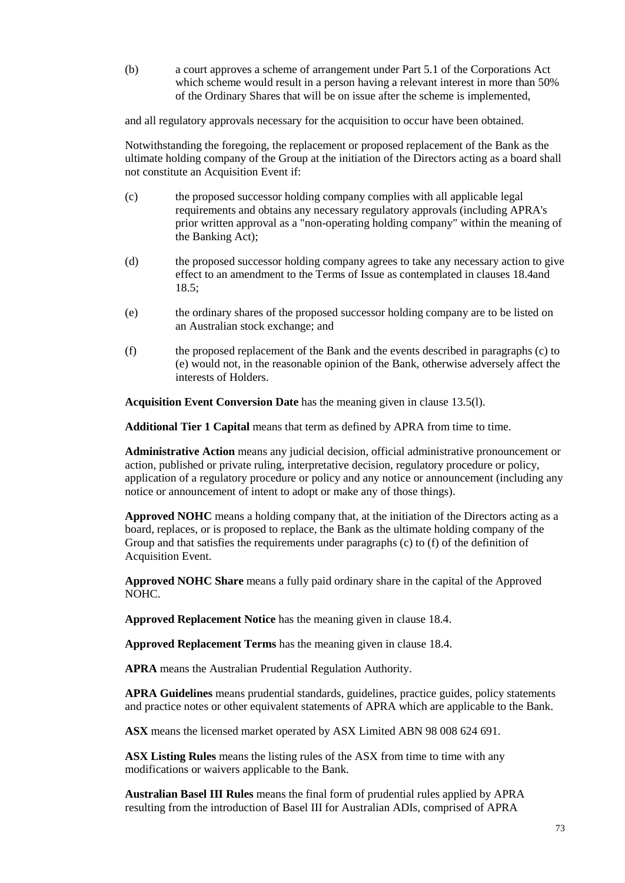(b) a court approves a scheme of arrangement under Part 5.1 of the Corporations Act which scheme would result in a person having a relevant interest in more than 50% of the Ordinary Shares that will be on issue after the scheme is implemented,

and all regulatory approvals necessary for the acquisition to occur have been obtained.

Notwithstanding the foregoing, the replacement or proposed replacement of the Bank as the ultimate holding company of the Group at the initiation of the Directors acting as a board shall not constitute an Acquisition Event if:

- (c) the proposed successor holding company complies with all applicable legal requirements and obtains any necessary regulatory approvals (including APRA's prior written approval as a "non-operating holding company" within the meaning of the Banking Act);
- (d) the proposed successor holding company agrees to take any necessary action to give effect to an amendment to the Terms of Issue as contemplated in clauses [18.4a](#page-75-0)nd [18.5;](#page-75-1)
- (e) the ordinary shares of the proposed successor holding company are to be listed on an Australian stock exchange; and
- (f) the proposed replacement of the Bank and the events described in paragraphs (c) to (e) would not, in the reasonable opinion of the Bank, otherwise adversely affect the interests of Holders.

**Acquisition Event Conversion Date** has the meaning given in clause [13.5\(l\).](#page-63-1)

**Additional Tier 1 Capital** means that term as defined by APRA from time to time.

**Administrative Action** means any judicial decision, official administrative pronouncement or action, published or private ruling, interpretative decision, regulatory procedure or policy, application of a regulatory procedure or policy and any notice or announcement (including any notice or announcement of intent to adopt or make any of those things).

**Approved NOHC** means a holding company that, at the initiation of the Directors acting as a board, replaces, or is proposed to replace, the Bank as the ultimate holding company of the Group and that satisfies the requirements under paragraphs (c) to (f) of the definition of Acquisition Event.

**Approved NOHC Share** means a fully paid ordinary share in the capital of the Approved NOHC.

**Approved Replacement Notice** has the meaning given in clause [18.4.](#page-75-0)

**Approved Replacement Terms** has the meaning given in clause [18.4.](#page-75-0)

**APRA** means the Australian Prudential Regulation Authority.

**APRA Guidelines** means prudential standards, guidelines, practice guides, policy statements and practice notes or other equivalent statements of APRA which are applicable to the Bank.

**ASX** means the licensed market operated by ASX Limited ABN 98 008 624 691.

**ASX Listing Rules** means the listing rules of the ASX from time to time with any modifications or waivers applicable to the Bank.

**Australian Basel III Rules** means the final form of prudential rules applied by APRA resulting from the introduction of Basel III for Australian ADIs, comprised of APRA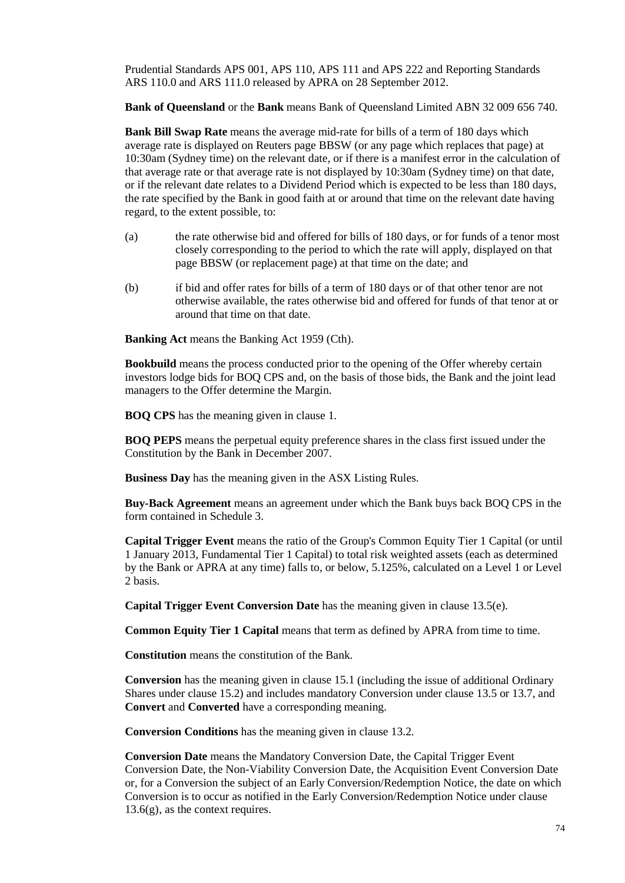Prudential Standards APS 001, APS 110, APS 111 and APS 222 and Reporting Standards ARS 110.0 and ARS 111.0 released by APRA on 28 September 2012.

**Bank of Queensland** or the **Bank** means Bank of Queensland Limited ABN 32 009 656 740.

**Bank Bill Swap Rate** means the average mid-rate for bills of a term of 180 days which average rate is displayed on Reuters page BBSW (or any page which replaces that page) at 10:30am (Sydney time) on the relevant date, or if there is a manifest error in the calculation of that average rate or that average rate is not displayed by 10:30am (Sydney time) on that date, or if the relevant date relates to a Dividend Period which is expected to be less than 180 days, the rate specified by the Bank in good faith at or around that time on the relevant date having regard, to the extent possible, to:

- (a) the rate otherwise bid and offered for bills of 180 days, or for funds of a tenor most closely corresponding to the period to which the rate will apply, displayed on that page BBSW (or replacement page) at that time on the date; and
- (b) if bid and offer rates for bills of a term of 180 days or of that other tenor are not otherwise available, the rates otherwise bid and offered for funds of that tenor at or around that time on that date.

**Banking Act** means the Banking Act 1959 (Cth).

**Bookbuild** means the process conducted prior to the opening of the Offer whereby certain investors lodge bids for BOQ CPS and, on the basis of those bids, the Bank and the joint lead managers to the Offer determine the Margin.

**BOQ CPS** has the meaning given in clause [1.](#page-53-3)

**BOQ PEPS** means the perpetual equity preference shares in the class first issued under the Constitution by the Bank in December 2007.

**Business Day** has the meaning given in the ASX Listing Rules.

**Buy-Back Agreement** means an agreement under which the Bank buys back BOQ CPS in the form contained in [Schedule 3.](#page-85-0)

**Capital Trigger Event** means the ratio of the Group's Common Equity Tier 1 Capital (or until 1 January 2013, Fundamental Tier 1 Capital) to total risk weighted assets (each as determined by the Bank or APRA at any time) falls to, or below, 5.125%, calculated on a Level 1 or Level 2 basis.

**Capital Trigger Event Conversion Date** has the meaning given in clause [13.5\(e\).](#page-62-0)

**Common Equity Tier 1 Capital** means that term as defined by APRA from time to time.

**Constitution** means the constitution of the Bank.

**Conversion** has the meaning given in claus[e 15.1](#page-69-2) (including the issue of additional Ordinary Shares under clause [15.2](#page-69-1)) and includes mandatory Conversion under clause [13.5](#page-61-0) or [13.7,](#page-65-0) and **Convert** and **Converted** have a corresponding meaning.

**Conversion Conditions** has the meaning given in claus[e 13.2](#page-60-1).

**Conversion Date** means the Mandatory Conversion Date, the Capital Trigger Event Conversion Date, the Non-Viability Conversion Date, the Acquisition Event Conversion Date or, for a Conversion the subject of an Early Conversion/Redemption Notice, the date on which Conversion is to occur as notified in the Early Conversion/Redemption Notice under clause  $13.6(g)$ , as the context requires.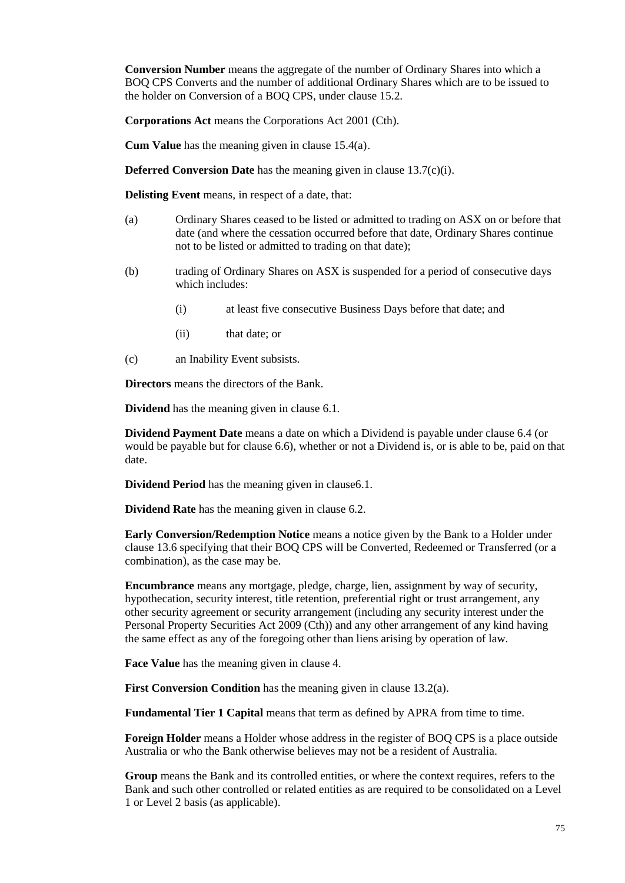**Conversion Number** means the aggregate of the number of Ordinary Shares into which a BOQ CPS Converts and the number of additional Ordinary Shares which are to be issued to the holder on Conversion of a BOQ CPS, under clause [15.2](#page-69-1).

**Corporations Act** means the Corporations Act 2001 (Cth).

**Cum Value** has the meaning given in clause [15.4\(a\)](#page-70-0).

**Deferred Conversion Date** has the meaning given in clause [13.7\(c\)\(i\)](#page-65-1).

**Delisting Event** means, in respect of a date, that:

- (a) Ordinary Shares ceased to be listed or admitted to trading on ASX on or before that date (and where the cessation occurred before that date, Ordinary Shares continue not to be listed or admitted to trading on that date);
- (b) trading of Ordinary Shares on ASX is suspended for a period of consecutive days which includes:
	- (i) at least five consecutive Business Days before that date; and
	- (ii) that date; or
- (c) an Inability Event subsists.

**Directors** means the directors of the Bank.

**Dividend** has the meaning given in claus[e 6.1](#page-53-1).

**Dividend Payment Date** means a date on which a Dividend is payable under clause [6.4](#page-54-2) (or would be payable but for clause [6.6](#page-55-0)), whether or not a Dividend is, or is able to be, paid on that date.

**Dividend Period** has the meaning given in claus[e6.1](#page-53-1).

**Dividend Rate** has the meaning given in clause [6.2](#page-53-2).

**Early Conversion/Redemption Notice** means a notice given by the Bank to a Holder under clause [13.6](#page-63-2) specifying that their BOQ CPS will be Converted, Redeemed or Transferred (or a combination), as the case may be.

**Encumbrance** means any mortgage, pledge, charge, lien, assignment by way of security, hypothecation, security interest, title retention, preferential right or trust arrangement, any other security agreement or security arrangement (including any security interest under the Personal Property Securities Act 2009 (Cth)) and any other arrangement of any kind having the same effect as any of the foregoing other than liens arising by operation of law.

**Face Value** has the meaning given in clause [4](#page-53-0)*X*.

**First Conversion Condition** has the meaning given in clause [13.2\(a\).](#page-60-2)

**Fundamental Tier 1 Capital** means that term as defined by APRA from time to time.

**Foreign Holder** means a Holder whose address in the register of BOQ CPS is a place outside Australia or who the Bank otherwise believes may not be a resident of Australia.

**Group** means the Bank and its controlled entities, or where the context requires, refers to the Bank and such other controlled or related entities as are required to be consolidated on a Level 1 or Level 2 basis (as applicable).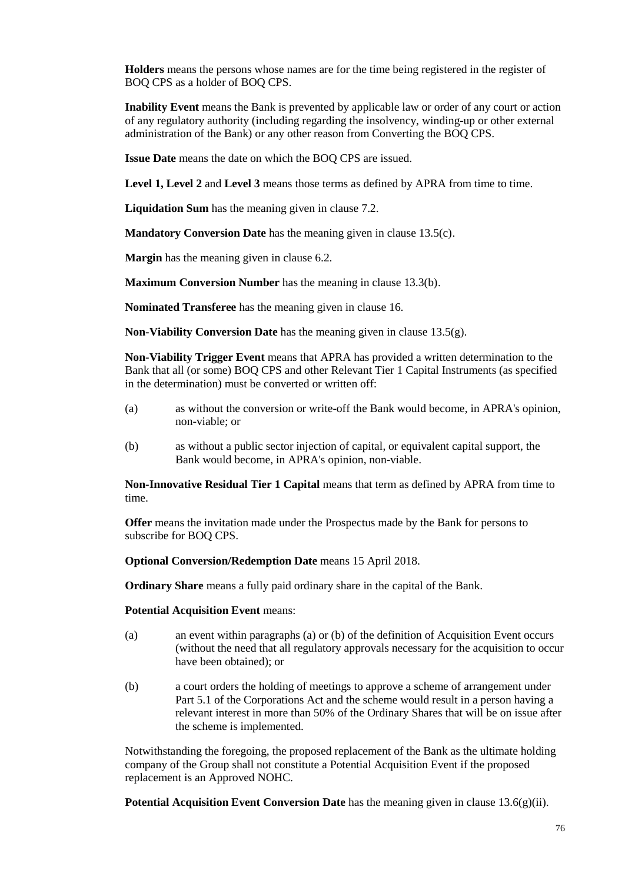**Holders** means the persons whose names are for the time being registered in the register of BOQ CPS as a holder of BOQ CPS.

**Inability Event** means the Bank is prevented by applicable law or order of any court or action of any regulatory authority (including regarding the insolvency, winding-up or other external administration of the Bank) or any other reason from Converting the BOQ CPS.

**Issue Date** means the date on which the BOQ CPS are issued.

**Level 1, Level 2** and **Level 3** means those terms as defined by APRA from time to time.

**Liquidation Sum** has the meaning given in clause [7.2.](#page-57-0)

**Mandatory Conversion Date** has the meaning given in clause [13.5\(c\)](#page-62-1).

**Margin** has the meaning given in clause [6.2](#page-53-2).

**Maximum Conversion Number** has the meaning in clause [13.3\(b\)](#page-61-1).

**Nominated Transferee** has the meaning given in clause [16](#page-73-0)*X*.

**Non-Viability Conversion Date** has the meaning given in clause [13.5\(g\).](#page-62-2)

**Non-Viability Trigger Event** means that APRA has provided a written determination to the Bank that all (or some) BOQ CPS and other Relevant Tier 1 Capital Instruments (as specified in the determination) must be converted or written off:

- (a) as without the conversion or write-off the Bank would become, in APRA's opinion, non-viable; or
- (b) as without a public sector injection of capital, or equivalent capital support, the Bank would become, in APRA's opinion, non-viable.

**Non-Innovative Residual Tier 1 Capital** means that term as defined by APRA from time to time.

**Offer** means the invitation made under the Prospectus made by the Bank for persons to subscribe for BOQ CPS.

**Optional Conversion/Redemption Date** means 15 April 2018.

**Ordinary Share** means a fully paid ordinary share in the capital of the Bank.

**Potential Acquisition Event** means:

- (a) an event within paragraphs (a) or (b) of the definition of Acquisition Event occurs (without the need that all regulatory approvals necessary for the acquisition to occur have been obtained); or
- (b) a court orders the holding of meetings to approve a scheme of arrangement under Part 5.1 of the Corporations Act and the scheme would result in a person having a relevant interest in more than 50% of the Ordinary Shares that will be on issue after the scheme is implemented.

Notwithstanding the foregoing, the proposed replacement of the Bank as the ultimate holding company of the Group shall not constitute a Potential Acquisition Event if the proposed replacement is an Approved NOHC.

**Potential Acquisition Event Conversion Date** has the meaning given in clause  $13.6(g)(ii)$ .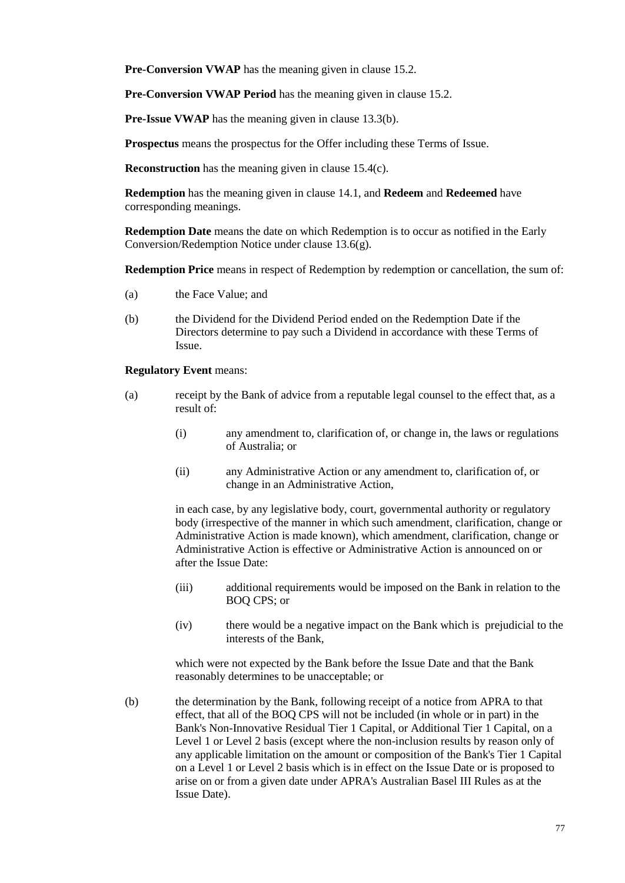**Pre-Conversion VWAP** has the meaning given in clause [15.2](#page-69-1).

**Pre-Conversion VWAP Period** has the meaning given in clause [15.2](#page-69-1).

**Pre-Issue VWAP** has the meaning given in clause [13.3\(b\).](#page-61-1)

**Prospectus** means the prospectus for the Offer including these Terms of Issue.

**Reconstruction** has the meaning given in clause [15.4\(c\).](#page-71-2)

**Redemption** has the meaning given in clause [14.1](#page-67-1)*X*, and **Redeem** and **Redeemed** have corresponding meanings.

**Redemption Date** means the date on which Redemption is to occur as notified in the Early Conversion/Redemption Notice under clause [13.6\(g\)](#page-64-0).

**Redemption Price** means in respect of Redemption by redemption or cancellation, the sum of:

- (a) the Face Value; and
- (b) the Dividend for the Dividend Period ended on the Redemption Date if the Directors determine to pay such a Dividend in accordance with these Terms of Issue.

#### **Regulatory Event** means:

- (a) receipt by the Bank of advice from a reputable legal counsel to the effect that, as a result of:
	- (i) any amendment to, clarification of, or change in, the laws or regulations of Australia; or
	- (ii) any Administrative Action or any amendment to, clarification of, or change in an Administrative Action,

in each case, by any legislative body, court, governmental authority or regulatory body (irrespective of the manner in which such amendment, clarification, change or Administrative Action is made known), which amendment, clarification, change or Administrative Action is effective or Administrative Action is announced on or after the Issue Date:

- (iii) additional requirements would be imposed on the Bank in relation to the BOQ CPS; or
- (iv) there would be a negative impact on the Bank which is prejudicial to the interests of the Bank,

which were not expected by the Bank before the Issue Date and that the Bank reasonably determines to be unacceptable; or

(b) the determination by the Bank, following receipt of a notice from APRA to that effect, that all of the BOQ CPS will not be included (in whole or in part) in the Bank's Non-Innovative Residual Tier 1 Capital, or Additional Tier 1 Capital, on a Level 1 or Level 2 basis (except where the non-inclusion results by reason only of any applicable limitation on the amount or composition of the Bank's Tier 1 Capital on a Level 1 or Level 2 basis which is in effect on the Issue Date or is proposed to arise on or from a given date under APRA's Australian Basel III Rules as at the Issue Date).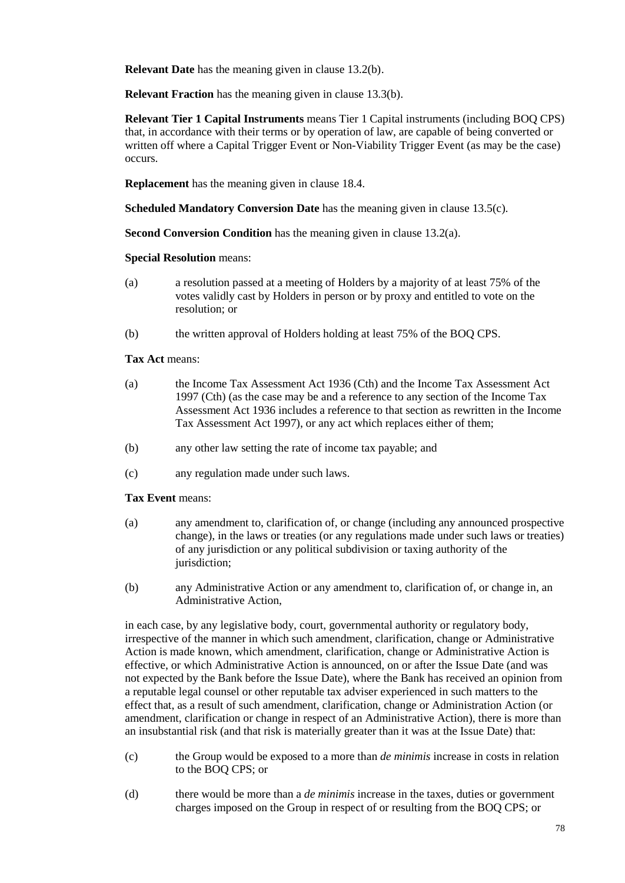**Relevant Date** has the meaning given in clause [13.2\(b\)](#page-60-3).

**Relevant Fraction** has the meaning given in clause [13.3\(b\).](#page-61-1)

**Relevant Tier 1 Capital Instruments** means Tier 1 Capital instruments (including BOQ CPS) that, in accordance with their terms or by operation of law, are capable of being converted or written off where a Capital Trigger Event or Non-Viability Trigger Event (as may be the case) occurs.

**Replacement** has the meaning given in clause [18.4](#page-75-0).

**Scheduled Mandatory Conversion Date** has the meaning given in clause [13.5\(c\).](#page-62-1)

**Second Conversion Condition** has the meaning given in clause [13.2\(a\).](#page-60-2)

**Special Resolution** means:

- (a) a resolution passed at a meeting of Holders by a majority of at least 75% of the votes validly cast by Holders in person or by proxy and entitled to vote on the resolution; or
- (b) the written approval of Holders holding at least 75% of the BOQ CPS.

#### **Tax Act** means:

- (a) the Income Tax Assessment Act 1936 (Cth) and the Income Tax Assessment Act 1997 (Cth) (as the case may be and a reference to any section of the Income Tax Assessment Act 1936 includes a reference to that section as rewritten in the Income Tax Assessment Act 1997), or any act which replaces either of them;
- (b) any other law setting the rate of income tax payable; and
- (c) any regulation made under such laws.

#### **Tax Event** means:

- (a) any amendment to, clarification of, or change (including any announced prospective change), in the laws or treaties (or any regulations made under such laws or treaties) of any jurisdiction or any political subdivision or taxing authority of the jurisdiction;
- (b) any Administrative Action or any amendment to, clarification of, or change in, an Administrative Action,

in each case, by any legislative body, court, governmental authority or regulatory body, irrespective of the manner in which such amendment, clarification, change or Administrative Action is made known, which amendment, clarification, change or Administrative Action is effective, or which Administrative Action is announced, on or after the Issue Date (and was not expected by the Bank before the Issue Date), where the Bank has received an opinion from a reputable legal counsel or other reputable tax adviser experienced in such matters to the effect that, as a result of such amendment, clarification, change or Administration Action (or amendment, clarification or change in respect of an Administrative Action), there is more than an insubstantial risk (and that risk is materially greater than it was at the Issue Date) that:

- (c) the Group would be exposed to a more than *de minimis* increase in costs in relation to the BOQ CPS; or
- (d) there would be more than a *de minimis* increase in the taxes, duties or government charges imposed on the Group in respect of or resulting from the BOQ CPS; or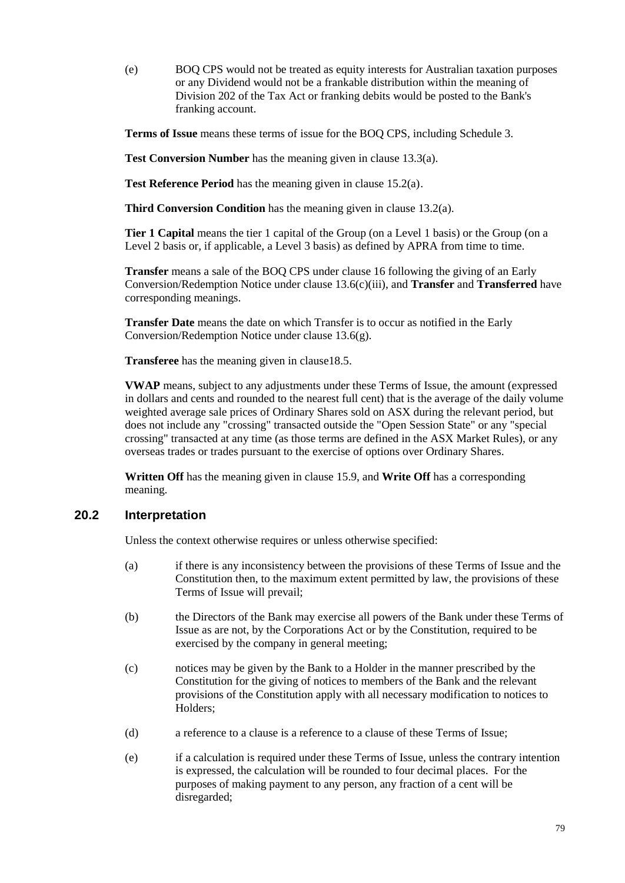(e) BOQ CPS would not be treated as equity interests for Australian taxation purposes or any Dividend would not be a frankable distribution within the meaning of Division 202 of the Tax Act or franking debits would be posted to the Bank's franking account.

**Terms of Issue** means these terms of issue for the BOQ CPS, including [Schedule 3.](#page-85-0)

**Test Conversion Number** has the meaning given in clause [13.3\(a\).](#page-61-2)

**Test Reference Period** has the meaning given in claus[e 15.2\(a\)](#page-69-3).

**Third Conversion Condition** has the meaning given in claus[e 13.2\(a\).](#page-60-2)

**Tier 1 Capital** means the tier 1 capital of the Group (on a Level 1 basis) or the Group (on a Level 2 basis or, if applicable, a Level 3 basis) as defined by APRA from time to time.

**Transfer** means a sale of the BOQ CPS under clause [16](#page-73-0) following the giving of an Early Conversion/Redemption Notice under clause [13.6\(c\)\(iii\),](#page-63-0) and **Transfer** and **Transferred** have corresponding meanings.

**Transfer Date** means the date on which Transfer is to occur as notified in the Early Conversion/Redemption Notice under clause [13.6\(g\)](#page-64-0).

**Transferee** has the meaning given in claus[e18.5.](#page-75-1)

**VWAP** means, subject to any adjustments under these Terms of Issue, the amount (expressed in dollars and cents and rounded to the nearest full cent) that is the average of the daily volume weighted average sale prices of Ordinary Shares sold on ASX during the relevant period, but does not include any "crossing" transacted outside the "Open Session State" or any "special crossing" transacted at any time (as those terms are defined in the ASX Market Rules), or any overseas trades or trades pursuant to the exercise of options over Ordinary Shares.

**Written Off** has the meaning given in claus[e 15.9](#page-72-0)*X*, and **Write Off** has a corresponding meaning.

## <span id="page-83-1"></span><span id="page-83-0"></span>**20.2 Interpretation**

Unless the context otherwise requires or unless otherwise specified:

- (a) if there is any inconsistency between the provisions of these Terms of Issue and the Constitution then, to the maximum extent permitted by law, the provisions of these Terms of Issue will prevail;
- (b) the Directors of the Bank may exercise all powers of the Bank under these Terms of Issue as are not, by the Corporations Act or by the Constitution, required to be exercised by the company in general meeting;
- (c) notices may be given by the Bank to a Holder in the manner prescribed by the Constitution for the giving of notices to members of the Bank and the relevant provisions of the Constitution apply with all necessary modification to notices to Holders;
- (d) a reference to a clause is a reference to a clause of these Terms of Issue;
- (e) if a calculation is required under these Terms of Issue, unless the contrary intention is expressed, the calculation will be rounded to four decimal places. For the purposes of making payment to any person, any fraction of a cent will be disregarded;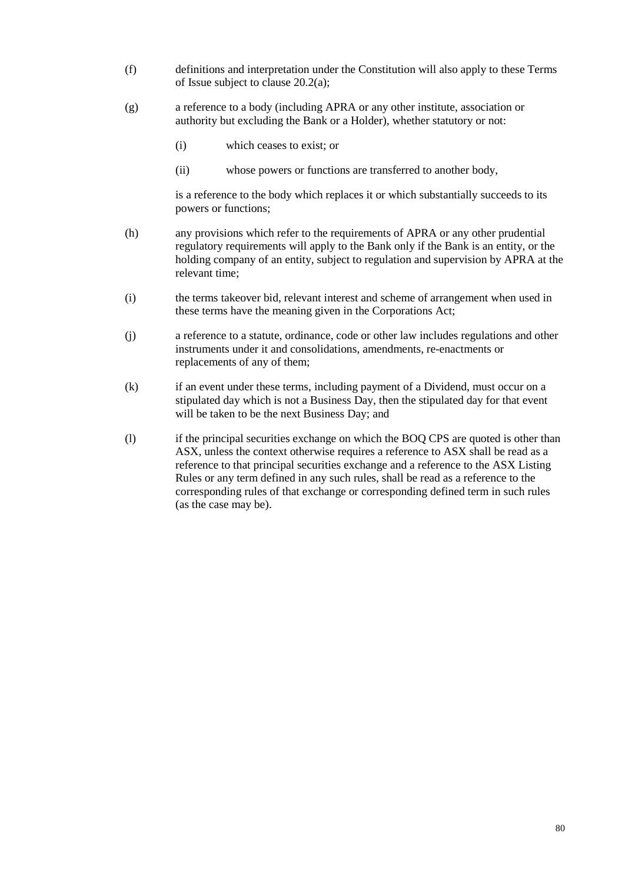- (f) definitions and interpretation under the Constitution will also apply to these Terms of Issue subject to clause [20.2](#page-83-0)[\(a\);](#page-83-1)
- (g) a reference to a body (including APRA or any other institute, association or authority but excluding the Bank or a Holder), whether statutory or not:
	- (i) which ceases to exist; or
	- (ii) whose powers or functions are transferred to another body,

is a reference to the body which replaces it or which substantially succeeds to its powers or functions;

- (h) any provisions which refer to the requirements of APRA or any other prudential regulatory requirements will apply to the Bank only if the Bank is an entity, or the holding company of an entity, subject to regulation and supervision by APRA at the relevant time;
- (i) the terms takeover bid, relevant interest and scheme of arrangement when used in these terms have the meaning given in the Corporations Act;
- (j) a reference to a statute, ordinance, code or other law includes regulations and other instruments under it and consolidations, amendments, re-enactments or replacements of any of them;
- (k) if an event under these terms, including payment of a Dividend, must occur on a stipulated day which is not a Business Day, then the stipulated day for that event will be taken to be the next Business Day; and
- (l) if the principal securities exchange on which the BOQ CPS are quoted is other than ASX, unless the context otherwise requires a reference to ASX shall be read as a reference to that principal securities exchange and a reference to the ASX Listing Rules or any term defined in any such rules, shall be read as a reference to the corresponding rules of that exchange or corresponding defined term in such rules (as the case may be).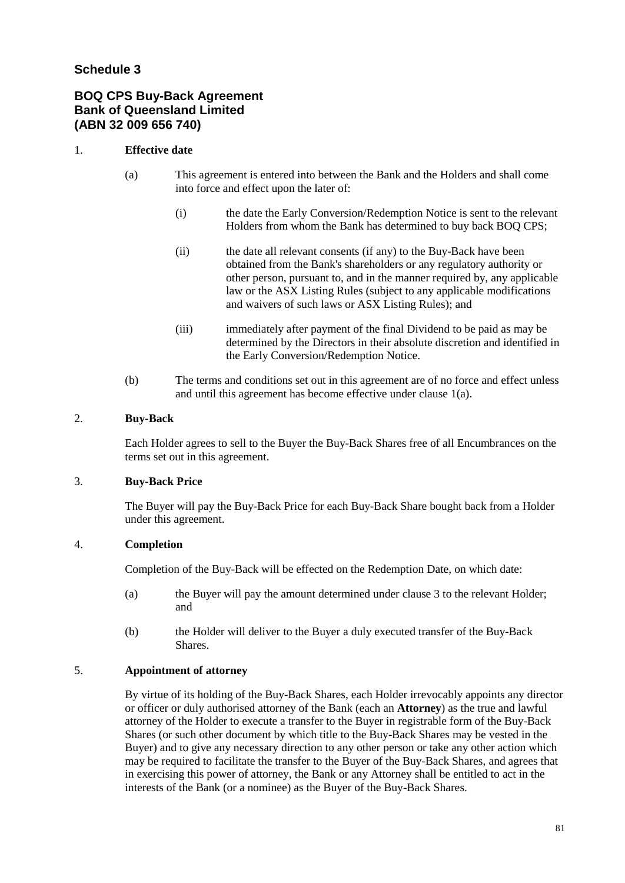## <span id="page-85-0"></span>**Schedule 3**

## **BOQ CPS Buy-Back Agreement Bank of Queensland Limited (ABN 32 009 656 740)**

#### 1. **Effective date**

- (a) This agreement is entered into between the Bank and the Holders and shall come into force and effect upon the later of:
	- (i) the date the Early Conversion/Redemption Notice is sent to the relevant Holders from whom the Bank has determined to buy back BOQ CPS;
	- (ii) the date all relevant consents (if any) to the Buy-Back have been obtained from the Bank's shareholders or any regulatory authority or other person, pursuant to, and in the manner required by, any applicable law or the ASX Listing Rules (subject to any applicable modifications and waivers of such laws or ASX Listing Rules); and
	- (iii) immediately after payment of the final Dividend to be paid as may be determined by the Directors in their absolute discretion and identified in the Early Conversion/Redemption Notice.
- (b) The terms and conditions set out in this agreement are of no force and effect unless and until this agreement has become effective under clause 1(a).

#### 2. **Buy-Back**

Each Holder agrees to sell to the Buyer the Buy-Back Shares free of all Encumbrances on the terms set out in this agreement.

#### 3. **Buy-Back Price**

The Buyer will pay the Buy-Back Price for each Buy-Back Share bought back from a Holder under this agreement.

### 4. **Completion**

Completion of the Buy-Back will be effected on the Redemption Date, on which date:

- (a) the Buyer will pay the amount determined under clause 3 to the relevant Holder; and
- (b) the Holder will deliver to the Buyer a duly executed transfer of the Buy-Back Shares.

#### 5. **Appointment of attorney**

By virtue of its holding of the Buy-Back Shares, each Holder irrevocably appoints any director or officer or duly authorised attorney of the Bank (each an **Attorney**) as the true and lawful attorney of the Holder to execute a transfer to the Buyer in registrable form of the Buy-Back Shares (or such other document by which title to the Buy-Back Shares may be vested in the Buyer) and to give any necessary direction to any other person or take any other action which may be required to facilitate the transfer to the Buyer of the Buy-Back Shares, and agrees that in exercising this power of attorney, the Bank or any Attorney shall be entitled to act in the interests of the Bank (or a nominee) as the Buyer of the Buy-Back Shares.